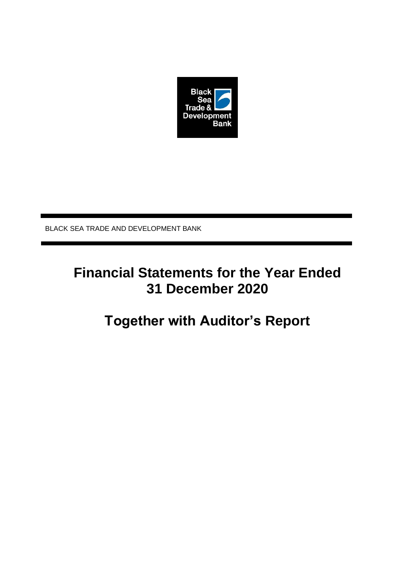

BLACK SEA TRADE AND DEVELOPMENT BANK

# **Financial Statements for the Year Ended 31 December 2020**

# **Together with Auditor's Report**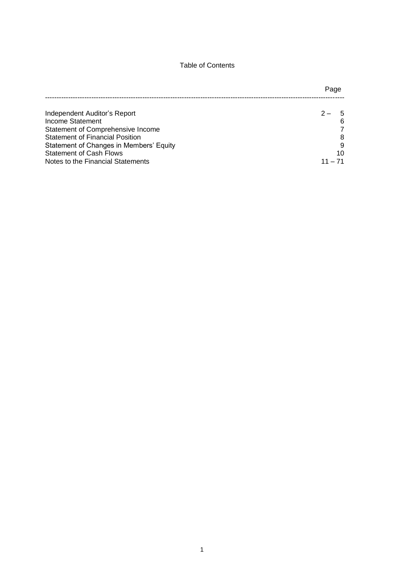#### Table of Contents

|                                         | Page      |     |
|-----------------------------------------|-----------|-----|
|                                         |           |     |
| Independent Auditor's Report            | $2-$      | - 5 |
| Income Statement                        |           | 6   |
| Statement of Comprehensive Income       |           |     |
| <b>Statement of Financial Position</b>  |           | 8   |
| Statement of Changes in Members' Equity |           | 9   |
| <b>Statement of Cash Flows</b>          |           | 10  |
| Notes to the Financial Statements       | $11 - 71$ |     |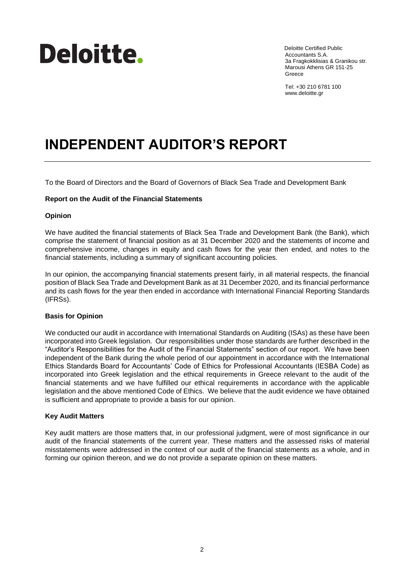Deloitte Certified Public Accountants S.A. 3a Fragkokklisias & Granikou str. Marousi Athens GR 151-25 Greece

Tel: +30 210 6781 100 www.deloitte.gr

# **INDEPENDENT AUDITOR'S REPORT**

To the Board of Directors and the Board of Governors of Black Sea Trade and Development Bank

#### **Report on the Audit of the Financial Statements**

#### **Opinion**

We have audited the financial statements of Black Sea Trade and Development Bank (the Bank), which comprise the statement of financial position as at 31 December 2020 and the statements of income and comprehensive income, changes in equity and cash flows for the year then ended, and notes to the financial statements, including a summary of significant accounting policies.

In our opinion, the accompanying financial statements present fairly, in all material respects, the financial position of Black Sea Trade and Development Bank as at 31 December 2020, and its financial performance and its cash flows for the year then ended in accordance with International Financial Reporting Standards (IFRSs).

#### **Basis for Opinion**

We conducted our audit in accordance with International Standards on Auditing (ISAs) as these have been incorporated into Greek legislation. Our responsibilities under those standards are further described in the "Auditor's Responsibilities for the Audit of the Financial Statements" section of our report. We have been independent of the Bank during the whole period of our appointment in accordance with the International Ethics Standards Board for Accountants' Code of Ethics for Professional Accountants (IESBA Code) as incorporated into Greek legislation and the ethical requirements in Greece relevant to the audit of the financial statements and we have fulfilled our ethical requirements in accordance with the applicable legislation and the above mentioned Code of Ethics. We believe that the audit evidence we have obtained is sufficient and appropriate to provide a basis for our opinion.

#### **Key Audit Matters**

Key audit matters are those matters that, in our professional judgment, were of most significance in our audit of the financial statements of the current year. These matters and the assessed risks of material misstatements were addressed in the context of our audit of the financial statements as a whole, and in forming our opinion thereon, and we do not provide a separate opinion on these matters.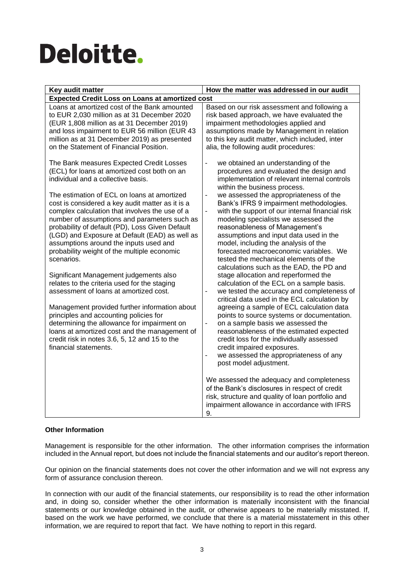| Key audit matter                                                                                                                                                                                                                                                                                                                                                                                              | How the matter was addressed in our audit                                                                                                                                                                                                                                                                                                                                                                                                                                         |
|---------------------------------------------------------------------------------------------------------------------------------------------------------------------------------------------------------------------------------------------------------------------------------------------------------------------------------------------------------------------------------------------------------------|-----------------------------------------------------------------------------------------------------------------------------------------------------------------------------------------------------------------------------------------------------------------------------------------------------------------------------------------------------------------------------------------------------------------------------------------------------------------------------------|
| <b>Expected Credit Loss on Loans at amortized cost</b>                                                                                                                                                                                                                                                                                                                                                        |                                                                                                                                                                                                                                                                                                                                                                                                                                                                                   |
| Loans at amortized cost of the Bank amounted<br>to EUR 2,030 million as at 31 December 2020<br>(EUR 1,808 million as at 31 December 2019)<br>and loss impairment to EUR 56 million (EUR 43<br>million as at 31 December 2019) as presented<br>on the Statement of Financial Position.                                                                                                                         | Based on our risk assessment and following a<br>risk based approach, we have evaluated the<br>impairment methodologies applied and<br>assumptions made by Management in relation<br>to this key audit matter, which included, inter<br>alia, the following audit procedures:                                                                                                                                                                                                      |
| The Bank measures Expected Credit Losses<br>(ECL) for loans at amortized cost both on an<br>individual and a collective basis.                                                                                                                                                                                                                                                                                | we obtained an understanding of the<br>$\blacksquare$<br>procedures and evaluated the design and<br>implementation of relevant internal controls<br>within the business process.                                                                                                                                                                                                                                                                                                  |
| The estimation of ECL on loans at amortized<br>cost is considered a key audit matter as it is a<br>complex calculation that involves the use of a<br>number of assumptions and parameters such as<br>probability of default (PD), Loss Given Default<br>(LGD) and Exposure at Default (EAD) as well as<br>assumptions around the inputs used and<br>probability weight of the multiple economic<br>scenarios. | we assessed the appropriateness of the<br>$\qquad \qquad \blacksquare$<br>Bank's IFRS 9 impairment methodologies.<br>with the support of our internal financial risk<br>$\blacksquare$<br>modeling specialists we assessed the<br>reasonableness of Management's<br>assumptions and input data used in the<br>model, including the analysis of the<br>forecasted macroeconomic variables. We<br>tested the mechanical elements of the<br>calculations such as the EAD, the PD and |
| Significant Management judgements also<br>relates to the criteria used for the staging<br>assessment of loans at amortized cost.                                                                                                                                                                                                                                                                              | stage allocation and reperformed the<br>calculation of the ECL on a sample basis.<br>we tested the accuracy and completeness of<br>$\blacksquare$<br>critical data used in the ECL calculation by                                                                                                                                                                                                                                                                                 |
| Management provided further information about<br>principles and accounting policies for<br>determining the allowance for impairment on<br>loans at amortized cost and the management of<br>credit risk in notes 3.6, 5, 12 and 15 to the<br>financial statements.                                                                                                                                             | agreeing a sample of ECL calculation data<br>points to source systems or documentation.<br>$\overline{a}$<br>on a sample basis we assessed the<br>reasonableness of the estimated expected<br>credit loss for the individually assessed<br>credit impaired exposures.<br>we assessed the appropriateness of any<br>$\blacksquare$<br>post model adjustment.                                                                                                                       |
|                                                                                                                                                                                                                                                                                                                                                                                                               | We assessed the adequacy and completeness<br>of the Bank's disclosures in respect of credit<br>risk, structure and quality of loan portfolio and<br>impairment allowance in accordance with IFRS<br>9.                                                                                                                                                                                                                                                                            |

#### **Other Information**

Management is responsible for the other information. The other information comprises the information included in the Annual report, but does not include the financial statements and our auditor's report thereon.

Our opinion on the financial statements does not cover the other information and we will not express any form of assurance conclusion thereon.

In connection with our audit of the financial statements, our responsibility is to read the other information and, in doing so, consider whether the other information is materially inconsistent with the financial statements or our knowledge obtained in the audit, or otherwise appears to be materially misstated. If, based on the work we have performed, we conclude that there is a material misstatement in this other information, we are required to report that fact. We have nothing to report in this regard.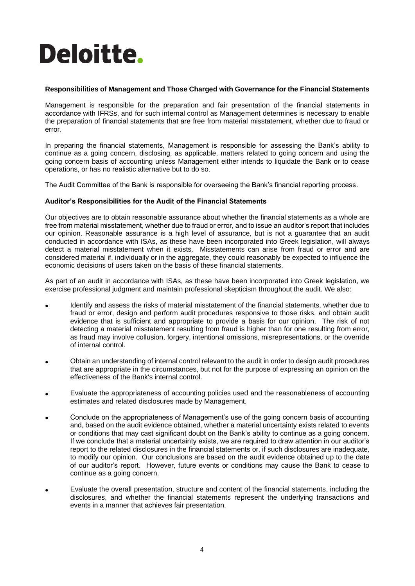#### **Responsibilities of Management and Those Charged with Governance for the Financial Statements**

Management is responsible for the preparation and fair presentation of the financial statements in accordance with IFRSs, and for such internal control as Management determines is necessary to enable the preparation of financial statements that are free from material misstatement, whether due to fraud or error.

In preparing the financial statements, Management is responsible for assessing the Bank's ability to continue as a going concern, disclosing, as applicable, matters related to going concern and using the going concern basis of accounting unless Management either intends to liquidate the Bank or to cease operations, or has no realistic alternative but to do so.

The Audit Committee of the Bank is responsible for overseeing the Bank's financial reporting process.

#### **Auditor's Responsibilities for the Audit of the Financial Statements**

Our objectives are to obtain reasonable assurance about whether the financial statements as a whole are free from material misstatement, whether due to fraud or error, and to issue an auditor's report that includes our opinion. Reasonable assurance is a high level of assurance, but is not a guarantee that an audit conducted in accordance with ISAs, as these have been incorporated into Greek legislation, will always detect a material misstatement when it exists. Misstatements can arise from fraud or error and are considered material if, individually or in the aggregate, they could reasonably be expected to influence the economic decisions of users taken on the basis of these financial statements.

As part of an audit in accordance with ISAs, as these have been incorporated into Greek legislation, we exercise professional judgment and maintain professional skepticism throughout the audit. We also:

- Identify and assess the risks of material misstatement of the financial statements, whether due to fraud or error, design and perform audit procedures responsive to those risks, and obtain audit evidence that is sufficient and appropriate to provide a basis for our opinion. The risk of not detecting a material misstatement resulting from fraud is higher than for one resulting from error, as fraud may involve collusion, forgery, intentional omissions, misrepresentations, or the override of internal control.
- Obtain an understanding of internal control relevant to the audit in order to design audit procedures that are appropriate in the circumstances, but not for the purpose of expressing an opinion on the effectiveness of the Bank's internal control.
- Evaluate the appropriateness of accounting policies used and the reasonableness of accounting estimates and related disclosures made by Management.
- Conclude on the appropriateness of Management's use of the going concern basis of accounting and, based on the audit evidence obtained, whether a material uncertainty exists related to events or conditions that may cast significant doubt on the Bank's ability to continue as a going concern. If we conclude that a material uncertainty exists, we are required to draw attention in our auditor's report to the related disclosures in the financial statements or, if such disclosures are inadequate, to modify our opinion. Our conclusions are based on the audit evidence obtained up to the date of our auditor's report. However, future events or conditions may cause the Bank to cease to continue as a going concern.
- Evaluate the overall presentation, structure and content of the financial statements, including the disclosures, and whether the financial statements represent the underlying transactions and events in a manner that achieves fair presentation.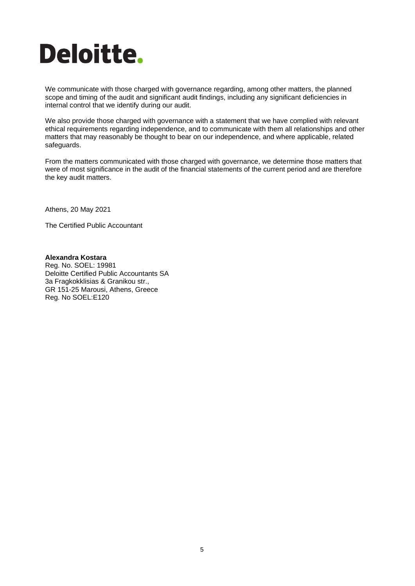We communicate with those charged with governance regarding, among other matters, the planned scope and timing of the audit and significant audit findings, including any significant deficiencies in internal control that we identify during our audit.

We also provide those charged with governance with a statement that we have complied with relevant ethical requirements regarding independence, and to communicate with them all relationships and other matters that may reasonably be thought to bear on our independence, and where applicable, related safeguards.

From the matters communicated with those charged with governance, we determine those matters that were of most significance in the audit of the financial statements of the current period and are therefore the key audit matters.

Athens, 20 May 2021

The Certified Public Accountant

**Alexandra Kostara** Reg. No. SOEL: 19981 Deloitte Certified Public Accountants SA 3a Fragkokklisias & Granikou str., GR 151-25 Marousi, Athens, Greece Reg. No SOEL:E120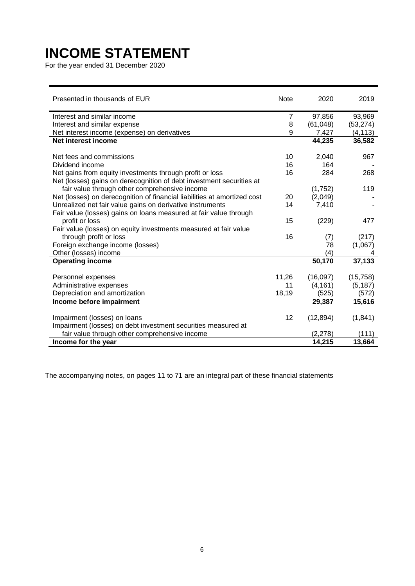# **INCOME STATEMENT**

For the year ended 31 December 2020

| Presented in thousands of EUR                                            | <b>Note</b>    | 2020      | 2019      |
|--------------------------------------------------------------------------|----------------|-----------|-----------|
| Interest and similar income                                              | $\overline{7}$ | 97,856    | 93,969    |
| Interest and similar expense                                             | 8              | (61, 048) | (53, 274) |
| Net interest income (expense) on derivatives                             | 9              | 7,427     | (4, 113)  |
| Net interest income                                                      |                | 44,235    | 36,582    |
|                                                                          |                |           |           |
| Net fees and commissions                                                 | 10             | 2,040     | 967       |
| Dividend income                                                          | 16             | 164       |           |
| Net gains from equity investments through profit or loss                 | 16             | 284       | 268       |
| Net (losses) gains on derecognition of debt investment securities at     |                |           |           |
| fair value through other comprehensive income                            |                | (1,752)   | 119       |
| Net (losses) on derecognition of financial liabilities at amortized cost | 20             | (2,049)   |           |
| Unrealized net fair value gains on derivative instruments                | 14             | 7,410     |           |
| Fair value (losses) gains on loans measured at fair value through        |                |           |           |
| profit or loss                                                           | 15             | (229)     | 477       |
| Fair value (losses) on equity investments measured at fair value         |                |           |           |
| through profit or loss                                                   | 16             | (7)       | (217)     |
| Foreign exchange income (losses)                                         |                | 78        | (1,067)   |
| Other (losses) income                                                    |                | (4)       |           |
| <b>Operating income</b>                                                  |                | 50,170    | 37,133    |
|                                                                          |                |           |           |
| Personnel expenses                                                       | 11,26          | (16,097)  | (15, 758) |
| Administrative expenses                                                  | 11             | (4, 161)  | (5, 187)  |
| Depreciation and amortization                                            | 18,19          | (525)     | (572)     |
| Income before impairment                                                 |                | 29,387    | 15,616    |
|                                                                          |                |           |           |
| Impairment (losses) on loans                                             | 12             | (12, 894) | (1, 841)  |
| Impairment (losses) on debt investment securities measured at            |                |           |           |
| fair value through other comprehensive income                            |                | (2, 278)  | (111)     |
| Income for the year                                                      |                | 14,215    | 13,664    |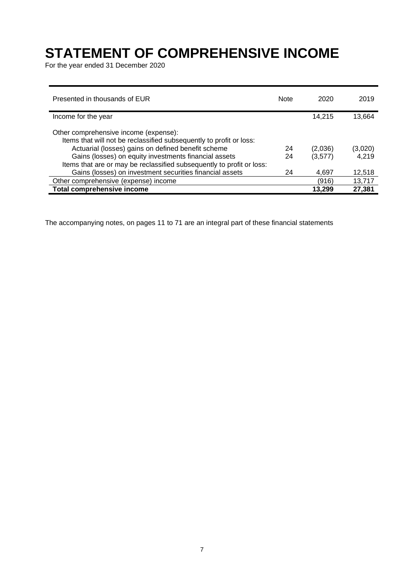# **STATEMENT OF COMPREHENSIVE INCOME**

For the year ended 31 December 2020

| Presented in thousands of EUR                                                                                | <b>Note</b> | 2020    | 2019    |
|--------------------------------------------------------------------------------------------------------------|-------------|---------|---------|
| Income for the year                                                                                          |             | 14,215  | 13,664  |
| Other comprehensive income (expense):<br>Items that will not be reclassified subsequently to profit or loss: |             |         |         |
| Actuarial (losses) gains on defined benefit scheme                                                           | 24          | (2,036) | (3,020) |
| Gains (losses) on equity investments financial assets                                                        | 24          | (3,577) | 4,219   |
| Items that are or may be reclassified subsequently to profit or loss:                                        |             |         |         |
| Gains (losses) on investment securities financial assets                                                     | 24          | 4,697   | 12,518  |
| Other comprehensive (expense) income                                                                         |             | (916)   | 13,717  |
| <b>Total comprehensive income</b>                                                                            |             | 13.299  | 27,381  |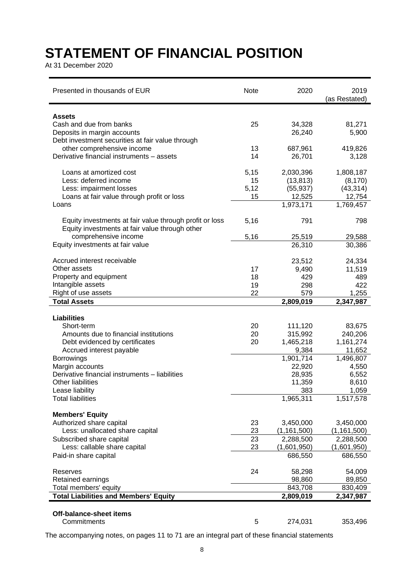# **STATEMENT OF FINANCIAL POSITION**

At 31 December 2020

| Presented in thousands of EUR                           | <b>Note</b> | 2020                   | 2019<br>(as Restated) |
|---------------------------------------------------------|-------------|------------------------|-----------------------|
| <b>Assets</b>                                           |             |                        |                       |
| Cash and due from banks                                 | 25          | 34,328                 | 81,271                |
| Deposits in margin accounts                             |             | 26,240                 | 5,900                 |
| Debt investment securities at fair value through        |             |                        |                       |
| other comprehensive income                              | 13          | 687,961                | 419,826               |
| Derivative financial instruments - assets               | 14          | 26,701                 | 3,128                 |
|                                                         |             |                        |                       |
| Loans at amortized cost<br>Less: deferred income        | 5,15<br>15  | 2,030,396<br>(13, 813) | 1,808,187<br>(8, 170) |
| Less: impairment losses                                 | 5,12        | (55, 937)              | (43, 314)             |
| Loans at fair value through profit or loss              | 15          | 12,525                 | 12,754                |
| Loans                                                   |             | 1,973,171              | 1,769,457             |
|                                                         |             |                        |                       |
| Equity investments at fair value through profit or loss | 5,16        | 791                    | 798                   |
| Equity investments at fair value through other          |             |                        |                       |
| comprehensive income                                    | 5,16        | 25,519                 | 29,588                |
| Equity investments at fair value                        |             | 26,310                 | 30,386                |
| Accrued interest receivable                             |             | 23,512                 | 24,334                |
| Other assets                                            | 17          | 9,490                  | 11,519                |
| Property and equipment                                  | 18          | 429                    | 489                   |
| Intangible assets                                       | 19          | 298                    | 422                   |
| Right of use assets                                     | 22          | 579                    | 1,255                 |
| <b>Total Assets</b>                                     |             | 2,809,019              | 2,347,987             |
| <b>Liabilities</b>                                      |             |                        |                       |
| Short-term                                              | 20          | 111,120                | 83,675                |
| Amounts due to financial institutions                   | 20          | 315,992                | 240,206               |
| Debt evidenced by certificates                          | 20          | 1,465,218              | 1,161,274             |
| Accrued interest payable                                |             | 9,384                  | 11,652                |
| <b>Borrowings</b>                                       |             | 1,901,714              | 1,496,807             |
| Margin accounts                                         |             | 22,920                 | 4,550                 |
| Derivative financial instruments - liabilities          |             | 28,935                 | 6,552                 |
| Other liabilities                                       |             | 11,359                 | 8,610                 |
| Lease liability<br><b>Total liabilities</b>             |             | 383<br>1,965,311       | 1,059<br>1,517,578    |
|                                                         |             |                        |                       |
| <b>Members' Equity</b>                                  |             |                        |                       |
| Authorized share capital                                | 23          | 3,450,000              | 3,450,000             |
| Less: unallocated share capital                         | 23          | (1, 161, 500)          | (1, 161, 500)         |
| Subscribed share capital                                | 23          | 2,288,500              | 2,288,500             |
| Less: callable share capital                            | 23          | (1,601,950)            | (1,601,950)           |
| Paid-in share capital                                   |             | 686,550                | 686,550               |
| Reserves                                                | 24          | 58,298                 | 54,009                |
| Retained earnings                                       |             | 98,860                 | 89,850                |
| Total members' equity                                   |             | 843,708                | 830,409               |
| <b>Total Liabilities and Members' Equity</b>            |             | 2,809,019              | 2,347,987             |
|                                                         |             |                        |                       |
| Off-balance-sheet items                                 |             |                        |                       |
| Commitments                                             | 5           | 274,031                | 353,496               |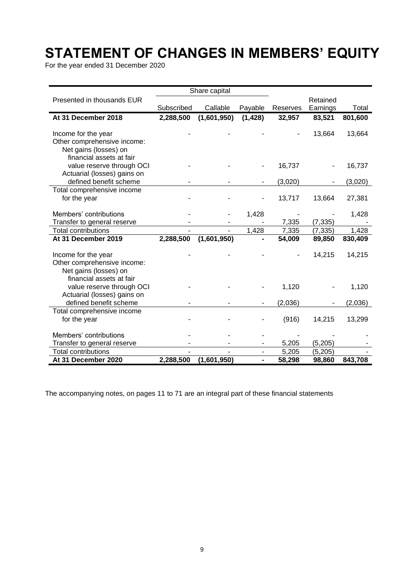# **STATEMENT OF CHANGES IN MEMBERS' EQUITY**

For the year ended 31 December 2020

|                                                       | Share capital |             |                              |          |          |         |
|-------------------------------------------------------|---------------|-------------|------------------------------|----------|----------|---------|
| Presented in thousands EUR                            |               |             |                              |          | Retained |         |
|                                                       | Subscribed    | Callable    | Payable                      | Reserves | Earnings | Total   |
| At 31 December 2018                                   | 2,288,500     | (1,601,950) | (1, 428)                     | 32,957   | 83,521   | 801,600 |
|                                                       |               |             |                              |          |          |         |
| Income for the year                                   |               |             |                              |          | 13,664   | 13,664  |
| Other comprehensive income:                           |               |             |                              |          |          |         |
| Net gains (losses) on                                 |               |             |                              |          |          |         |
| financial assets at fair                              |               |             |                              |          |          |         |
| value reserve through OCI                             |               |             |                              | 16,737   |          | 16,737  |
| Actuarial (losses) gains on                           |               |             |                              |          |          |         |
| defined benefit scheme                                |               |             |                              | (3,020)  |          | (3,020) |
| Total comprehensive income                            |               |             |                              | 13,717   | 13,664   | 27,381  |
| for the year                                          |               |             |                              |          |          |         |
| Members' contributions                                |               |             | 1,428                        |          |          | 1,428   |
| Transfer to general reserve                           |               |             |                              | 7,335    | (7, 335) |         |
| <b>Total contributions</b>                            |               |             | 1,428                        | 7,335    | (7, 335) | 1,428   |
| At 31 December 2019                                   | 2,288,500     | (1,601,950) |                              | 54,009   | 89,850   | 830,409 |
|                                                       |               |             |                              |          |          |         |
| Income for the year                                   |               |             |                              |          | 14,215   | 14,215  |
| Other comprehensive income:                           |               |             |                              |          |          |         |
| Net gains (losses) on                                 |               |             |                              |          |          |         |
| financial assets at fair                              |               |             |                              |          |          |         |
| value reserve through OCI                             |               |             |                              | 1,120    |          | 1,120   |
| Actuarial (losses) gains on<br>defined benefit scheme |               |             |                              | (2,036)  |          |         |
| Total comprehensive income                            |               |             |                              |          |          | (2,036) |
| for the year                                          |               |             |                              | (916)    | 14,215   | 13,299  |
|                                                       |               |             |                              |          |          |         |
| Members' contributions                                |               |             |                              |          |          |         |
| Transfer to general reserve                           |               |             |                              | 5,205    | (5,205)  |         |
| <b>Total contributions</b>                            |               |             |                              | 5,205    | (5,205)  |         |
| At 31 December 2020                                   | 2,288,500     | (1,601,950) | $\qquad \qquad \blacksquare$ | 58,298   | 98,860   | 843,708 |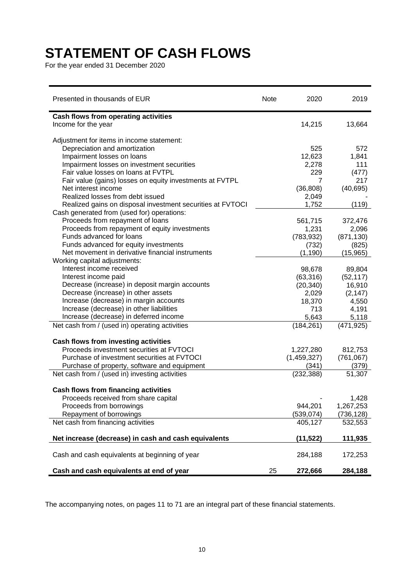# **STATEMENT OF CASH FLOWS**

For the year ended 31 December 2020

| Presented in thousands of EUR                                                                            | <b>Note</b> | 2020                | 2019       |
|----------------------------------------------------------------------------------------------------------|-------------|---------------------|------------|
| Cash flows from operating activities                                                                     |             |                     |            |
| Income for the year                                                                                      |             | 14,215              | 13,664     |
|                                                                                                          |             |                     |            |
| Adjustment for items in income statement:                                                                |             | 525                 | 572        |
| Depreciation and amortization                                                                            |             | 12,623              | 1,841      |
| Impairment losses on loans                                                                               |             |                     | 111        |
| Impairment losses on investment securities<br>Fair value losses on loans at FVTPL                        |             | 2,278<br>229        | (477)      |
|                                                                                                          |             | 7                   | 217        |
| Fair value (gains) losses on equity investments at FVTPL<br>Net interest income                          |             |                     | (40, 695)  |
| Realized losses from debt issued                                                                         |             | (36, 808)           |            |
|                                                                                                          |             | 2,049<br>1,752      |            |
| Realized gains on disposal investment securities at FVTOCI<br>Cash generated from (used for) operations: |             |                     | (119)      |
| Proceeds from repayment of loans                                                                         |             |                     |            |
| Proceeds from repayment of equity investments                                                            |             | 561,715             | 372,476    |
| Funds advanced for loans                                                                                 |             | 1,231<br>(783, 932) | 2,096      |
| Funds advanced for equity investments                                                                    |             |                     | (871, 130) |
| Net movement in derivative financial instruments                                                         |             | (732)               | (825)      |
| Working capital adjustments:                                                                             |             | (1, 190)            | (15, 965)  |
| Interest income received                                                                                 |             | 98,678              |            |
| Interest income paid                                                                                     |             |                     | 89,804     |
| Decrease (increase) in deposit margin accounts                                                           |             | (63,316)            | (52, 117)  |
| Decrease (increase) in other assets                                                                      |             | (20, 340)           | 16,910     |
| Increase (decrease) in margin accounts                                                                   |             | 2,029               | (2, 147)   |
| Increase (decrease) in other liabilities                                                                 |             | 18,370<br>713       | 4,550      |
| Increase (decrease) in deferred income                                                                   |             |                     | 4,191      |
|                                                                                                          |             | 5,643               | 5,118      |
| Net cash from / (used in) operating activities                                                           |             | (184, 261)          | (471, 925) |
| Cash flows from investing activities                                                                     |             |                     |            |
| Proceeds investment securities at FVTOCI                                                                 |             | 1,227,280           | 812,753    |
| Purchase of investment securities at FVTOCI                                                              |             | (1,459,327)         | (761, 067) |
| Purchase of property, software and equipment                                                             |             | (341)               | (379)      |
| Net cash from / (used in) investing activities                                                           |             | (232, 388)          | 51,307     |
|                                                                                                          |             |                     |            |
| <b>Cash flows from financing activities</b>                                                              |             |                     |            |
| Proceeds received from share capital                                                                     |             |                     | 1,428      |
| Proceeds from borrowings                                                                                 |             | 944,201             | 1,267,253  |
| Repayment of borrowings                                                                                  |             | (539, 074)          | (736, 128) |
| Net cash from financing activities                                                                       |             | 405,127             | 532,553    |
|                                                                                                          |             |                     |            |
| Net increase (decrease) in cash and cash equivalents                                                     |             | (11, 522)           | 111,935    |
| Cash and cash equivalents at beginning of year                                                           |             | 284,188             | 172,253    |
|                                                                                                          |             |                     |            |
| Cash and cash equivalents at end of year                                                                 | 25          | 272,666             | 284,188    |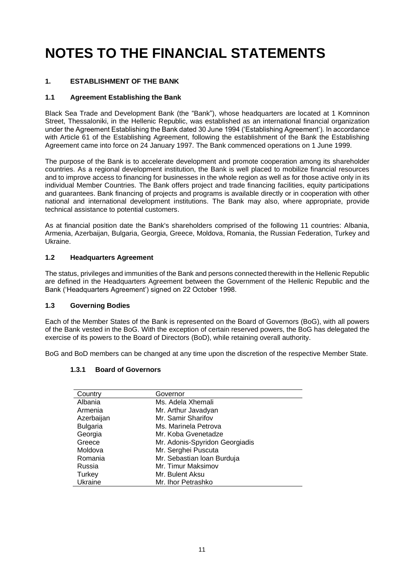# **NOTES TO THE FINANCIAL STATEMENTS**

#### **1. ESTABLISHMENT OF THE BANK**

#### **1.1 Agreement Establishing the Bank**

Black Sea Trade and Development Bank (the "Bank"), whose headquarters are located at 1 Komninon Street, Thessaloniki, in the Hellenic Republic, was established as an international financial organization under the Agreement Establishing the Bank dated 30 June 1994 ('Establishing Agreement'). In accordance with Article 61 of the Establishing Agreement, following the establishment of the Bank the Establishing Agreement came into force on 24 January 1997. The Bank commenced operations on 1 June 1999.

The purpose of the Bank is to accelerate development and promote cooperation among its shareholder countries. As a regional development institution, the Bank is well placed to mobilize financial resources and to improve access to financing for businesses in the whole region as well as for those active only in its individual Member Countries. The Bank offers project and trade financing facilities, equity participations and guarantees. Bank financing of projects and programs is available directly or in cooperation with other national and international development institutions. The Bank may also, where appropriate, provide technical assistance to potential customers.

As at financial position date the Bank's shareholders comprised of the following 11 countries: Albania, Armenia, Azerbaijan, Bulgaria, Georgia, Greece, Moldova, Romania, the Russian Federation, Turkey and Ukraine.

#### **1.2 Headquarters Agreement**

The status, privileges and immunities of the Bank and persons connected therewith in the Hellenic Republic are defined in the Headquarters Agreement between the Government of the Hellenic Republic and the Bank ('Headquarters Agreement') signed on 22 October 1998.

#### **1.3 Governing Bodies**

Each of the Member States of the Bank is represented on the Board of Governors (BoG), with all powers of the Bank vested in the BoG. With the exception of certain reserved powers, the BoG has delegated the exercise of its powers to the Board of Directors (BoD), while retaining overall authority.

BoG and BoD members can be changed at any time upon the discretion of the respective Member State.

#### **1.3.1 Board of Governors**

| Country         | Governor                       |
|-----------------|--------------------------------|
| Albania         | Ms. Adela Xhemali              |
| Armenia         | Mr. Arthur Javadyan            |
| Azerbaijan      | Mr. Samir Sharifov             |
| <b>Bulgaria</b> | Ms. Marinela Petrova           |
| Georgia         | Mr. Koba Gvenetadze            |
| Greece          | Mr. Adonis-Spyridon Georgiadis |
| Moldova         | Mr. Serghei Puscuta            |
| Romania         | Mr. Sebastian Ioan Burduja     |
| Russia          | Mr. Timur Maksimov             |
| Turkey          | Mr. Bulent Aksu                |
| Ukraine         | Mr. Ihor Petrashko             |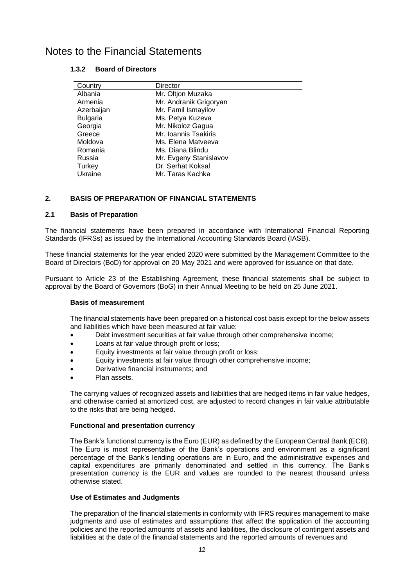| Country         | Director               |
|-----------------|------------------------|
| Albania         | Mr. Oltjon Muzaka      |
| Armenia         | Mr. Andranik Grigoryan |
| Azerbaijan      | Mr. Famil Ismayilov    |
| <b>Bulgaria</b> | Ms. Petya Kuzeva       |
| Georgia         | Mr. Nikoloz Gagua      |
| Greece          | Mr. Ioannis Tsakiris   |
| Moldova         | Ms. Elena Matveeva     |
| Romania         | Ms. Diana Blindu       |
| Russia          | Mr. Evgeny Stanislavov |
| Turkey          | Dr. Serhat Koksal      |
| Ukraine         | Mr. Taras Kachka       |

#### **1.3.2 Board of Directors**

#### **2. BASIS OF PREPARATION OF FINANCIAL STATEMENTS**

#### **2.1 Basis of Preparation**

The financial statements have been prepared in accordance with International Financial Reporting Standards (IFRSs) as issued by the International Accounting Standards Board (IASB).

These financial statements for the year ended 2020 were submitted by the Management Committee to the Board of Directors (BoD) for approval on 20 May 2021 and were approved for issuance on that date.

Pursuant to Article 23 of the Establishing Agreement, these financial statements shall be subject to approval by the Board of Governors (BoG) in their Annual Meeting to be held on 25 June 2021.

#### **Basis of measurement**

The financial statements have been prepared on a historical cost basis except for the below assets and liabilities which have been measured at fair value:

- Debt investment securities at fair value through other comprehensive income;
- Loans at fair value through profit or loss;
- Equity investments at fair value through profit or loss;
- Equity investments at fair value through other comprehensive income;
- Derivative financial instruments; and
- Plan assets.

The carrying values of recognized assets and liabilities that are hedged items in fair value hedges, and otherwise carried at amortized cost, are adjusted to record changes in fair value attributable to the risks that are being hedged.

#### **Functional and presentation currency**

The Bank's functional currency is the Euro (EUR) as defined by the European Central Bank (ECB). The Euro is most representative of the Bank's operations and environment as a significant percentage of the Bank's lending operations are in Euro, and the administrative expenses and capital expenditures are primarily denominated and settled in this currency. The Bank's presentation currency is the EUR and values are rounded to the nearest thousand unless otherwise stated.

#### **Use of Estimates and Judgments**

The preparation of the financial statements in conformity with IFRS requires management to make judgments and use of estimates and assumptions that affect the application of the accounting policies and the reported amounts of assets and liabilities, the disclosure of contingent assets and liabilities at the date of the financial statements and the reported amounts of revenues and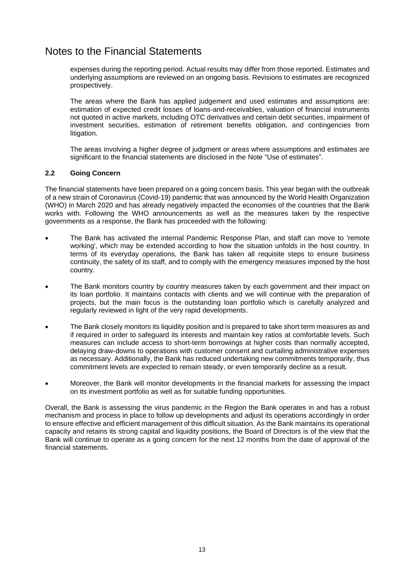expenses during the reporting period. Actual results may differ from those reported. Estimates and underlying assumptions are reviewed on an ongoing basis. Revisions to estimates are recognized prospectively.

The areas where the Bank has applied judgement and used estimates and assumptions are: estimation of expected credit losses of loans-and-receivables, valuation of financial instruments not quoted in active markets, including OTC derivatives and certain debt securities, impairment of investment securities, estimation of retirement benefits obligation, and contingencies from litigation.

The areas involving a higher degree of judgment or areas where assumptions and estimates are significant to the financial statements are disclosed in the Note "Use of estimates".

#### **2.2 Going Concern**

The financial statements have been prepared on a going concern basis. This year began with the outbreak of a new strain of Coronavirus (Covid-19) pandemic that was announced by the World Health Organization (WHO) in March 2020 and has already negatively impacted the economies of the countries that the Bank works with. Following the WHO announcements as well as the measures taken by the respective governments as a response, the Bank has proceeded with the following:

- The Bank has activated the internal Pandemic Response Plan, and staff can move to 'remote working', which may be extended according to how the situation unfolds in the host country. In terms of its everyday operations, the Bank has taken all requisite steps to ensure business continuity, the safety of its staff, and to comply with the emergency measures imposed by the host country.
- The Bank monitors country by country measures taken by each government and their impact on its loan portfolio. It maintains contacts with clients and we will continue with the preparation of projects, but the main focus is the outstanding loan portfolio which is carefully analyzed and regularly reviewed in light of the very rapid developments.
- The Bank closely monitors its liquidity position and is prepared to take short term measures as and if required in order to safeguard its interests and maintain key ratios at comfortable levels. Such measures can include access to short-term borrowings at higher costs than normally accepted, delaying draw-downs to operations with customer consent and curtailing administrative expenses as necessary. Additionally, the Bank has reduced undertaking new commitments temporarily, thus commitment levels are expected to remain steady, or even temporarily decline as a result.
- Moreover, the Bank will monitor developments in the financial markets for assessing the impact on its investment portfolio as well as for suitable funding opportunities.

Overall, the Bank is assessing the virus pandemic in the Region the Bank operates in and has a robust mechanism and process in place to follow up developments and adjust its operations accordingly in order to ensure effective and efficient management of this difficult situation. As the Bank maintains its operational capacity and retains its strong capital and liquidity positions, the Board of Directors is of the view that the Bank will continue to operate as a going concern for the next 12 months from the date of approval of the financial statements.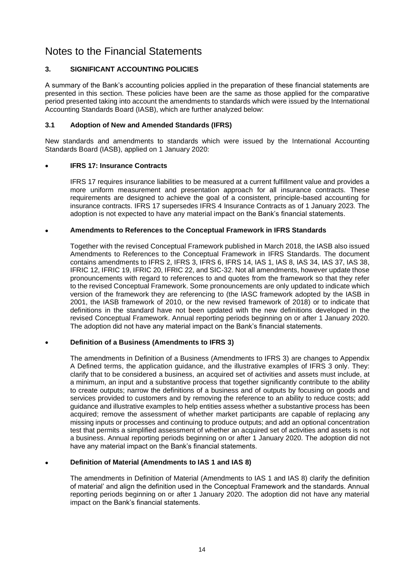#### **3. SIGNIFICANT ACCOUNTING POLICIES**

A summary of the Bank's accounting policies applied in the preparation of these financial statements are presented in this section. These policies have been are the same as those applied for the comparative period presented taking into account the amendments to standards which were issued by the International Accounting Standards Board (IASB), which are further analyzed below:

#### **3.1 Adoption of New and Amended Standards (IFRS)**

New standards and amendments to standards which were issued by the International Accounting Standards Board (IASB), applied on 1 January 2020:

#### • **IFRS 17: Insurance Contracts**

IFRS 17 requires insurance liabilities to be measured at a current fulfillment value and provides a more uniform measurement and presentation approach for all insurance contracts. These requirements are designed to achieve the goal of a consistent, principle-based accounting for insurance contracts. IFRS 17 supersedes IFRS 4 Insurance Contracts as of 1 January 2023. The adoption is not expected to have any material impact on the Bank's financial statements.

#### • **Amendments to References to the Conceptual Framework in IFRS Standards**

Together with the revised Conceptual Framework published in March 2018, the IASB also issued Amendments to References to the Conceptual Framework in IFRS Standards. The document contains amendments to IFRS 2, IFRS 3, IFRS 6, IFRS 14, IAS 1, IAS 8, IAS 34, IAS 37, IAS 38, IFRIC 12, IFRIC 19, IFRIC 20, IFRIC 22, and SIC-32. Not all amendments, however update those pronouncements with regard to references to and quotes from the framework so that they refer to the revised Conceptual Framework. Some pronouncements are only updated to indicate which version of the framework they are referencing to (the IASC framework adopted by the IASB in 2001, the IASB framework of 2010, or the new revised framework of 2018) or to indicate that definitions in the standard have not been updated with the new definitions developed in the revised Conceptual Framework. Annual reporting periods beginning on or after 1 January 2020. The adoption did not have any material impact on the Bank's financial statements.

#### • **Definition of a Business (Amendments to IFRS 3)**

The amendments in Definition of a Business (Amendments to IFRS 3) are changes to Appendix A Defined terms, the application guidance, and the illustrative examples of IFRS 3 only. They: clarify that to be considered a business, an acquired set of activities and assets must include, at a minimum, an input and a substantive process that together significantly contribute to the ability to create outputs; narrow the definitions of a business and of outputs by focusing on goods and services provided to customers and by removing the reference to an ability to reduce costs; add guidance and illustrative examples to help entities assess whether a substantive process has been acquired; remove the assessment of whether market participants are capable of replacing any missing inputs or processes and continuing to produce outputs; and add an optional concentration test that permits a simplified assessment of whether an acquired set of activities and assets is not a business. Annual reporting periods beginning on or after 1 January 2020. The adoption did not have any material impact on the Bank's financial statements.

#### • **Definition of Material (Amendments to IAS 1 and IAS 8)**

The amendments in Definition of Material (Amendments to IAS 1 and IAS 8) clarify the definition of material' and align the definition used in the Conceptual Framework and the standards. Annual reporting periods beginning on or after 1 January 2020. The adoption did not have any material impact on the Bank's financial statements.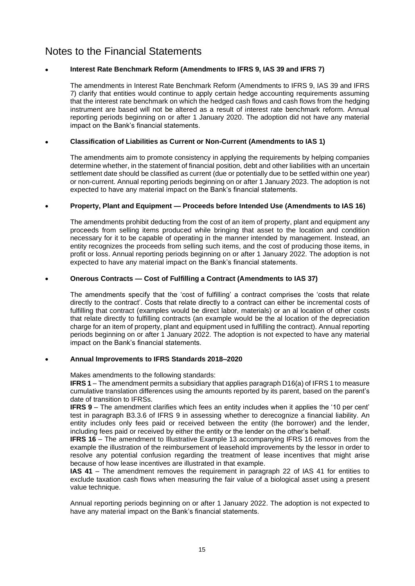#### • **Interest Rate Benchmark Reform (Amendments to IFRS 9, IAS 39 and IFRS 7)**

The amendments in Interest Rate Benchmark Reform (Amendments to IFRS 9, IAS 39 and IFRS 7) clarify that entities would continue to apply certain hedge accounting requirements assuming that the interest rate benchmark on which the hedged cash flows and cash flows from the hedging instrument are based will not be altered as a result of interest rate benchmark reform. Annual reporting periods beginning on or after 1 January 2020. The adoption did not have any material impact on the Bank's financial statements.

#### • **Classification of Liabilities as Current or Non-Current (Amendments to IAS 1)**

The amendments aim to promote consistency in applying the requirements by helping companies determine whether, in the statement of financial position, debt and other liabilities with an uncertain settlement date should be classified as current (due or potentially due to be settled within one year) or non-current. Annual reporting periods beginning on or after 1 January 2023. The adoption is not expected to have any material impact on the Bank's financial statements.

#### • **Property, Plant and Equipment — Proceeds before Intended Use (Amendments to IAS 16)**

The amendments prohibit deducting from the cost of an item of property, plant and equipment any proceeds from selling items produced while bringing that asset to the location and condition necessary for it to be capable of operating in the manner intended by management. Instead, an entity recognizes the proceeds from selling such items, and the cost of producing those items, in profit or loss. Annual reporting periods beginning on or after 1 January 2022. The adoption is not expected to have any material impact on the Bank's financial statements.

#### • **Onerous Contracts — Cost of Fulfilling a Contract (Amendments to IAS 37)**

The amendments specify that the 'cost of fulfilling' a contract comprises the 'costs that relate directly to the contract'. Costs that relate directly to a contract can either be incremental costs of fulfilling that contract (examples would be direct labor, materials) or an al location of other costs that relate directly to fulfilling contracts (an example would be the al location of the depreciation charge for an item of property, plant and equipment used in fulfilling the contract). Annual reporting periods beginning on or after 1 January 2022. The adoption is not expected to have any material impact on the Bank's financial statements.

#### • **Annual Improvements to IFRS Standards 2018–2020**

Makes amendments to the following standards:

**IFRS 1** – The amendment permits a subsidiary that applies paragraph D16(a) of IFRS 1 to measure cumulative translation differences using the amounts reported by its parent, based on the parent's date of transition to IFRSs.

**IFRS 9** – The amendment clarifies which fees an entity includes when it applies the '10 per cent' test in paragraph B3.3.6 of IFRS 9 in assessing whether to derecognize a financial liability. An entity includes only fees paid or received between the entity (the borrower) and the lender, including fees paid or received by either the entity or the lender on the other's behalf.

**IFRS 16** – The amendment to Illustrative Example 13 accompanying IFRS 16 removes from the example the illustration of the reimbursement of leasehold improvements by the lessor in order to resolve any potential confusion regarding the treatment of lease incentives that might arise because of how lease incentives are illustrated in that example.

**IAS 41** – The amendment removes the requirement in paragraph 22 of IAS 41 for entities to exclude taxation cash flows when measuring the fair value of a biological asset using a present value technique.

Annual reporting periods beginning on or after 1 January 2022. The adoption is not expected to have any material impact on the Bank's financial statements.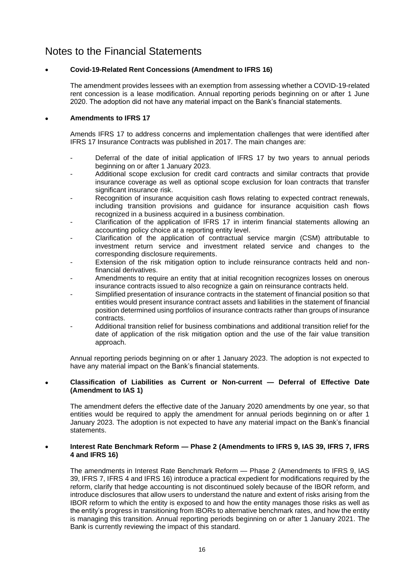#### • **Covid-19-Related Rent Concessions (Amendment to IFRS 16)**

The amendment provides lessees with an exemption from assessing whether a COVID-19-related rent concession is a lease modification. Annual reporting periods beginning on or after 1 June 2020. The adoption did not have any material impact on the Bank's financial statements.

#### • **Amendments to IFRS 17**

Amends IFRS 17 to address concerns and implementation challenges that were identified after IFRS 17 Insurance Contracts was published in 2017. The main changes are:

- Deferral of the date of initial application of IFRS 17 by two years to annual periods beginning on or after 1 January 2023.
- Additional scope exclusion for credit card contracts and similar contracts that provide insurance coverage as well as optional scope exclusion for loan contracts that transfer significant insurance risk.
- Recognition of insurance acquisition cash flows relating to expected contract renewals, including transition provisions and guidance for insurance acquisition cash flows recognized in a business acquired in a business combination.
- Clarification of the application of IFRS 17 in interim financial statements allowing an accounting policy choice at a reporting entity level.
- Clarification of the application of contractual service margin (CSM) attributable to investment return service and investment related service and changes to the corresponding disclosure requirements.
- Extension of the risk mitigation option to include reinsurance contracts held and nonfinancial derivatives.
- Amendments to require an entity that at initial recognition recognizes losses on onerous insurance contracts issued to also recognize a gain on reinsurance contracts held.
- Simplified presentation of insurance contracts in the statement of financial position so that entities would present insurance contract assets and liabilities in the statement of financial position determined using portfolios of insurance contracts rather than groups of insurance contracts.
- Additional transition relief for business combinations and additional transition relief for the date of application of the risk mitigation option and the use of the fair value transition approach.

Annual reporting periods beginning on or after 1 January 2023. The adoption is not expected to have any material impact on the Bank's financial statements.

#### • **Classification of Liabilities as Current or Non-current — Deferral of Effective Date (Amendment to IAS 1)**

The amendment defers the effective date of the January 2020 amendments by one year, so that entities would be required to apply the amendment for annual periods beginning on or after 1 January 2023. The adoption is not expected to have any material impact on the Bank's financial statements.

#### • **Interest Rate Benchmark Reform — Phase 2 (Amendments to IFRS 9, IAS 39, IFRS 7, IFRS 4 and IFRS 16)**

The amendments in Interest Rate Benchmark Reform — Phase 2 (Amendments to IFRS 9, IAS 39, IFRS 7, IFRS 4 and IFRS 16) introduce a practical expedient for modifications required by the reform, clarify that hedge accounting is not discontinued solely because of the IBOR reform, and introduce disclosures that allow users to understand the nature and extent of risks arising from the IBOR reform to which the entity is exposed to and how the entity manages those risks as well as the entity's progress in transitioning from IBORs to alternative benchmark rates, and how the entity is managing this transition. Annual reporting periods beginning on or after 1 January 2021. The Bank is currently reviewing the impact of this standard.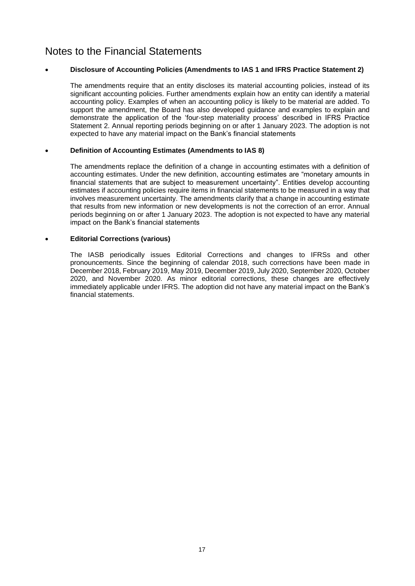#### • **Disclosure of Accounting Policies (Amendments to IAS 1 and IFRS Practice Statement 2)**

The amendments require that an entity discloses its material accounting policies, instead of its significant accounting policies. Further amendments explain how an entity can identify a material accounting policy. Examples of when an accounting policy is likely to be material are added. To support the amendment, the Board has also developed guidance and examples to explain and demonstrate the application of the 'four-step materiality process' described in IFRS Practice Statement 2. Annual reporting periods beginning on or after 1 January 2023. The adoption is not expected to have any material impact on the Bank's financial statements

#### • **Definition of Accounting Estimates (Amendments to IAS 8)**

The amendments replace the definition of a change in accounting estimates with a definition of accounting estimates. Under the new definition, accounting estimates are "monetary amounts in financial statements that are subject to measurement uncertainty". Entities develop accounting estimates if accounting policies require items in financial statements to be measured in a way that involves measurement uncertainty. The amendments clarify that a change in accounting estimate that results from new information or new developments is not the correction of an error. Annual periods beginning on or after 1 January 2023. The adoption is not expected to have any material impact on the Bank's financial statements

#### • **Editorial Corrections (various)**

The IASB periodically issues Editorial Corrections and changes to IFRSs and other pronouncements. Since the beginning of calendar 2018, such corrections have been made in December 2018, February 2019, May 2019, December 2019, July 2020, September 2020, October 2020, and November 2020. As minor editorial corrections, these changes are effectively immediately applicable under IFRS. The adoption did not have any material impact on the Bank's financial statements.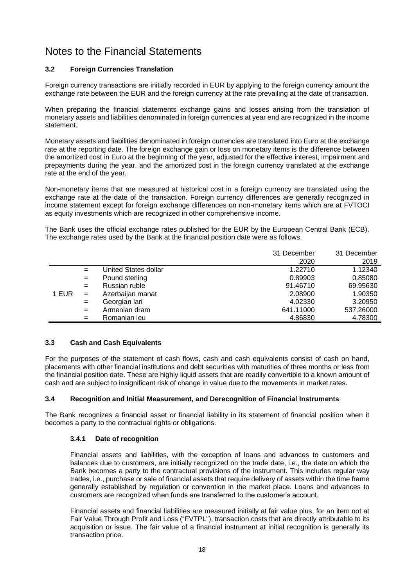#### **3.2 Foreign Currencies Translation**

Foreign currency transactions are initially recorded in EUR by applying to the foreign currency amount the exchange rate between the EUR and the foreign currency at the rate prevailing at the date of transaction.

When preparing the financial statements exchange gains and losses arising from the translation of monetary assets and liabilities denominated in foreign currencies at year end are recognized in the income statement.

Monetary assets and liabilities denominated in foreign currencies are translated into Euro at the exchange rate at the reporting date. The foreign exchange gain or loss on monetary items is the difference between the amortized cost in Euro at the beginning of the year, adjusted for the effective interest, impairment and prepayments during the year, and the amortized cost in the foreign currency translated at the exchange rate at the end of the year.

Non-monetary items that are measured at historical cost in a foreign currency are translated using the exchange rate at the date of the transaction. Foreign currency differences are generally recognized in income statement except for foreign exchange differences on non-monetary items which are at FVTOCI as equity investments which are recognized in other comprehensive income.

The Bank uses the official exchange rates published for the EUR by the European Central Bank (ECB). The exchange rates used by the Bank at the financial position date were as follows.

|       |     |                      | 31 December | 31 December |
|-------|-----|----------------------|-------------|-------------|
|       |     |                      | 2020        | 2019        |
|       |     | United States dollar | 1.22710     | 1.12340     |
|       | $=$ | Pound sterling       | 0.89903     | 0.85080     |
|       | $=$ | Russian ruble        | 91.46710    | 69.95630    |
| 1 EUR | $=$ | Azerbaijan manat     | 2.08900     | 1.90350     |
|       | $=$ | Georgian lari        | 4.02330     | 3.20950     |
|       |     | Armenian dram        | 641.11000   | 537.26000   |
|       | =   | Romanian leu         | 4.86830     | 4.78300     |

#### **3.3 Cash and Cash Equivalents**

For the purposes of the statement of cash flows, cash and cash equivalents consist of cash on hand, placements with other financial institutions and debt securities with maturities of three months or less from the financial position date. These are highly liquid assets that are readily convertible to a known amount of cash and are subject to insignificant risk of change in value due to the movements in market rates.

#### **3.4 Recognition and Initial Measurement, and Derecognition of Financial Instruments**

The Bank recognizes a financial asset or financial liability in its statement of financial position when it becomes a party to the contractual rights or obligations.

#### **3.4.1 Date of recognition**

Financial assets and liabilities, with the exception of loans and advances to customers and balances due to customers, are initially recognized on the trade date, i.e., the date on which the Bank becomes a party to the contractual provisions of the instrument. This includes regular way trades, i.e., purchase or sale of financial assets that require delivery of assets within the time frame generally established by regulation or convention in the market place. Loans and advances to customers are recognized when funds are transferred to the customer's account.

Financial assets and financial liabilities are measured initially at fair value plus, for an item not at Fair Value Through Profit and Loss ("FVTPL"), transaction costs that are directly attributable to its acquisition or issue. The fair value of a financial instrument at initial recognition is generally its transaction price.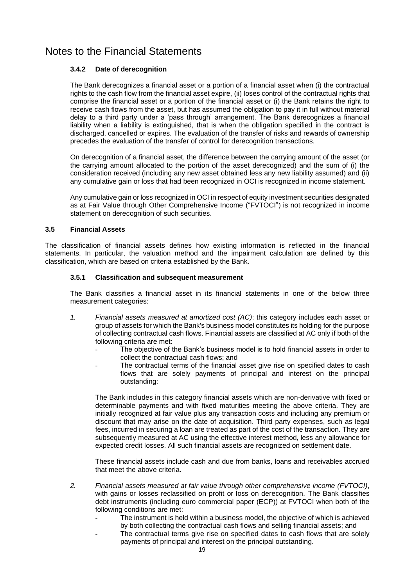#### **3.4.2 Date of derecognition**

The Bank derecognizes a financial asset or a portion of a financial asset when (i) the contractual rights to the cash flow from the financial asset expire, (ii) loses control of the contractual rights that comprise the financial asset or a portion of the financial asset or (i) the Bank retains the right to receive cash flows from the asset, but has assumed the obligation to pay it in full without material delay to a third party under a 'pass through' arrangement. The Bank derecognizes a financial liability when a liability is extinguished, that is when the obligation specified in the contract is discharged, cancelled or expires. The evaluation of the transfer of risks and rewards of ownership precedes the evaluation of the transfer of control for derecognition transactions.

On derecognition of a financial asset, the difference between the carrying amount of the asset (or the carrying amount allocated to the portion of the asset derecognized) and the sum of (i) the consideration received (including any new asset obtained less any new liability assumed) and (ii) any cumulative gain or loss that had been recognized in OCI is recognized in income statement.

Any cumulative gain or loss recognized in OCI in respect of equity investment securities designated as at Fair Value through Other Comprehensive Income ("FVTOCI") is not recognized in income statement on derecognition of such securities.

#### **3.5 Financial Assets**

The classification of financial assets defines how existing information is reflected in the financial statements. In particular, the valuation method and the impairment calculation are defined by this classification, which are based on criteria established by the Bank.

#### **3.5.1 Classification and subsequent measurement**

The Bank classifies a financial asset in its financial statements in one of the below three measurement categories:

- *1. Financial assets measured at amortized cost (AC)*: this category includes each asset or group of assets for which the Bank's business model constitutes its holding for the purpose of collecting contractual cash flows. Financial assets are classified at AC only if both of the following criteria are met:
	- The objective of the Bank's business model is to hold financial assets in order to collect the contractual cash flows; and
	- The contractual terms of the financial asset give rise on specified dates to cash flows that are solely payments of principal and interest on the principal outstanding:

The Bank includes in this category financial assets which are non-derivative with fixed or determinable payments and with fixed maturities meeting the above criteria. They are initially recognized at fair value plus any transaction costs and including any premium or discount that may arise on the date of acquisition. Third party expenses, such as legal fees, incurred in securing a loan are treated as part of the cost of the transaction. They are subsequently measured at AC using the effective interest method, less any allowance for expected credit losses. All such financial assets are recognized on settlement date.

These financial assets include cash and due from banks, loans and receivables accrued that meet the above criteria.

- *2. Financial assets measured at fair value through other comprehensive income (FVTOCI)*, with gains or losses reclassified on profit or loss on derecognition. The Bank classifies debt instruments (including euro commercial paper (ECP)) at FVTOCI when both of the following conditions are met:
	- The instrument is held within a business model, the objective of which is achieved by both collecting the contractual cash flows and selling financial assets; and
	- The contractual terms give rise on specified dates to cash flows that are solely payments of principal and interest on the principal outstanding.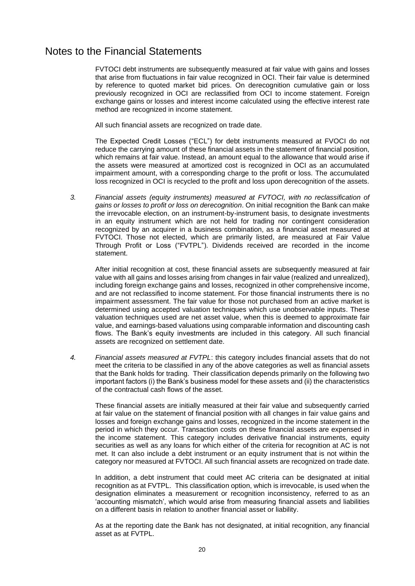FVTOCI debt instruments are subsequently measured at fair value with gains and losses that arise from fluctuations in fair value recognized in OCI. Their fair value is determined by reference to quoted market bid prices. On derecognition cumulative gain or loss previously recognized in OCI are reclassified from OCI to income statement. Foreign exchange gains or losses and interest income calculated using the effective interest rate method are recognized in income statement.

All such financial assets are recognized on trade date.

The Expected Credit Losses ("ECL") for debt instruments measured at FVOCI do not reduce the carrying amount of these financial assets in the statement of financial position, which remains at fair value. Instead, an amount equal to the allowance that would arise if the assets were measured at amortized cost is recognized in OCI as an accumulated impairment amount, with a corresponding charge to the profit or loss. The accumulated loss recognized in OCI is recycled to the profit and loss upon derecognition of the assets.

*3. Financial assets (equity instruments) measured at FVTOCI, with no reclassification of gains or losses to profit or loss on derecognition*. On initial recognition the Bank can make the irrevocable election, on an instrument-by-instrument basis, to designate investments in an equity instrument which are not held for trading nor contingent consideration recognized by an acquirer in a business combination, as a financial asset measured at FVTOCI. Those not elected, which are primarily listed, are measured at Fair Value Through Profit or Loss ("FVTPL"). Dividends received are recorded in the income statement.

After initial recognition at cost, these financial assets are subsequently measured at fair value with all gains and losses arising from changes in fair value (realized and unrealized), including foreign exchange gains and losses, recognized in other comprehensive income, and are not reclassified to income statement. For those financial instruments there is no impairment assessment. The fair value for those not purchased from an active market is determined using accepted valuation techniques which use unobservable inputs. These valuation techniques used are net asset value, when this is deemed to approximate fair value, and earnings-based valuations using comparable information and discounting cash flows. The Bank's equity investments are included in this category. All such financial assets are recognized on settlement date.

*4. Financial assets measured at FVTPL*: this category includes financial assets that do not meet the criteria to be classified in any of the above categories as well as financial assets that the Bank holds for trading. Their classification depends primarily on the following two important factors (i) the Bank's business model for these assets and (ii) the characteristics of the contractual cash flows of the asset.

These financial assets are initially measured at their fair value and subsequently carried at fair value on the statement of financial position with all changes in fair value gains and losses and foreign exchange gains and losses, recognized in the income statement in the period in which they occur. Transaction costs on these financial assets are expensed in the income statement. This category includes derivative financial instruments, equity securities as well as any loans for which either of the criteria for recognition at AC is not met. It can also include a debt instrument or an equity instrument that is not within the category nor measured at FVTOCI. All such financial assets are recognized on trade date.

In addition, a debt instrument that could meet AC criteria can be designated at initial recognition as at FVTPL. This classification option, which is irrevocable, is used when the designation eliminates a measurement or recognition inconsistency, referred to as an 'accounting mismatch', which would arise from measuring financial assets and liabilities on a different basis in relation to another financial asset or liability.

As at the reporting date the Bank has not designated, at initial recognition, any financial asset as at FVTPL.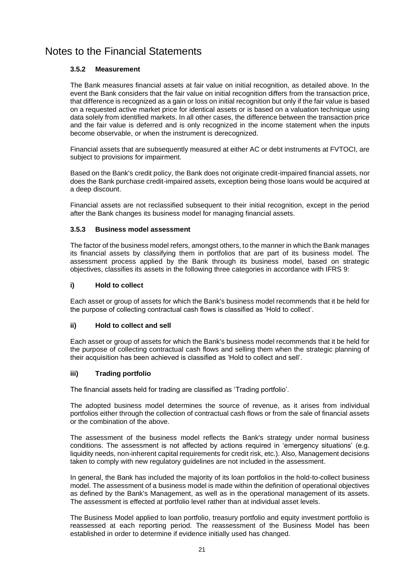#### **3.5.2 Measurement**

The Bank measures financial assets at fair value on initial recognition, as detailed above. In the event the Bank considers that the fair value on initial recognition differs from the transaction price, that difference is recognized as a gain or loss on initial recognition but only if the fair value is based on a requested active market price for identical assets or is based on a valuation technique using data solely from identified markets. In all other cases, the difference between the transaction price and the fair value is deferred and is only recognized in the income statement when the inputs become observable, or when the instrument is derecognized.

Financial assets that are subsequently measured at either AC or debt instruments at FVTOCI, are subject to provisions for impairment.

Based on the Bank's credit policy, the Bank does not originate credit-impaired financial assets, nor does the Bank purchase credit-impaired assets, exception being those loans would be acquired at a deep discount.

Financial assets are not reclassified subsequent to their initial recognition, except in the period after the Bank changes its business model for managing financial assets.

#### **3.5.3 Business model assessment**

The factor of the business model refers, amongst others, to the manner in which the Bank manages its financial assets by classifying them in portfolios that are part of its business model. The assessment process applied by the Bank through its business model, based on strategic objectives, classifies its assets in the following three categories in accordance with IFRS 9:

#### **i) Hold to collect**

Each asset or group of assets for which the Bank's business model recommends that it be held for the purpose of collecting contractual cash flows is classified as 'Hold to collect'.

#### **ii) Hold to collect and sell**

Each asset or group of assets for which the Bank's business model recommends that it be held for the purpose of collecting contractual cash flows and selling them when the strategic planning of their acquisition has been achieved is classified as 'Hold to collect and sell'.

#### **iii) Trading portfolio**

The financial assets held for trading are classified as 'Trading portfolio'.

The adopted business model determines the source of revenue, as it arises from individual portfolios either through the collection of contractual cash flows or from the sale of financial assets or the combination of the above.

The assessment of the business model reflects the Bank's strategy under normal business conditions. The assessment is not affected by actions required in 'emergency situations' (e.g. liquidity needs, non-inherent capital requirements for credit risk, etc.). Also, Management decisions taken to comply with new regulatory guidelines are not included in the assessment.

In general, the Bank has included the majority of its loan portfolios in the hold-to-collect business model. The assessment of a business model is made within the definition of operational objectives as defined by the Bank's Management, as well as in the operational management of its assets. The assessment is effected at portfolio level rather than at individual asset levels.

The Business Model applied to loan portfolio, treasury portfolio and equity investment portfolio is reassessed at each reporting period. The reassessment of the Business Model has been established in order to determine if evidence initially used has changed.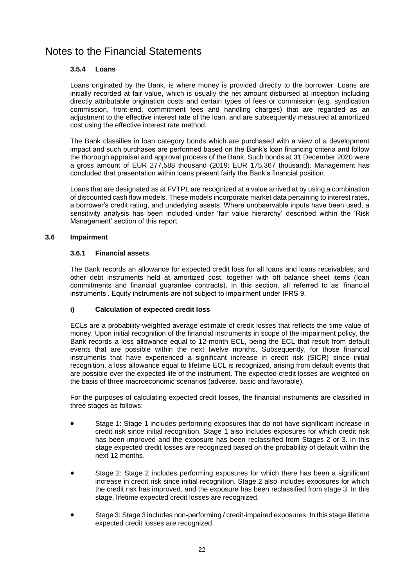#### **3.5.4 Loans**

Loans originated by the Bank, is where money is provided directly to the borrower. Loans are initially recorded at fair value, which is usually the net amount disbursed at inception including directly attributable origination costs and certain types of fees or commission (e.g. syndication commission, front-end, commitment fees and handling charges) that are regarded as an adjustment to the effective interest rate of the loan, and are subsequently measured at amortized cost using the effective interest rate method.

The Bank classifies in loan category bonds which are purchased with a view of a development impact and such purchases are performed based on the Bank's loan financing criteria and follow the thorough appraisal and approval process of the Bank. Such bonds at 31 December 2020 were a gross amount of EUR 277,588 thousand (2019: EUR 175,367 thousand). Management has concluded that presentation within loans present fairly the Bank's financial position.

Loans that are designated as at FVTPL are recognized at a value arrived at by using a combination of discounted cash flow models. These models incorporate market data pertaining to interest rates, a borrower's credit rating, and underlying assets. Where unobservable inputs have been used, a sensitivity analysis has been included under 'fair value hierarchy' described within the 'Risk Management' section of this report.

#### **3.6 Impairment**

#### **3.6.1 Financial assets**

The Bank records an allowance for expected credit loss for all loans and loans receivables, and other debt instruments held at amortized cost, together with off balance sheet items (loan commitments and financial guarantee contracts). In this section, all referred to as 'financial instruments'. Equity instruments are not subject to impairment under IFRS 9.

#### **i) Calculation of expected credit loss**

ECLs are a probability-weighted average estimate of credit losses that reflects the time value of money. Upon initial recognition of the financial instruments in scope of the impairment policy, the Bank records a loss allowance equal to 12-month ECL, being the ECL that result from default events that are possible within the next twelve months. Subsequently, for those financial instruments that have experienced a significant increase in credit risk (SICR) since initial recognition, a loss allowance equal to lifetime ECL is recognized, arising from default events that are possible over the expected life of the instrument. The expected credit losses are weighted on the basis of three macroeconomic scenarios (adverse, basic and favorable).

For the purposes of calculating expected credit losses, the financial instruments are classified in three stages as follows:

- Stage 1: Stage 1 includes performing exposures that do not have significant increase in credit risk since initial recognition. Stage 1 also includes exposures for which credit risk has been improved and the exposure has been reclassified from Stages 2 or 3. In this stage expected credit losses are recognized based on the probability of default within the next 12 months.
- Stage 2: Stage 2 includes performing exposures for which there has been a significant increase in credit risk since initial recognition. Stage 2 also includes exposures for which the credit risk has improved, and the exposure has been reclassified from stage 3. In this stage, lifetime expected credit losses are recognized.
- Stage 3: Stage 3 includes non-performing / credit-impaired exposures. In this stage lifetime expected credit losses are recognized.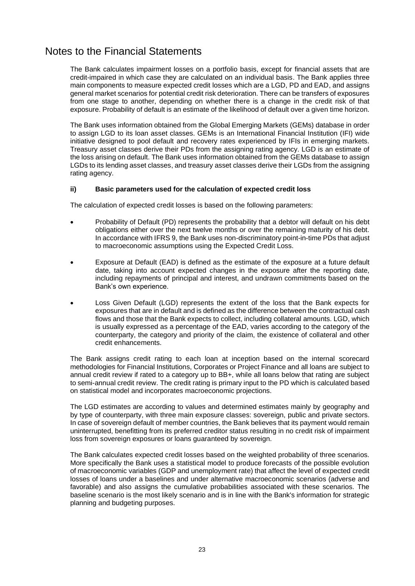The Bank calculates impairment losses on a portfolio basis, except for financial assets that are credit-impaired in which case they are calculated on an individual basis. The Bank applies three main components to measure expected credit losses which are a LGD, PD and EAD, and assigns general market scenarios for potential credit risk deterioration. There can be transfers of exposures from one stage to another, depending on whether there is a change in the credit risk of that exposure. Probability of default is an estimate of the likelihood of default over a given time horizon.

The Bank uses information obtained from the Global Emerging Markets (GEMs) database in order to assign LGD to its loan asset classes. GEMs is an International Financial Institution (IFI) wide initiative designed to pool default and recovery rates experienced by IFIs in emerging markets. Treasury asset classes derive their PDs from the assigning rating agency. LGD is an estimate of the loss arising on default. The Bank uses information obtained from the GEMs database to assign LGDs to its lending asset classes, and treasury asset classes derive their LGDs from the assigning rating agency.

#### **ii) Basic parameters used for the calculation of expected credit loss**

The calculation of expected credit losses is based on the following parameters:

- Probability of Default (PD) represents the probability that a debtor will default on his debt obligations either over the next twelve months or over the remaining maturity of his debt. In accordance with IFRS 9, the Bank uses non-discriminatory point-in-time PDs that adjust to macroeconomic assumptions using the Expected Credit Loss.
- Exposure at Default (EAD) is defined as the estimate of the exposure at a future default date, taking into account expected changes in the exposure after the reporting date, including repayments of principal and interest, and undrawn commitments based on the Bank's own experience.
- Loss Given Default (LGD) represents the extent of the loss that the Bank expects for exposures that are in default and is defined as the difference between the contractual cash flows and those that the Bank expects to collect, including collateral amounts. LGD, which is usually expressed as a percentage of the EAD, varies according to the category of the counterparty, the category and priority of the claim, the existence of collateral and other credit enhancements.

The Bank assigns credit rating to each loan at inception based on the internal scorecard methodologies for Financial Institutions, Corporates or Project Finance and all loans are subject to annual credit review if rated to a category up to BB+, while all loans below that rating are subject to semi-annual credit review. The credit rating is primary input to the PD which is calculated based on statistical model and incorporates macroeconomic projections.

The LGD estimates are according to values and determined estimates mainly by geography and by type of counterparty, with three main exposure classes: sovereign, public and private sectors. In case of sovereign default of member countries, the Bank believes that its payment would remain uninterrupted, benefitting from its preferred creditor status resulting in no credit risk of impairment loss from sovereign exposures or loans guaranteed by sovereign.

The Bank calculates expected credit losses based on the weighted probability of three scenarios. More specifically the Bank uses a statistical model to produce forecasts of the possible evolution of macroeconomic variables (GDP and unemployment rate) that affect the level of expected credit losses of loans under a baselines and under alternative macroeconomic scenarios (adverse and favorable) and also assigns the cumulative probabilities associated with these scenarios. The baseline scenario is the most likely scenario and is in line with the Bank's information for strategic planning and budgeting purposes.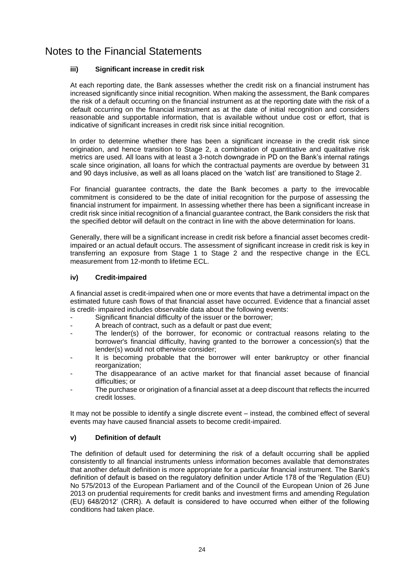#### **iii) Significant increase in credit risk**

At each reporting date, the Bank assesses whether the credit risk on a financial instrument has increased significantly since initial recognition. When making the assessment, the Bank compares the risk of a default occurring on the financial instrument as at the reporting date with the risk of a default occurring on the financial instrument as at the date of initial recognition and considers reasonable and supportable information, that is available without undue cost or effort, that is indicative of significant increases in credit risk since initial recognition.

In order to determine whether there has been a significant increase in the credit risk since origination, and hence transition to Stage 2, a combination of quantitative and qualitative risk metrics are used. All loans with at least a 3-notch downgrade in PD on the Bank's internal ratings scale since origination, all loans for which the contractual payments are overdue by between 31 and 90 days inclusive, as well as all loans placed on the 'watch list' are transitioned to Stage 2.

For financial guarantee contracts, the date the Bank becomes a party to the irrevocable commitment is considered to be the date of initial recognition for the purpose of assessing the financial instrument for impairment. In assessing whether there has been a significant increase in credit risk since initial recognition of a financial guarantee contract, the Bank considers the risk that the specified debtor will default on the contract in line with the above determination for loans.

Generally, there will be a significant increase in credit risk before a financial asset becomes creditimpaired or an actual default occurs. The assessment of significant increase in credit risk is key in transferring an exposure from Stage 1 to Stage 2 and the respective change in the ECL measurement from 12-month to lifetime ECL.

#### **iv) Credit-impaired**

A financial asset is credit-impaired when one or more events that have a detrimental impact on the estimated future cash flows of that financial asset have occurred. Evidence that a financial asset is credit- impaired includes observable data about the following events:

- Significant financial difficulty of the issuer or the borrower;
- A breach of contract, such as a default or past due event;
- The lender(s) of the borrower, for economic or contractual reasons relating to the borrower's financial difficulty, having granted to the borrower a concession(s) that the lender(s) would not otherwise consider;
- It is becoming probable that the borrower will enter bankruptcy or other financial reorganization:
- The disappearance of an active market for that financial asset because of financial difficulties; or
- The purchase or origination of a financial asset at a deep discount that reflects the incurred credit losses.

It may not be possible to identify a single discrete event – instead, the combined effect of several events may have caused financial assets to become credit-impaired.

#### **v) Definition of default**

The definition of default used for determining the risk of a default occurring shall be applied consistently to all financial instruments unless information becomes available that demonstrates that another default definition is more appropriate for a particular financial instrument. The Bank's definition of default is based on the regulatory definition under Article 178 of the 'Regulation (EU) No 575/2013 of the European Parliament and of the Council of the European Union of 26 June 2013 on prudential requirements for credit banks and investment firms and amending Regulation (EU) 648/2012' (CRR). A default is considered to have occurred when either of the following conditions had taken place.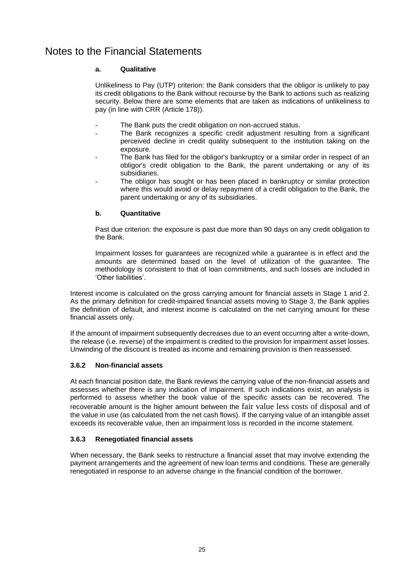#### **a. Qualitative**

Unlikeliness to Pay (UTP) criterion: the Bank considers that the obligor is unlikely to pay its credit obligations to the Bank without recourse by the Bank to actions such as realizing security. Below there are some elements that are taken as indications of unlikeliness to pay (in line with CRR (Article 178)).

- The Bank puts the credit obligation on non-accrued status.
- The Bank recognizes a specific credit adjustment resulting from a significant perceived decline in credit quality subsequent to the institution taking on the exposure.
- The Bank has filed for the obligor's bankruptcy or a similar order in respect of an obligor's credit obligation to the Bank, the parent undertaking or any of its subsidiaries.
- The obligor has sought or has been placed in bankruptcy or similar protection where this would avoid or delay repayment of a credit obligation to the Bank, the parent undertaking or any of its subsidiaries.

#### **b. Quantitative**

Past due criterion: the exposure is past due more than 90 days on any credit obligation to the Bank.

Impairment losses for guarantees are recognized while a guarantee is in effect and the amounts are determined based on the level of utilization of the guarantee. The methodology is consistent to that of loan commitments, and such losses are included in 'Other liabilities'.

Interest income is calculated on the gross carrying amount for financial assets in Stage 1 and 2. As the primary definition for credit-impaired financial assets moving to Stage 3, the Bank applies the definition of default, and interest income is calculated on the net carrying amount for these financial assets only.

If the amount of impairment subsequently decreases due to an event occurring after a write-down, the release (i.e. reverse) of the impairment is credited to the provision for impairment asset losses. Unwinding of the discount is treated as income and remaining provision is then reassessed.

#### **3.6.2 Non-financial assets**

At each financial position date, the Bank reviews the carrying value of the non-financial assets and assesses whether there is any indication of impairment. If such indications exist, an analysis is performed to assess whether the book value of the specific assets can be recovered. The recoverable amount is the higher amount between the fair value less costs of disposal and of the value in use (as calculated from the net cash flows). If the carrying value of an intangible asset exceeds its recoverable value, then an impairment loss is recorded in the income statement.

#### **3.6.3 Renegotiated financial assets**

When necessary, the Bank seeks to restructure a financial asset that may involve extending the payment arrangements and the agreement of new loan terms and conditions. These are generally renegotiated in response to an adverse change in the financial condition of the borrower.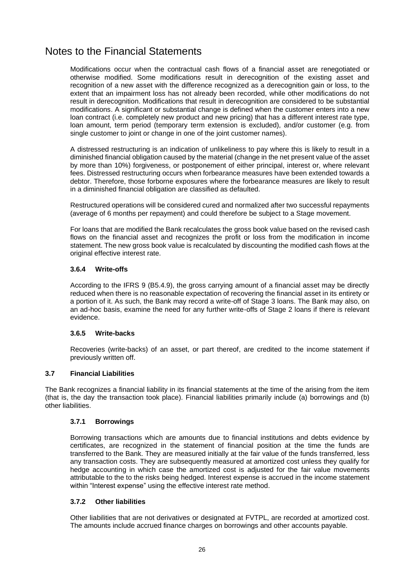Modifications occur when the contractual cash flows of a financial asset are renegotiated or otherwise modified. Some modifications result in derecognition of the existing asset and recognition of a new asset with the difference recognized as a derecognition gain or loss, to the extent that an impairment loss has not already been recorded, while other modifications do not result in derecognition. Modifications that result in derecognition are considered to be substantial modifications. A significant or substantial change is defined when the customer enters into a new loan contract (i.e. completely new product and new pricing) that has a different interest rate type, loan amount, term period (temporary term extension is excluded), and/or customer (e.g. from single customer to joint or change in one of the joint customer names).

A distressed restructuring is an indication of unlikeliness to pay where this is likely to result in a diminished financial obligation caused by the material (change in the net present value of the asset by more than 10%) forgiveness, or postponement of either principal, interest or, where relevant fees. Distressed restructuring occurs when forbearance measures have been extended towards a debtor. Therefore, those forborne exposures where the forbearance measures are likely to result in a diminished financial obligation are classified as defaulted.

Restructured operations will be considered cured and normalized after two successful repayments (average of 6 months per repayment) and could therefore be subject to a Stage movement.

For loans that are modified the Bank recalculates the gross book value based on the revised cash flows on the financial asset and recognizes the profit or loss from the modification in income statement. The new gross book value is recalculated by discounting the modified cash flows at the original effective interest rate.

#### **3.6.4 Write-offs**

According to the IFRS 9 (B5.4.9), the gross carrying amount of a financial asset may be directly reduced when there is no reasonable expectation of recovering the financial asset in its entirety or a portion of it. As such, the Bank may record a write-off of Stage 3 loans. The Bank may also, on an ad-hoc basis, examine the need for any further write-offs of Stage 2 loans if there is relevant evidence.

#### **3.6.5 Write-backs**

Recoveries (write-backs) of an asset, or part thereof, are credited to the income statement if previously written off.

#### **3.7 Financial Liabilities**

The Bank recognizes a financial liability in its financial statements at the time of the arising from the item (that is, the day the transaction took place). Financial liabilities primarily include (a) borrowings and (b) other liabilities.

#### **3.7.1 Borrowings**

Borrowing transactions which are amounts due to financial institutions and debts evidence by certificates, are recognized in the statement of financial position at the time the funds are transferred to the Bank. They are measured initially at the fair value of the funds transferred, less any transaction costs. They are subsequently measured at amortized cost unless they qualify for hedge accounting in which case the amortized cost is adjusted for the fair value movements attributable to the to the risks being hedged. Interest expense is accrued in the income statement within "Interest expense" using the effective interest rate method.

#### **3.7.2 Other liabilities**

Other liabilities that are not derivatives or designated at FVTPL, are recorded at amortized cost. The amounts include accrued finance charges on borrowings and other accounts payable.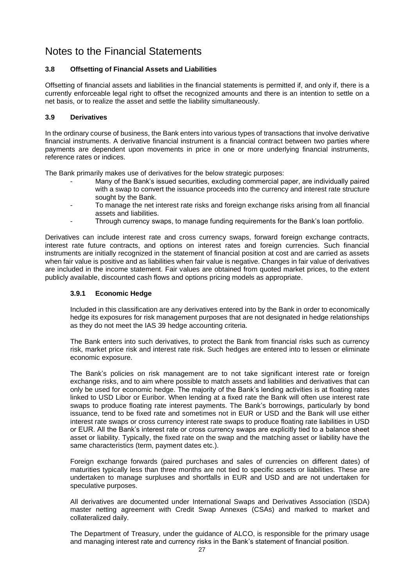#### **3.8 Offsetting of Financial Assets and Liabilities**

Offsetting of financial assets and liabilities in the financial statements is permitted if, and only if, there is a currently enforceable legal right to offset the recognized amounts and there is an intention to settle on a net basis, or to realize the asset and settle the liability simultaneously.

#### **3.9 Derivatives**

In the ordinary course of business, the Bank enters into various types of transactions that involve derivative financial instruments. A derivative financial instrument is a financial contract between two parties where payments are dependent upon movements in price in one or more underlying financial instruments, reference rates or indices.

The Bank primarily makes use of derivatives for the below strategic purposes:

- Many of the Bank's issued securities, excluding commercial paper, are individually paired with a swap to convert the issuance proceeds into the currency and interest rate structure sought by the Bank.
- To manage the net interest rate risks and foreign exchange risks arising from all financial assets and liabilities.
- Through currency swaps, to manage funding requirements for the Bank's loan portfolio.

Derivatives can include interest rate and cross currency swaps, forward foreign exchange contracts, interest rate future contracts, and options on interest rates and foreign currencies. Such financial instruments are initially recognized in the statement of financial position at cost and are carried as assets when fair value is positive and as liabilities when fair value is negative. Changes in fair value of derivatives are included in the income statement. Fair values are obtained from quoted market prices, to the extent publicly available, discounted cash flows and options pricing models as appropriate.

#### **3.9.1 Economic Hedge**

Included in this classification are any derivatives entered into by the Bank in order to economically hedge its exposures for risk management purposes that are not designated in hedge relationships as they do not meet the IAS 39 hedge accounting criteria.

The Bank enters into such derivatives, to protect the Bank from financial risks such as currency risk, market price risk and interest rate risk. Such hedges are entered into to lessen or eliminate economic exposure.

The Bank's policies on risk management are to not take significant interest rate or foreign exchange risks, and to aim where possible to match assets and liabilities and derivatives that can only be used for economic hedge. The majority of the Bank's lending activities is at floating rates linked to USD Libor or Euribor. When lending at a fixed rate the Bank will often use interest rate swaps to produce floating rate interest payments. The Bank's borrowings, particularly by bond issuance, tend to be fixed rate and sometimes not in EUR or USD and the Bank will use either interest rate swaps or cross currency interest rate swaps to produce floating rate liabilities in USD or EUR. All the Bank's interest rate or cross currency swaps are explicitly tied to a balance sheet asset or liability. Typically, the fixed rate on the swap and the matching asset or liability have the same characteristics (term, payment dates etc.).

Foreign exchange forwards (paired purchases and sales of currencies on different dates) of maturities typically less than three months are not tied to specific assets or liabilities. These are undertaken to manage surpluses and shortfalls in EUR and USD and are not undertaken for speculative purposes.

All derivatives are documented under International Swaps and Derivatives Association (ISDA) master netting agreement with Credit Swap Annexes (CSAs) and marked to market and collateralized daily.

The Department of Treasury, under the guidance of ALCO, is responsible for the primary usage and managing interest rate and currency risks in the Bank's statement of financial position.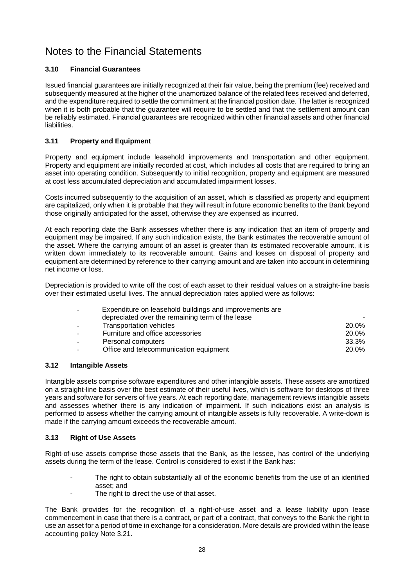#### **3.10 Financial Guarantees**

Issued financial guarantees are initially recognized at their fair value, being the premium (fee) received and subsequently measured at the higher of the unamortized balance of the related fees received and deferred, and the expenditure required to settle the commitment at the financial position date. The latter is recognized when it is both probable that the guarantee will require to be settled and that the settlement amount can be reliably estimated. Financial guarantees are recognized within other financial assets and other financial liabilities.

#### **3.11 Property and Equipment**

Property and equipment include leasehold improvements and transportation and other equipment. Property and equipment are initially recorded at cost, which includes all costs that are required to bring an asset into operating condition. Subsequently to initial recognition, property and equipment are measured at cost less accumulated depreciation and accumulated impairment losses.

Costs incurred subsequently to the acquisition of an asset, which is classified as property and equipment are capitalized, only when it is probable that they will result in future economic benefits to the Bank beyond those originally anticipated for the asset, otherwise they are expensed as incurred.

At each reporting date the Bank assesses whether there is any indication that an item of property and equipment may be impaired. If any such indication exists, the Bank estimates the recoverable amount of the asset. Where the carrying amount of an asset is greater than its estimated recoverable amount, it is written down immediately to its recoverable amount. Gains and losses on disposal of property and equipment are determined by reference to their carrying amount and are taken into account in determining net income or loss.

Depreciation is provided to write off the cost of each asset to their residual values on a straight-line basis over their estimated useful lives. The annual depreciation rates applied were as follows:

| $\sim$ | Expenditure on leasehold buildings and improvements are<br>depreciated over the remaining term of the lease |       |
|--------|-------------------------------------------------------------------------------------------------------------|-------|
| $\sim$ | <b>Transportation vehicles</b>                                                                              | 20.0% |
|        | Furniture and office accessories                                                                            | 20.0% |
|        | Personal computers                                                                                          | 33.3% |
|        | Office and telecommunication equipment                                                                      | 20.0% |

#### **3.12 Intangible Assets**

Intangible assets comprise software expenditures and other intangible assets. These assets are amortized on a straight-line basis over the best estimate of their useful lives, which is software for desktops of three years and software for servers of five years. At each reporting date, management reviews intangible assets and assesses whether there is any indication of impairment. If such indications exist an analysis is performed to assess whether the carrying amount of intangible assets is fully recoverable. A write-down is made if the carrying amount exceeds the recoverable amount.

#### **3.13 Right of Use Assets**

Right-of-use assets comprise those assets that the Bank, as the lessee, has control of the underlying assets during the term of the lease. Control is considered to exist if the Bank has:

- The right to obtain substantially all of the economic benefits from the use of an identified asset; and
- The right to direct the use of that asset.

The Bank provides for the recognition of a right-of-use asset and a lease liability upon lease commencement in case that there is a contract, or part of a contract, that conveys to the Bank the right to use an asset for a period of time in exchange for a consideration. More details are provided within the lease accounting policy Note 3.21.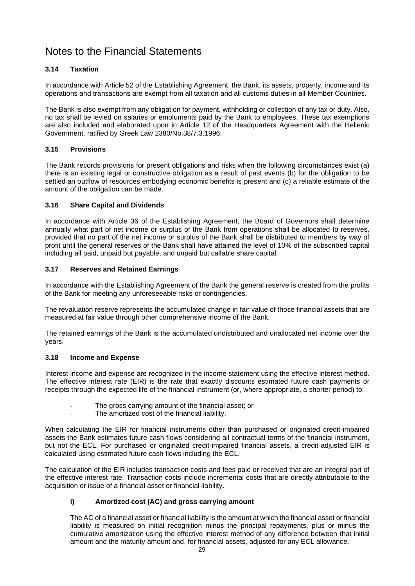#### **3.14 Taxation**

In accordance with Article 52 of the Establishing Agreement, the Bank, its assets, property, income and its operations and transactions are exempt from all taxation and all customs duties in all Member Countries.

The Bank is also exempt from any obligation for payment, withholding or collection of any tax or duty. Also, no tax shall be levied on salaries or emoluments paid by the Bank to employees. These tax exemptions are also included and elaborated upon in Article 12 of the Headquarters Agreement with the Hellenic Government, ratified by Greek Law 2380/No.38/7.3.1996.

#### **3.15 Provisions**

The Bank records provisions for present obligations and risks when the following circumstances exist (a) there is an existing legal or constructive obligation as a result of past events (b) for the obligation to be settled an outflow of resources embodying economic benefits is present and (c) a reliable estimate of the amount of the obligation can be made.

#### **3.16 Share Capital and Dividends**

In accordance with Article 36 of the Establishing Agreement, the Board of Governors shall determine annually what part of net income or surplus of the Bank from operations shall be allocated to reserves, provided that no part of the net income or surplus of the Bank shall be distributed to members by way of profit until the general reserves of the Bank shall have attained the level of 10% of the subscribed capital including all paid, unpaid but payable, and unpaid but callable share capital.

#### **3.17 Reserves and Retained Earnings**

In accordance with the Establishing Agreement of the Bank the general reserve is created from the profits of the Bank for meeting any unforeseeable risks or contingencies.

The revaluation reserve represents the accumulated change in fair value of those financial assets that are measured at fair value through other comprehensive income of the Bank.

The retained earnings of the Bank is the accumulated undistributed and unallocated net income over the years.

#### **3.18 Income and Expense**

Interest income and expense are recognized in the income statement using the effective interest method. The effective interest rate (EIR) is the rate that exactly discounts estimated future cash payments or receipts through the expected life of the financial instrument (or, where appropriate, a shorter period) to:

- The gross carrying amount of the financial asset; or
	- The amortized cost of the financial liability.

When calculating the EIR for financial instruments other than purchased or originated credit-impaired assets the Bank estimates future cash flows considering all contractual terms of the financial instrument, but not the ECL. For purchased or originated credit-impaired financial assets, a credit-adjusted EIR is calculated using estimated future cash flows including the ECL.

The calculation of the EIR includes transaction costs and fees paid or received that are an integral part of the effective interest rate. Transaction costs include incremental costs that are directly attributable to the acquisition or issue of a financial asset or financial liability.

#### **i) Amortized cost (AC) and gross carrying amount**

The AC of a financial asset or financial liability is the amount at which the financial asset or financial liability is measured on initial recognition minus the principal repayments, plus or minus the cumulative amortization using the effective interest method of any difference between that initial amount and the maturity amount and, for financial assets, adjusted for any ECL allowance.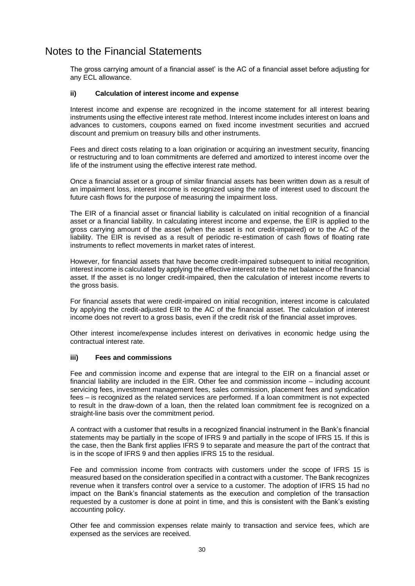The gross carrying amount of a financial asset' is the AC of a financial asset before adjusting for any ECL allowance.

#### **ii) Calculation of interest income and expense**

Interest income and expense are recognized in the income statement for all interest bearing instruments using the effective interest rate method. Interest income includes interest on loans and advances to customers, coupons earned on fixed income investment securities and accrued discount and premium on treasury bills and other instruments.

Fees and direct costs relating to a loan origination or acquiring an investment security, financing or restructuring and to loan commitments are deferred and amortized to interest income over the life of the instrument using the effective interest rate method.

Once a financial asset or a group of similar financial assets has been written down as a result of an impairment loss, interest income is recognized using the rate of interest used to discount the future cash flows for the purpose of measuring the impairment loss.

The EIR of a financial asset or financial liability is calculated on initial recognition of a financial asset or a financial liability. In calculating interest income and expense, the EIR is applied to the gross carrying amount of the asset (when the asset is not credit-impaired) or to the AC of the liability. The EIR is revised as a result of periodic re-estimation of cash flows of floating rate instruments to reflect movements in market rates of interest.

However, for financial assets that have become credit-impaired subsequent to initial recognition, interest income is calculated by applying the effective interest rate to the net balance of the financial asset. If the asset is no longer credit-impaired, then the calculation of interest income reverts to the gross basis.

For financial assets that were credit-impaired on initial recognition, interest income is calculated by applying the credit-adjusted EIR to the AC of the financial asset. The calculation of interest income does not revert to a gross basis, even if the credit risk of the financial asset improves.

Other interest income/expense includes interest on derivatives in economic hedge using the contractual interest rate.

#### **iii) Fees and commissions**

Fee and commission income and expense that are integral to the EIR on a financial asset or financial liability are included in the EIR. Other fee and commission income – including account servicing fees, investment management fees, sales commission, placement fees and syndication fees – is recognized as the related services are performed. If a loan commitment is not expected to result in the draw-down of a loan, then the related loan commitment fee is recognized on a straight-line basis over the commitment period.

A contract with a customer that results in a recognized financial instrument in the Bank's financial statements may be partially in the scope of IFRS 9 and partially in the scope of IFRS 15. If this is the case, then the Bank first applies IFRS 9 to separate and measure the part of the contract that is in the scope of IFRS 9 and then applies IFRS 15 to the residual.

Fee and commission income from contracts with customers under the scope of IFRS 15 is measured based on the consideration specified in a contract with a customer. The Bank recognizes revenue when it transfers control over a service to a customer. The adoption of IFRS 15 had no impact on the Bank's financial statements as the execution and completion of the transaction requested by a customer is done at point in time, and this is consistent with the Bank's existing accounting policy.

Other fee and commission expenses relate mainly to transaction and service fees, which are expensed as the services are received.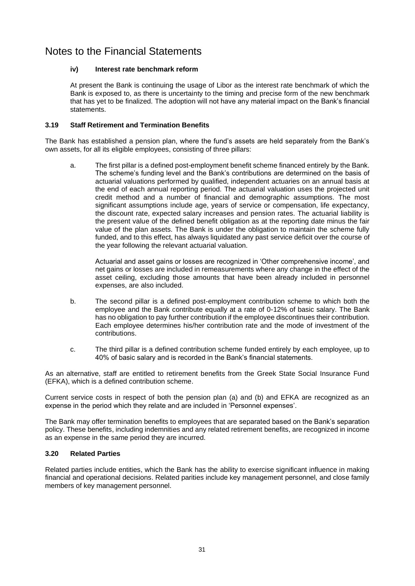#### **iv) Interest rate benchmark reform**

At present the Bank is continuing the usage of Libor as the interest rate benchmark of which the Bank is exposed to, as there is uncertainty to the timing and precise form of the new benchmark that has yet to be finalized. The adoption will not have any material impact on the Bank's financial statements.

#### **3.19 Staff Retirement and Termination Benefits**

The Bank has established a pension plan, where the fund's assets are held separately from the Bank's own assets, for all its eligible employees, consisting of three pillars:

a. The first pillar is a defined post-employment benefit scheme financed entirely by the Bank. The scheme's funding level and the Bank's contributions are determined on the basis of actuarial valuations performed by qualified, independent actuaries on an annual basis at the end of each annual reporting period. The actuarial valuation uses the projected unit credit method and a number of financial and demographic assumptions. The most significant assumptions include age, years of service or compensation, life expectancy, the discount rate, expected salary increases and pension rates. The actuarial liability is the present value of the defined benefit obligation as at the reporting date minus the fair value of the plan assets. The Bank is under the obligation to maintain the scheme fully funded, and to this effect, has always liquidated any past service deficit over the course of the year following the relevant actuarial valuation.

Actuarial and asset gains or losses are recognized in 'Other comprehensive income', and net gains or losses are included in remeasurements where any change in the effect of the asset ceiling, excluding those amounts that have been already included in personnel expenses, are also included.

- b. The second pillar is a defined post-employment contribution scheme to which both the employee and the Bank contribute equally at a rate of 0-12% of basic salary. The Bank has no obligation to pay further contribution if the employee discontinues their contribution. Each employee determines his/her contribution rate and the mode of investment of the contributions.
- c. The third pillar is a defined contribution scheme funded entirely by each employee, up to 40% of basic salary and is recorded in the Bank's financial statements.

As an alternative, staff are entitled to retirement benefits from the Greek State Social Insurance Fund (EFKA), which is a defined contribution scheme.

Current service costs in respect of both the pension plan (a) and (b) and EFKA are recognized as an expense in the period which they relate and are included in 'Personnel expenses'.

The Bank may offer termination benefits to employees that are separated based on the Bank's separation policy. These benefits, including indemnities and any related retirement benefits, are recognized in income as an expense in the same period they are incurred.

#### **3.20 Related Parties**

Related parties include entities, which the Bank has the ability to exercise significant influence in making financial and operational decisions. Related parities include key management personnel, and close family members of key management personnel.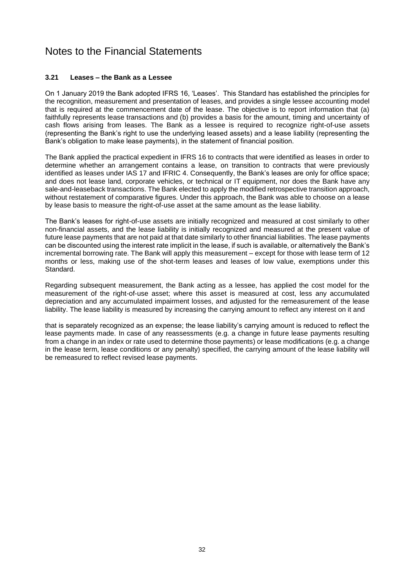#### **3.21 Leases – the Bank as a Lessee**

On 1 January 2019 the Bank adopted IFRS 16, 'Leases'. This Standard has established the principles for the recognition, measurement and presentation of leases, and provides a single lessee accounting model that is required at the commencement date of the lease. The objective is to report information that (a) faithfully represents lease transactions and (b) provides a basis for the amount, timing and uncertainty of cash flows arising from leases. The Bank as a lessee is required to recognize right-of-use assets (representing the Bank's right to use the underlying leased assets) and a lease liability (representing the Bank's obligation to make lease payments), in the statement of financial position.

The Bank applied the practical expedient in IFRS 16 to contracts that were identified as leases in order to determine whether an arrangement contains a lease, on transition to contracts that were previously identified as leases under IAS 17 and IFRIC 4. Consequently, the Bank's leases are only for office space; and does not lease land, corporate vehicles, or technical or IT equipment, nor does the Bank have any sale-and-leaseback transactions. The Bank elected to apply the modified retrospective transition approach, without restatement of comparative figures. Under this approach, the Bank was able to choose on a lease by lease basis to measure the right-of-use asset at the same amount as the lease liability.

The Bank's leases for right-of-use assets are initially recognized and measured at cost similarly to other non-financial assets, and the lease liability is initially recognized and measured at the present value of future lease payments that are not paid at that date similarly to other financial liabilities. The lease payments can be discounted using the interest rate implicit in the lease, if such is available, or alternatively the Bank's incremental borrowing rate. The Bank will apply this measurement – except for those with lease term of 12 months or less, making use of the shot-term leases and leases of low value, exemptions under this Standard.

Regarding subsequent measurement, the Bank acting as a lessee, has applied the cost model for the measurement of the right-of-use asset; where this asset is measured at cost, less any accumulated depreciation and any accumulated impairment losses, and adjusted for the remeasurement of the lease liability. The lease liability is measured by increasing the carrying amount to reflect any interest on it and

that is separately recognized as an expense; the lease liability's carrying amount is reduced to reflect the lease payments made. In case of any reassessments (e.g. a change in future lease payments resulting from a change in an index or rate used to determine those payments) or lease modifications (e.g. a change in the lease term, lease conditions or any penalty) specified, the carrying amount of the lease liability will be remeasured to reflect revised lease payments.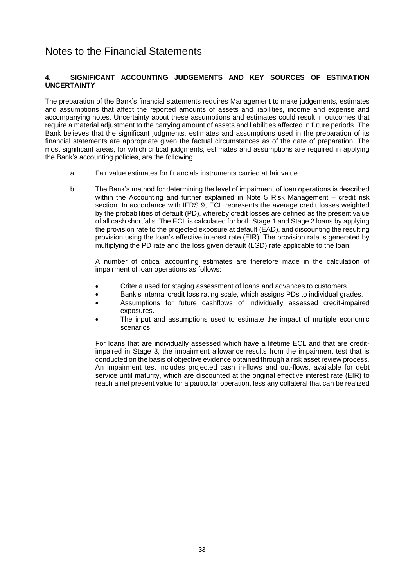#### **4. SIGNIFICANT ACCOUNTING JUDGEMENTS AND KEY SOURCES OF ESTIMATION UNCERTAINTY**

The preparation of the Bank's financial statements requires Management to make judgements, estimates and assumptions that affect the reported amounts of assets and liabilities, income and expense and accompanying notes. Uncertainty about these assumptions and estimates could result in outcomes that require a material adjustment to the carrying amount of assets and liabilities affected in future periods. The Bank believes that the significant judgments, estimates and assumptions used in the preparation of its financial statements are appropriate given the factual circumstances as of the date of preparation. The most significant areas, for which critical judgments, estimates and assumptions are required in applying the Bank's accounting policies, are the following:

- a. Fair value estimates for financials instruments carried at fair value
- b. The Bank's method for determining the level of impairment of loan operations is described within the Accounting and further explained in Note 5 Risk Management – credit risk section. In accordance with IFRS 9, ECL represents the average credit losses weighted by the probabilities of default (PD), whereby credit losses are defined as the present value of all cash shortfalls. The ECL is calculated for both Stage 1 and Stage 2 loans by applying the provision rate to the projected exposure at default (EAD), and discounting the resulting provision using the loan's effective interest rate (EIR). The provision rate is generated by multiplying the PD rate and the loss given default (LGD) rate applicable to the loan.

A number of critical accounting estimates are therefore made in the calculation of impairment of loan operations as follows:

- Criteria used for staging assessment of loans and advances to customers.
- Bank's internal credit loss rating scale, which assigns PDs to individual grades.
- Assumptions for future cashflows of individually assessed credit-impaired exposures.
- The input and assumptions used to estimate the impact of multiple economic scenarios.

For loans that are individually assessed which have a lifetime ECL and that are creditimpaired in Stage 3, the impairment allowance results from the impairment test that is conducted on the basis of objective evidence obtained through a risk asset review process. An impairment test includes projected cash in-flows and out-flows, available for debt service until maturity, which are discounted at the original effective interest rate (EIR) to reach a net present value for a particular operation, less any collateral that can be realized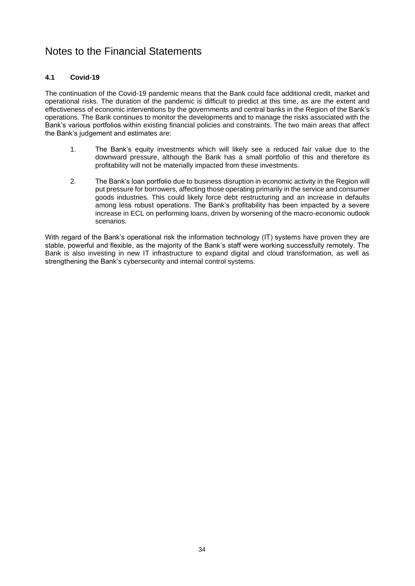#### **4.1 Covid-19**

The continuation of the Covid-19 pandemic means that the Bank could face additional credit, market and operational risks. The duration of the pandemic is difficult to predict at this time, as are the extent and effectiveness of economic interventions by the governments and central banks in the Region of the Bank's operations. The Bank continues to monitor the developments and to manage the risks associated with the Bank's various portfolios within existing financial policies and constraints. The two main areas that affect the Bank's judgement and estimates are:

- 1. The Bank's equity investments which will likely see a reduced fair value due to the downward pressure, although the Bank has a small portfolio of this and therefore its profitability will not be materially impacted from these investments.
- 2. The Bank's loan portfolio due to business disruption in economic activity in the Region will put pressure for borrowers, affecting those operating primarily in the service and consumer goods industries. This could likely force debt restructuring and an increase in defaults among less robust operations. The Bank's profitability has been impacted by a severe increase in ECL on performing loans, driven by worsening of the macro-economic outlook scenarios.

With regard of the Bank's operational risk the information technology (IT) systems have proven they are stable, powerful and flexible, as the majority of the Bank's staff were working successfully remotely. The Bank is also investing in new IT infrastructure to expand digital and cloud transformation, as well as strengthening the Bank's cybersecurity and internal control systems.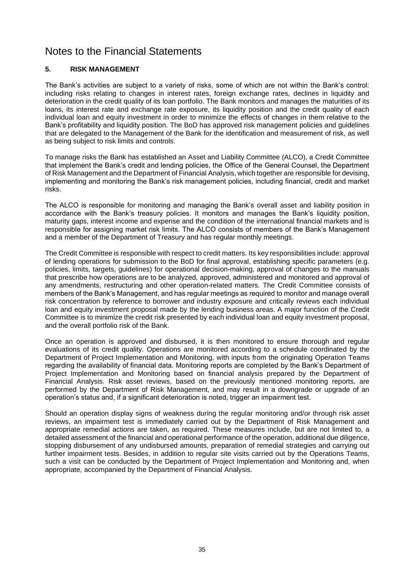#### **5. RISK MANAGEMENT**

The Bank's activities are subject to a variety of risks, some of which are not within the Bank's control: including risks relating to changes in interest rates, foreign exchange rates, declines in liquidity and deterioration in the credit quality of its loan portfolio. The Bank monitors and manages the maturities of its loans, its interest rate and exchange rate exposure, its liquidity position and the credit quality of each individual loan and equity investment in order to minimize the effects of changes in them relative to the Bank's profitability and liquidity position. The BoD has approved risk management policies and guidelines that are delegated to the Management of the Bank for the identification and measurement of risk, as well as being subject to risk limits and controls.

To manage risks the Bank has established an Asset and Liability Committee (ALCO), a Credit Committee that implement the Bank's credit and lending policies, the Office of the General Counsel, the Department of Risk Management and the Department of Financial Analysis, which together are responsible for devising, implementing and monitoring the Bank's risk management policies, including financial, credit and market risks.

The ALCO is responsible for monitoring and managing the Bank's overall asset and liability position in accordance with the Bank's treasury policies. It monitors and manages the Bank's liquidity position, maturity gaps, interest income and expense and the condition of the international financial markets and is responsible for assigning market risk limits. The ALCO consists of members of the Bank's Management and a member of the Department of Treasury and has regular monthly meetings.

The Credit Committee is responsible with respect to credit matters. Its key responsibilities include: approval of lending operations for submission to the BoD for final approval, establishing specific parameters (e.g. policies, limits, targets, guidelines) for operational decision-making, approval of changes to the manuals that prescribe how operations are to be analyzed, approved, administered and monitored and approval of any amendments, restructuring and other operation-related matters. The Credit Committee consists of members of the Bank's Management, and has regular meetings as required to monitor and manage overall risk concentration by reference to borrower and industry exposure and critically reviews each individual loan and equity investment proposal made by the lending business areas. A major function of the Credit Committee is to minimize the credit risk presented by each individual loan and equity investment proposal, and the overall portfolio risk of the Bank.

Once an operation is approved and disbursed, it is then monitored to ensure thorough and regular evaluations of its credit quality. Operations are monitored according to a schedule coordinated by the Department of Project Implementation and Monitoring, with inputs from the originating Operation Teams regarding the availability of financial data. Monitoring reports are completed by the Bank's Department of Project Implementation and Monitoring based on financial analysis prepared by the Department of Financial Analysis. Risk asset reviews, based on the previously mentioned monitoring reports, are performed by the Department of Risk Management, and may result in a downgrade or upgrade of an operation's status and, if a significant deterioration is noted, trigger an impairment test.

Should an operation display signs of weakness during the regular monitoring and/or through risk asset reviews, an impairment test is immediately carried out by the Department of Risk Management and appropriate remedial actions are taken, as required. These measures include, but are not limited to, a detailed assessment of the financial and operational performance of the operation, additional due diligence, stopping disbursement of any undisbursed amounts, preparation of remedial strategies and carrying out further impairment tests. Besides, in addition to regular site visits carried out by the Operations Teams, such a visit can be conducted by the Department of Project Implementation and Monitoring and, when appropriate, accompanied by the Department of Financial Analysis.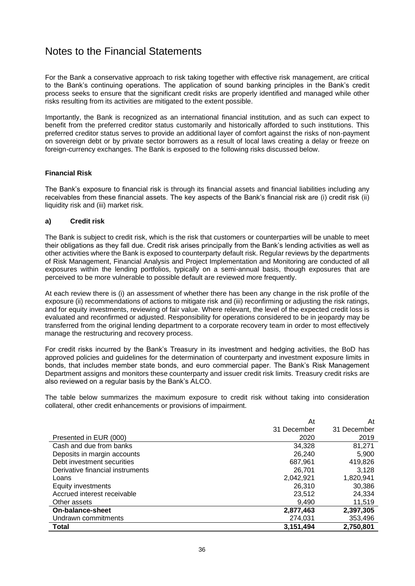For the Bank a conservative approach to risk taking together with effective risk management, are critical to the Bank's continuing operations. The application of sound banking principles in the Bank's credit process seeks to ensure that the significant credit risks are properly identified and managed while other risks resulting from its activities are mitigated to the extent possible.

Importantly, the Bank is recognized as an international financial institution, and as such can expect to benefit from the preferred creditor status customarily and historically afforded to such institutions. This preferred creditor status serves to provide an additional layer of comfort against the risks of non-payment on sovereign debt or by private sector borrowers as a result of local laws creating a delay or freeze on foreign-currency exchanges. The Bank is exposed to the following risks discussed below.

#### **Financial Risk**

The Bank's exposure to financial risk is through its financial assets and financial liabilities including any receivables from these financial assets. The key aspects of the Bank's financial risk are (i) credit risk (ii) liquidity risk and (iii) market risk.

#### **a) Credit risk**

The Bank is subject to credit risk, which is the risk that customers or counterparties will be unable to meet their obligations as they fall due. Credit risk arises principally from the Bank's lending activities as well as other activities where the Bank is exposed to counterparty default risk. Regular reviews by the departments of Risk Management, Financial Analysis and Project Implementation and Monitoring are conducted of all exposures within the lending portfolios, typically on a semi-annual basis, though exposures that are perceived to be more vulnerable to possible default are reviewed more frequently.

At each review there is (i) an assessment of whether there has been any change in the risk profile of the exposure (ii) recommendations of actions to mitigate risk and (iii) reconfirming or adjusting the risk ratings, and for equity investments, reviewing of fair value. Where relevant, the level of the expected credit loss is evaluated and reconfirmed or adjusted. Responsibility for operations considered to be in jeopardy may be transferred from the original lending department to a corporate recovery team in order to most effectively manage the restructuring and recovery process.

For credit risks incurred by the Bank's Treasury in its investment and hedging activities, the BoD has approved policies and guidelines for the determination of counterparty and investment exposure limits in bonds, that includes member state bonds, and euro commercial paper. The Bank's Risk Management Department assigns and monitors these counterparty and issuer credit risk limits. Treasury credit risks are also reviewed on a regular basis by the Bank's ALCO.

The table below summarizes the maximum exposure to credit risk without taking into consideration collateral, other credit enhancements or provisions of impairment.

|                                  | At          | At          |
|----------------------------------|-------------|-------------|
|                                  | 31 December | 31 December |
| Presented in EUR (000)           | 2020        | 2019        |
| Cash and due from banks          | 34,328      | 81,271      |
| Deposits in margin accounts      | 26,240      | 5,900       |
| Debt investment securities       | 687.961     | 419.826     |
| Derivative financial instruments | 26.701      | 3.128       |
| Loans                            | 2,042,921   | 1,820,941   |
| Equity investments               | 26,310      | 30,386      |
| Accrued interest receivable      | 23,512      | 24,334      |
| Other assets                     | 9,490       | 11,519      |
| On-balance-sheet                 | 2,877,463   | 2,397,305   |
| Undrawn commitments              | 274.031     | 353,496     |
| <b>Total</b>                     | 3,151,494   | 2,750,801   |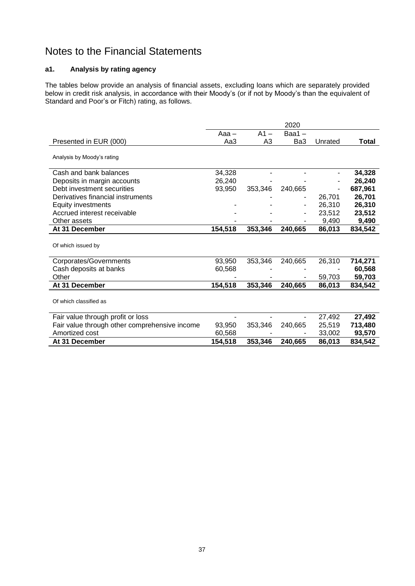### **a1. Analysis by rating agency**

The tables below provide an analysis of financial assets, excluding loans which are separately provided below in credit risk analysis, in accordance with their Moody's (or if not by Moody's than the equivalent of Standard and Poor's or Fitch) rating, as follows.

|                                               |         |                | 2020     |                          |         |
|-----------------------------------------------|---------|----------------|----------|--------------------------|---------|
|                                               | Aaa –   | $A1 -$         | $Baa1 -$ |                          |         |
| Presented in EUR (000)                        | Aa3     | A <sub>3</sub> | Ba3      | Unrated                  | Total   |
| Analysis by Moody's rating                    |         |                |          |                          |         |
| Cash and bank balances                        | 34,328  |                |          |                          | 34,328  |
| Deposits in margin accounts                   | 26,240  |                |          |                          | 26,240  |
| Debt investment securities                    | 93,950  | 353,346        | 240,665  | $\overline{\phantom{a}}$ | 687,961 |
| Derivatives financial instruments             |         |                |          | 26,701                   | 26,701  |
| <b>Equity investments</b>                     |         |                |          | 26,310                   | 26,310  |
| Accrued interest receivable                   |         |                |          | 23.512                   | 23.512  |
| Other assets                                  |         |                |          | 9,490                    | 9,490   |
| At 31 December                                | 154,518 | 353,346        | 240,665  | 86,013                   | 834,542 |
| Of which issued by                            |         |                |          |                          |         |
| Corporates/Governments                        | 93,950  | 353,346        | 240,665  | 26,310                   | 714,271 |
| Cash deposits at banks                        | 60,568  |                |          |                          | 60,568  |
| Other                                         |         |                |          | 59,703                   | 59,703  |
| At 31 December                                | 154,518 | 353,346        | 240,665  | 86,013                   | 834,542 |
| Of which classified as                        |         |                |          |                          |         |
| Fair value through profit or loss             |         |                |          | 27,492                   | 27,492  |
| Fair value through other comprehensive income | 93,950  | 353,346        | 240,665  | 25,519                   | 713,480 |
| Amortized cost                                | 60,568  |                |          | 33,002                   | 93,570  |
| At 31 December                                | 154,518 | 353,346        | 240,665  | 86,013                   | 834,542 |
|                                               |         |                |          |                          |         |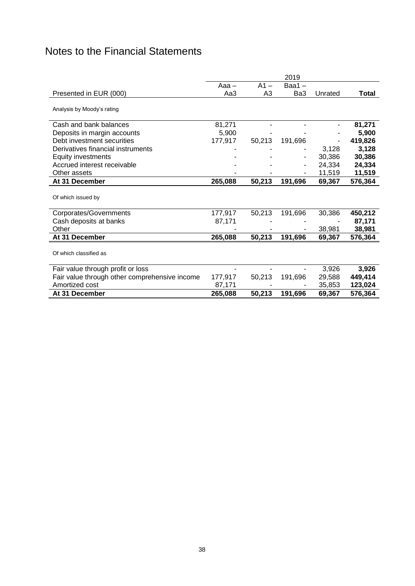|                                               |         |                | 2019    |         |         |
|-----------------------------------------------|---------|----------------|---------|---------|---------|
|                                               | Aaa $-$ | $A1 -$         | Baa1-   |         |         |
| Presented in EUR (000)                        | Aa3     | A <sub>3</sub> | Ba3     | Unrated | Total   |
| Analysis by Moody's rating                    |         |                |         |         |         |
| Cash and bank balances                        | 81,271  |                |         |         | 81,271  |
| Deposits in margin accounts                   | 5,900   |                |         |         | 5,900   |
| Debt investment securities                    | 177,917 | 50,213         | 191,696 |         | 419,826 |
| Derivatives financial instruments             |         |                |         | 3,128   | 3,128   |
| Equity investments                            |         |                |         | 30,386  | 30,386  |
| Accrued interest receivable                   |         |                |         | 24,334  | 24,334  |
| Other assets                                  |         |                |         | 11,519  | 11,519  |
| At 31 December                                | 265,088 | 50,213         | 191,696 | 69,367  | 576,364 |
| Of which issued by                            |         |                |         |         |         |
| Corporates/Governments                        | 177,917 | 50,213         | 191,696 | 30,386  | 450,212 |
| Cash deposits at banks                        | 87,171  |                |         |         | 87,171  |
| Other                                         |         |                |         | 38,981  | 38,981  |
| At 31 December                                | 265,088 | 50,213         | 191,696 | 69,367  | 576,364 |
| Of which classified as                        |         |                |         |         |         |
| Fair value through profit or loss             |         |                |         | 3,926   | 3,926   |
| Fair value through other comprehensive income | 177,917 | 50,213         | 191,696 | 29,588  | 449,414 |
| Amortized cost                                | 87,171  |                |         | 35,853  | 123,024 |
| At 31 December                                | 265,088 | 50,213         | 191,696 | 69,367  | 576,364 |
|                                               |         |                |         |         |         |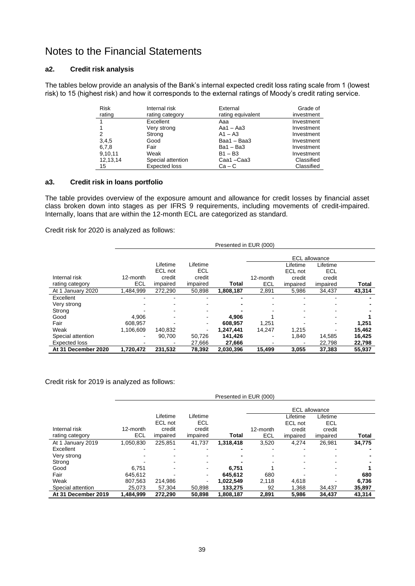### **a2. Credit risk analysis**

The tables below provide an analysis of the Bank's internal expected credit loss rating scale from 1 (lowest risk) to 15 (highest risk) and how it corresponds to the external ratings of Moody's credit rating service.

| <b>Risk</b> | Internal risk     | External          | Grade of   |
|-------------|-------------------|-------------------|------------|
| rating      | rating category   | rating equivalent | investment |
|             | Excellent         | Aaa               | Investment |
|             | Very strong       | Aa1 – Aa3         | Investment |
| 2           | Strong            | $A1 - A3$         | Investment |
| 3,4,5       | Good              | Baa1 - Baa3       | Investment |
| 6,7,8       | Fair              | $Ba1 - Ba3$       | Investment |
| 9,10,11     | Weak              | $B1 - B3$         | Investment |
| 12,13,14    | Special attention | Caa1-Caa3         | Classified |
| 15          | Expected loss     | $Ca - C$          | Classified |

#### **a3. Credit risk in loans portfolio**

The table provides overview of the exposure amount and allowance for credit losses by financial asset class broken down into stages as per IFRS 9 requirements, including movements of credit-impaired. Internally, loans that are within the 12-month ECL are categorized as standard.

Credit risk for 2020 is analyzed as follows:

|                     | Presented in EUR (000) |          |                              |           |                |          |                      |        |
|---------------------|------------------------|----------|------------------------------|-----------|----------------|----------|----------------------|--------|
|                     |                        |          |                              |           |                |          | <b>ECL allowance</b> |        |
|                     |                        | Lifetime | Lifetime                     |           |                | Lifetime | Lifetime             |        |
|                     |                        | ECL not  | ECL                          |           |                | ECL not  | ECL                  |        |
| Internal risk       | 12-month               | credit   | credit                       |           | 12-month       | credit   | credit               |        |
| rating category     | <b>ECL</b>             | impaired | impaired                     | Total     | <b>ECL</b>     | impaired | impaired             | Total  |
| At 1 January 2020   | 1.484.999              | 272,290  | 50,898                       | 1,808,187 | 2,891          | 5,986    | 34,437               | 43,314 |
| Excellent           |                        |          |                              |           |                |          |                      |        |
| Very strong         |                        |          |                              |           |                |          |                      |        |
| Strong              |                        |          | ۰                            |           |                | -        |                      |        |
| Good                | 4.906                  |          | $\qquad \qquad \blacksquare$ | 4.906     |                |          |                      |        |
| Fair                | 608,957                |          | ۰                            | 608.957   | 1,251          |          |                      | 1,251  |
| Weak                | 1.106.609              | 140,832  | ٠                            | 1.247.441 | 14,247         | 1,215    |                      | 15,462 |
| Special attention   |                        | 90.700   | 50,726                       | 141,426   | $\blacksquare$ | 1,840    | 14,585               | 16,425 |
| Expected loss       |                        |          | 27,666                       | 27,666    |                |          | 22,798               | 22,798 |
| At 31 December 2020 | 1.720.472              | 231.532  | 78.392                       | 2.030.396 | 15.499         | 3,055    | 37.383               | 55,937 |

Credit risk for 2019 is analyzed as follows:

|                     | Presented in EUR (000) |                   |                      |           |                        |                    |                      |              |
|---------------------|------------------------|-------------------|----------------------|-----------|------------------------|--------------------|----------------------|--------------|
|                     |                        |                   |                      |           |                        |                    | <b>ECL allowance</b> |              |
|                     |                        | Lifetime          | Lifetime             |           |                        | Lifetime           | Lifetime             |              |
| Internal risk       | 12-month               | ECL not<br>credit | <b>ECL</b><br>credit |           |                        | ECL not            | <b>ECL</b>           |              |
| rating category     | <b>ECL</b>             | impaired          | impaired             | Total     | 12-month<br><b>ECL</b> | credit<br>impaired | credit<br>impaired   | <b>Total</b> |
| At 1 January 2019   | 1,050,830              | 225,851           | 41,737               | 1,318,418 | 3,520                  | 4,274              | 26.981               | 34,775       |
| Excellent           |                        |                   |                      |           |                        | ۰                  |                      |              |
| Very strong         |                        |                   |                      |           |                        |                    |                      |              |
| Strong              |                        |                   | $\blacksquare$       |           |                        |                    |                      |              |
| Good                | 6.751                  |                   | ٠                    | 6.751     |                        |                    |                      |              |
| Fair                | 645,612                |                   | $\blacksquare$       | 645.612   | 680                    |                    |                      | 680          |
| Weak                | 807.563                | 214,986           | ۰                    | 1,022,549 | 2,118                  | 4,618              |                      | 6,736        |
| Special attention   | 25,073                 | 57,304            | 50,898               | 133,275   | 92                     | 1,368              | 34,437               | 35,897       |
| At 31 December 2019 | 1.484.999              | 272,290           | 50,898               | 1,808,187 | 2,891                  | 5,986              | 34,437               | 43,314       |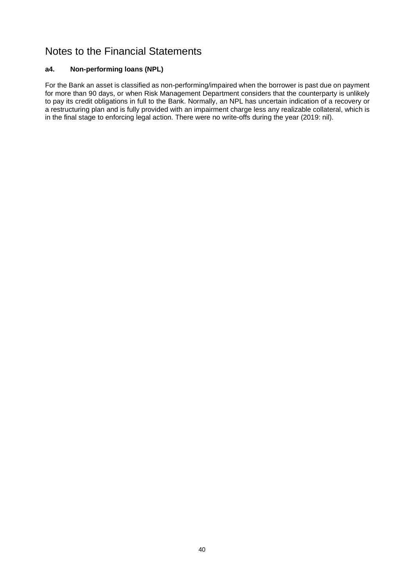### **a4. Non-performing loans (NPL)**

For the Bank an asset is classified as non-performing/impaired when the borrower is past due on payment for more than 90 days, or when Risk Management Department considers that the counterparty is unlikely to pay its credit obligations in full to the Bank. Normally, an NPL has uncertain indication of a recovery or a restructuring plan and is fully provided with an impairment charge less any realizable collateral, which is in the final stage to enforcing legal action. There were no write-offs during the year (2019: nil).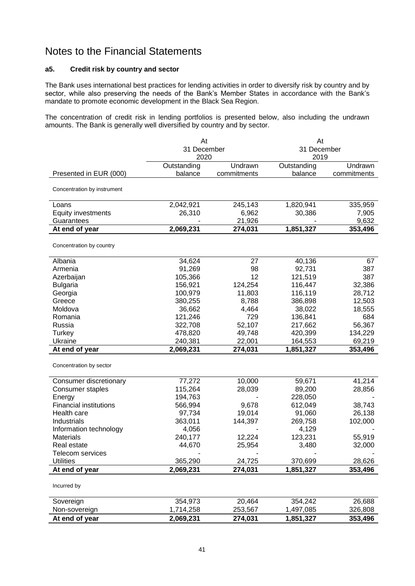#### **a5. Credit risk by country and sector**

The Bank uses international best practices for lending activities in order to diversify risk by country and by sector, while also preserving the needs of the Bank's Member States in accordance with the Bank's mandate to promote economic development in the Black Sea Region.

The concentration of credit risk in lending portfolios is presented below, also including the undrawn amounts. The Bank is generally well diversified by country and by sector.

|                               | At          |             | At          |             |  |  |
|-------------------------------|-------------|-------------|-------------|-------------|--|--|
|                               | 31 December |             | 31 December |             |  |  |
|                               | 2020        |             | 2019        |             |  |  |
|                               | Outstanding | Undrawn     | Outstanding | Undrawn     |  |  |
| Presented in EUR (000)        | balance     | commitments | balance     | commitments |  |  |
|                               |             |             |             |             |  |  |
| Concentration by instrument   |             |             |             |             |  |  |
|                               |             |             |             |             |  |  |
| Loans                         | 2,042,921   | 245,143     | 1,820,941   | 335,959     |  |  |
| <b>Equity investments</b>     | 26,310      | 6,962       | 30,386      | 7,905       |  |  |
| Guarantees                    |             | 21,926      |             | 9,632       |  |  |
| At end of year                | 2,069,231   | 274,031     | 1,851,327   | 353,496     |  |  |
|                               |             |             |             |             |  |  |
| Concentration by country      |             |             |             |             |  |  |
| Albania                       | 34,624      | 27          | 40,136      | 67          |  |  |
| Armenia                       | 91,269      | 98          | 92,731      | 387         |  |  |
| Azerbaijan                    | 105,366     | 12          | 121,519     | 387         |  |  |
| <b>Bulgaria</b>               | 156,921     | 124,254     | 116,447     | 32,386      |  |  |
| Georgia                       | 100,979     | 11,803      | 116,119     | 28,712      |  |  |
| Greece                        | 380,255     | 8,788       | 386,898     | 12,503      |  |  |
| Moldova                       | 36,662      | 4,464       | 38,022      | 18,555      |  |  |
| Romania                       | 121,246     | 729         | 136,841     | 684         |  |  |
| Russia                        | 322,708     | 52,107      | 217,662     | 56,367      |  |  |
| Turkey                        | 478,820     | 49,748      | 420,399     | 134,229     |  |  |
| Ukraine                       | 240,381     | 22,001      | 164,553     | 69,219      |  |  |
| At end of year                | 2,069,231   | 274,031     | 1,851,327   | 353,496     |  |  |
|                               |             |             |             |             |  |  |
| Concentration by sector       |             |             |             |             |  |  |
| Consumer discretionary        | 77,272      | 10,000      | 59,671      | 41,214      |  |  |
| <b>Consumer staples</b>       | 115,264     | 28,039      | 89,200      | 28,856      |  |  |
| Energy                        | 194,763     |             | 228,050     |             |  |  |
| <b>Financial institutions</b> | 566,994     | 9,678       | 612,049     | 38,743      |  |  |
| Health care                   | 97,734      | 19,014      | 91,060      | 26,138      |  |  |
| Industrials                   | 363,011     | 144,397     | 269,758     | 102,000     |  |  |
| Information technology        | 4,056       |             | 4,129       |             |  |  |
| <b>Materials</b>              | 240,177     | 12,224      | 123,231     | 55,919      |  |  |
| Real estate                   | 44,670      | 25,954      | 3,480       | 32,000      |  |  |
| Telecom services              |             |             |             |             |  |  |
| <b>Utilities</b>              | 365,290     | 24,725      | 370,699     | 28,626      |  |  |
| At end of year                | 2,069,231   | 274,031     | 1,851,327   | 353,496     |  |  |
|                               |             |             |             |             |  |  |
| Incurred by                   |             |             |             |             |  |  |
|                               |             |             |             |             |  |  |
| Sovereign                     | 354,973     | 20,464      | 354,242     | 26,688      |  |  |
| Non-sovereign                 | 1,714,258   | 253,567     | 1,497,085   | 326,808     |  |  |
| At end of year                | 2,069,231   | 274,031     | 1,851,327   | 353,496     |  |  |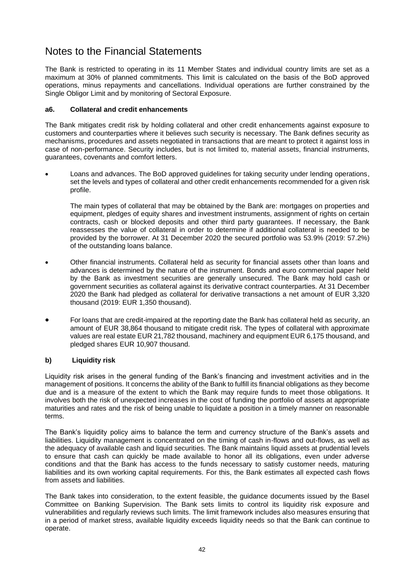The Bank is restricted to operating in its 11 Member States and individual country limits are set as a maximum at 30% of planned commitments. This limit is calculated on the basis of the BoD approved operations, minus repayments and cancellations. Individual operations are further constrained by the Single Obligor Limit and by monitoring of Sectoral Exposure.

#### **a6. Collateral and credit enhancements**

The Bank mitigates credit risk by holding collateral and other credit enhancements against exposure to customers and counterparties where it believes such security is necessary. The Bank defines security as mechanisms, procedures and assets negotiated in transactions that are meant to protect it against loss in case of non-performance. Security includes, but is not limited to, material assets, financial instruments, guarantees, covenants and comfort letters.

• Loans and advances. The BoD approved guidelines for taking security under lending operations, set the levels and types of collateral and other credit enhancements recommended for a given risk profile.

The main types of collateral that may be obtained by the Bank are: mortgages on properties and equipment, pledges of equity shares and investment instruments, assignment of rights on certain contracts, cash or blocked deposits and other third party guarantees. If necessary, the Bank reassesses the value of collateral in order to determine if additional collateral is needed to be provided by the borrower. At 31 December 2020 the secured portfolio was 53.9% (2019: 57.2%) of the outstanding loans balance.

- Other financial instruments. Collateral held as security for financial assets other than loans and advances is determined by the nature of the instrument. Bonds and euro commercial paper held by the Bank as investment securities are generally unsecured. The Bank may hold cash or government securities as collateral against its derivative contract counterparties. At 31 December 2020 the Bank had pledged as collateral for derivative transactions a net amount of EUR 3,320 thousand (2019: EUR 1,350 thousand).
- For loans that are credit-impaired at the reporting date the Bank has collateral held as security, an amount of EUR 38,864 thousand to mitigate credit risk. The types of collateral with approximate values are real estate EUR 21,782 thousand, machinery and equipment EUR 6,175 thousand, and pledged shares EUR 10,907 thousand.

### **b) Liquidity risk**

Liquidity risk arises in the general funding of the Bank's financing and investment activities and in the management of positions. It concerns the ability of the Bank to fulfill its financial obligations as they become due and is a measure of the extent to which the Bank may require funds to meet those obligations. It involves both the risk of unexpected increases in the cost of funding the portfolio of assets at appropriate maturities and rates and the risk of being unable to liquidate a position in a timely manner on reasonable terms.

The Bank's liquidity policy aims to balance the term and currency structure of the Bank's assets and liabilities. Liquidity management is concentrated on the timing of cash in-flows and out-flows, as well as the adequacy of available cash and liquid securities. The Bank maintains liquid assets at prudential levels to ensure that cash can quickly be made available to honor all its obligations, even under adverse conditions and that the Bank has access to the funds necessary to satisfy customer needs, maturing liabilities and its own working capital requirements. For this, the Bank estimates all expected cash flows from assets and liabilities.

The Bank takes into consideration, to the extent feasible, the guidance documents issued by the Basel Committee on Banking Supervision. The Bank sets limits to control its liquidity risk exposure and vulnerabilities and regularly reviews such limits. The limit framework includes also measures ensuring that in a period of market stress, available liquidity exceeds liquidity needs so that the Bank can continue to operate.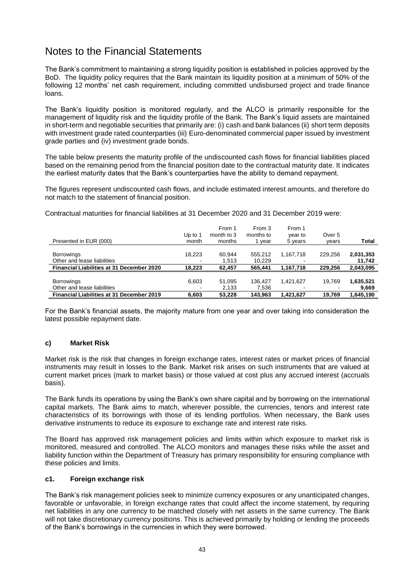The Bank's commitment to maintaining a strong liquidity position is established in policies approved by the BoD. The liquidity policy requires that the Bank maintain its liquidity position at a minimum of 50% of the following 12 months' net cash requirement, including committed undisbursed project and trade finance loans.

The Bank's liquidity position is monitored regularly, and the ALCO is primarily responsible for the management of liquidity risk and the liquidity profile of the Bank. The Bank's liquid assets are maintained in short-term and negotiable securities that primarily are: (i) cash and bank balances (ii) short term deposits with investment grade rated counterparties (iii) Euro-denominated commercial paper issued by investment grade parties and (iv) investment grade bonds.

The table below presents the maturity profile of the undiscounted cash flows for financial liabilities placed based on the remaining period from the financial position date to the contractual maturity date. It indicates the earliest maturity dates that the Bank's counterparties have the ability to demand repayment.

The figures represent undiscounted cash flows, and include estimated interest amounts, and therefore do not match to the statement of financial position.

Contractual maturities for financial liabilities at 31 December 2020 and 31 December 2019 were:

| Presented in EUR (000)                           | Up to $1$<br>month | From 1<br>month to 3<br>months | From 3<br>months to<br>1 year | From 1<br>year to<br>5 years | Over 5<br>vears | <b>Total</b>        |
|--------------------------------------------------|--------------------|--------------------------------|-------------------------------|------------------------------|-----------------|---------------------|
| <b>Borrowings</b><br>Other and lease liabilities | 18.223<br>$\,$     | 60.944<br>1.513                | 555.212<br>10.229             | 1.167.718                    | 229.256         | 2,031,353<br>11,742 |
| <b>Financial Liabilities at 31 December 2020</b> | 18.223             | 62.457                         | 565.441                       | 1,167,718                    | 229.256         | 2,043,095           |
| <b>Borrowings</b><br>Other and lease liabilities | 6,603              | 51,095<br>2,133                | 136.427<br>7,536              | 1.421.627                    | 19.769          | 1,635,521<br>9,669  |
| <b>Financial Liabilities at 31 December 2019</b> | 6,603              | 53,228                         | 143.963                       | 1,421,627                    | 19.769          | 1,645,190           |

For the Bank's financial assets, the majority mature from one year and over taking into consideration the latest possible repayment date.

### **c) Market Risk**

Market risk is the risk that changes in foreign exchange rates, interest rates or market prices of financial instruments may result in losses to the Bank. Market risk arises on such instruments that are valued at current market prices (mark to market basis) or those valued at cost plus any accrued interest (accruals basis).

The Bank funds its operations by using the Bank's own share capital and by borrowing on the international capital markets. The Bank aims to match, wherever possible, the currencies, tenors and interest rate characteristics of its borrowings with those of its lending portfolios. When necessary, the Bank uses derivative instruments to reduce its exposure to exchange rate and interest rate risks.

The Board has approved risk management policies and limits within which exposure to market risk is monitored, measured and controlled. The ALCO monitors and manages these risks while the asset and liability function within the Department of Treasury has primary responsibility for ensuring compliance with these policies and limits.

#### **c1. Foreign exchange risk**

The Bank's risk management policies seek to minimize currency exposures or any unanticipated changes, favorable or unfavorable, in foreign exchange rates that could affect the income statement, by requiring net liabilities in any one currency to be matched closely with net assets in the same currency. The Bank will not take discretionary currency positions. This is achieved primarily by holding or lending the proceeds of the Bank's borrowings in the currencies in which they were borrowed.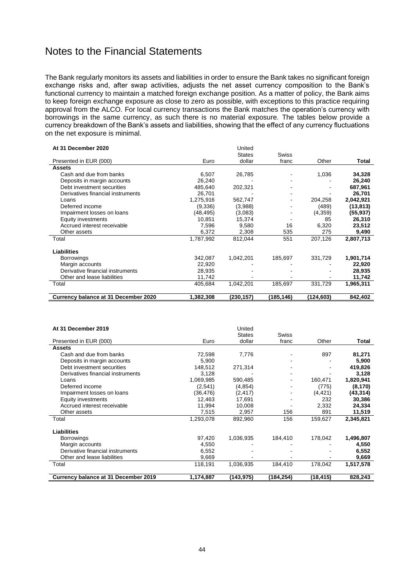The Bank regularly monitors its assets and liabilities in order to ensure the Bank takes no significant foreign exchange risks and, after swap activities, adjusts the net asset currency composition to the Bank's functional currency to maintain a matched foreign exchange position. As a matter of policy, the Bank aims to keep foreign exchange exposure as close to zero as possible, with exceptions to this practice requiring approval from the ALCO. For local currency transactions the Bank matches the operation's currency with borrowings in the same currency, as such there is no material exposure. The tables below provide a currency breakdown of the Bank's assets and liabilities, showing that the effect of any currency fluctuations on the net exposure is minimal.

| At 31 December 2020                  |           | United        |              |           |           |
|--------------------------------------|-----------|---------------|--------------|-----------|-----------|
|                                      |           | <b>States</b> | <b>Swiss</b> |           |           |
| Presented in EUR (000)               | Euro      | dollar        | franc        | Other     | Total     |
| <b>Assets</b>                        |           |               |              |           |           |
| Cash and due from banks              | 6.507     | 26,785        |              | 1,036     | 34,328    |
| Deposits in margin accounts          | 26,240    |               |              |           | 26,240    |
| Debt investment securities           | 485,640   | 202,321       |              |           | 687,961   |
| Derivatives financial instruments    | 26,701    |               |              |           | 26,701    |
| Loans                                | 1,275,916 | 562,747       |              | 204,258   | 2,042,921 |
| Deferred income                      | (9,336)   | (3,988)       |              | (489)     | (13, 813) |
| Impairment losses on loans           | (48,495)  | (3,083)       |              | (4,359)   | (55,937)  |
| Equity investments                   | 10,851    | 15,374        |              | 85        | 26,310    |
| Accrued interest receivable          | 7,596     | 9,580         | 16           | 6,320     | 23,512    |
| Other assets                         | 6,372     | 2,308         | 535          | 275       | 9,490     |
| Total                                | 1,787,992 | 812,044       | 551          | 207,126   | 2,807,713 |
| <b>Liabilities</b>                   |           |               |              |           |           |
| <b>Borrowings</b>                    | 342,087   | 1,042,201     | 185,697      | 331,729   | 1,901,714 |
| Margin accounts                      | 22,920    |               |              |           | 22,920    |
| Derivative financial instruments     | 28,935    |               |              |           | 28,935    |
| Other and lease liabilities          | 11,742    |               |              |           | 11,742    |
| Total                                | 405,684   | 1,042,201     | 185,697      | 331,729   | 1,965,311 |
| Currency balance at 31 December 2020 | 1,382,308 | (230,157)     | (185,146)    | (124,603) | 842,402   |

| At 31 December 2019                  |           | United        |              |          |           |
|--------------------------------------|-----------|---------------|--------------|----------|-----------|
|                                      |           | <b>States</b> | <b>Swiss</b> |          |           |
| Presented in EUR (000)               | Euro      | dollar        | franc        | Other    | Total     |
| <b>Assets</b>                        |           |               |              |          |           |
| Cash and due from banks              | 72,598    | 7,776         |              | 897      | 81,271    |
| Deposits in margin accounts          | 5,900     |               |              |          | 5,900     |
| Debt investment securities           | 148,512   | 271,314       |              |          | 419,826   |
| Derivatives financial instruments    | 3.128     |               |              |          | 3,128     |
| Loans                                | 1,069,985 | 590,485       |              | 160,471  | 1,820,941 |
| Deferred income                      | (2,541)   | (4, 854)      |              | (775)    | (8, 170)  |
| Impairment losses on loans           | (36, 476) | (2, 417)      |              | (4, 421) | (43, 314) |
| Equity investments                   | 12,463    | 17,691        |              | 232      | 30,386    |
| Accrued interest receivable          | 11,994    | 10,008        |              | 2,332    | 24,334    |
| Other assets                         | 7,515     | 2,957         | 156          | 891      | 11,519    |
| Total                                | 1,293,078 | 892,960       | 156          | 159,627  | 2,345,821 |
| Liabilities                          |           |               |              |          |           |
| <b>Borrowings</b>                    | 97,420    | 1,036,935     | 184,410      | 178,042  | 1,496,807 |
| Margin accounts                      | 4,550     |               |              |          | 4,550     |
| Derivative financial instruments     | 6,552     |               |              |          | 6,552     |
| Other and lease liabilities          | 9,669     |               |              |          | 9,669     |
| Total                                | 118,191   | 1,036,935     | 184,410      | 178,042  | 1,517,578 |
| Currency balance at 31 December 2019 | 1,174,887 | (143,975)     | (184,254)    | (18,415) | 828,243   |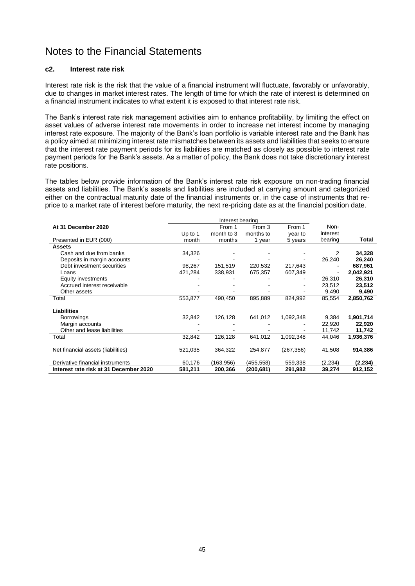#### **c2. Interest rate risk**

Interest rate risk is the risk that the value of a financial instrument will fluctuate, favorably or unfavorably, due to changes in market interest rates. The length of time for which the rate of interest is determined on a financial instrument indicates to what extent it is exposed to that interest rate risk.

The Bank's interest rate risk management activities aim to enhance profitability, by limiting the effect on asset values of adverse interest rate movements in order to increase net interest income by managing interest rate exposure. The majority of the Bank's loan portfolio is variable interest rate and the Bank has a policy aimed at minimizing interest rate mismatches between its assets and liabilities that seeks to ensure that the interest rate payment periods for its liabilities are matched as closely as possible to interest rate payment periods for the Bank's assets. As a matter of policy, the Bank does not take discretionary interest rate positions.

The tables below provide information of the Bank's interest rate risk exposure on non-trading financial assets and liabilities. The Bank's assets and liabilities are included at carrying amount and categorized either on the contractual maturity date of the financial instruments or, in the case of instruments that reprice to a market rate of interest before maturity, the next re-pricing date as at the financial position date.

|                                        |           | Interest bearing |            |                |          |           |
|----------------------------------------|-----------|------------------|------------|----------------|----------|-----------|
| At 31 December 2020                    |           | From 1           | From 3     | From 1         | Non-     |           |
|                                        | Up to $1$ | month to 3       | months to  | year to        | interest |           |
| Presented in EUR (000)                 | month     | months           | 1 year     | 5 years        | bearing  | Total     |
| <b>Assets</b>                          |           |                  |            |                |          |           |
| Cash and due from banks                | 34,326    |                  |            |                | 2        | 34,328    |
| Deposits in margin accounts            |           |                  |            |                | 26,240   | 26,240    |
| Debt investment securities             | 98,267    | 151,519          | 220,532    | 217,643        |          | 687,961   |
| Loans                                  | 421,284   | 338,931          | 675,357    | 607,349        |          | 2,042,921 |
| Equity investments                     |           |                  |            |                | 26,310   | 26,310    |
| Accrued interest receivable            |           |                  |            | $\blacksquare$ | 23,512   | 23,512    |
| Other assets                           |           |                  |            |                | 9,490    | 9,490     |
| Total                                  | 553,877   | 490,450          | 895,889    | 824,992        | 85,554   | 2,850,762 |
| <b>Liabilities</b>                     |           |                  |            |                |          |           |
| <b>Borrowings</b>                      | 32,842    | 126,128          | 641,012    | 1,092,348      | 9,384    | 1,901,714 |
| Margin accounts                        |           |                  |            |                | 22,920   | 22,920    |
| Other and lease liabilities            |           |                  |            |                | 11,742   | 11,742    |
| Total                                  | 32,842    | 126,128          | 641,012    | 1,092,348      | 44,046   | 1,936,376 |
| Net financial assets (liabilities)     | 521,035   | 364,322          | 254,877    | (267, 356)     | 41,508   | 914,386   |
| Derivative financial instruments       | 60,176    | (163, 956)       | (455, 558) | 559,338        | (2, 234) | (2, 234)  |
| Interest rate risk at 31 December 2020 | 581,211   | 200,366          | (200,681)  | 291,982        | 39,274   | 912,152   |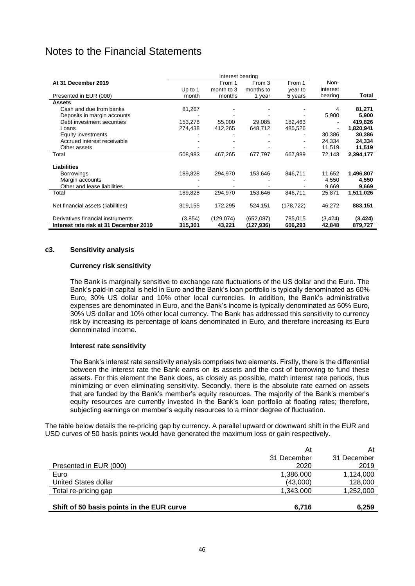|                                        |           | Interest bearing |           |            |          |           |
|----------------------------------------|-----------|------------------|-----------|------------|----------|-----------|
| At 31 December 2019                    |           | From 1           | From 3    | From 1     | Non-     |           |
|                                        | Up to $1$ | month to 3       | months to | year to    | interest |           |
| Presented in EUR (000)                 | month     | months           | 1 year    | 5 years    | bearing  | Total     |
| <b>Assets</b>                          |           |                  |           |            |          |           |
| Cash and due from banks                | 81,267    |                  |           |            |          | 81,271    |
| Deposits in margin accounts            |           |                  |           |            | 5,900    | 5,900     |
| Debt investment securities             | 153,278   | 55,000           | 29,085    | 182,463    |          | 419,826   |
| Loans                                  | 274,438   | 412,265          | 648,712   | 485,526    |          | 1,820,941 |
| Equity investments                     |           |                  |           |            | 30.386   | 30,386    |
| Accrued interest receivable            |           |                  |           | ۰          | 24,334   | 24,334    |
| Other assets                           |           |                  |           |            | 11,519   | 11,519    |
| Total                                  | 508,983   | 467,265          | 677,797   | 667,989    | 72,143   | 2,394,177 |
|                                        |           |                  |           |            |          |           |
| <b>Liabilities</b>                     |           |                  |           |            |          |           |
| <b>Borrowings</b>                      | 189,828   | 294,970          | 153,646   | 846,711    | 11,652   | 1,496,807 |
| Margin accounts                        |           |                  |           |            | 4,550    | 4,550     |
| Other and lease liabilities            |           |                  |           |            | 9,669    | 9,669     |
| Total                                  | 189,828   | 294,970          | 153,646   | 846,711    | 25,871   | 1,511,026 |
|                                        |           |                  |           |            |          |           |
| Net financial assets (liabilities)     | 319,155   | 172,295          | 524,151   | (178, 722) | 46,272   | 883,151   |
| Derivatives financial instruments      | (3, 854)  | (129, 074)       | (652,087) | 785,015    | (3, 424) | (3, 424)  |
| Interest rate risk at 31 December 2019 | 315,301   | 43,221           | (127,936) | 606,293    | 42,848   | 879,727   |
|                                        |           |                  |           |            |          |           |

#### **c3. Sensitivity analysis**

#### **Currency risk sensitivity**

The Bank is marginally sensitive to exchange rate fluctuations of the US dollar and the Euro. The Bank's paid-in capital is held in Euro and the Bank's loan portfolio is typically denominated as 60% Euro, 30% US dollar and 10% other local currencies. In addition, the Bank's administrative expenses are denominated in Euro, and the Bank's income is typically denominated as 60% Euro, 30% US dollar and 10% other local currency. The Bank has addressed this sensitivity to currency risk by increasing its percentage of loans denominated in Euro, and therefore increasing its Euro denominated income.

#### **Interest rate sensitivity**

The Bank's interest rate sensitivity analysis comprises two elements. Firstly, there is the differential between the interest rate the Bank earns on its assets and the cost of borrowing to fund these assets. For this element the Bank does, as closely as possible, match interest rate periods, thus minimizing or even eliminating sensitivity. Secondly, there is the absolute rate earned on assets that are funded by the Bank's member's equity resources. The majority of the Bank's member's equity resources are currently invested in the Bank's loan portfolio at floating rates; therefore, subjecting earnings on member's equity resources to a minor degree of fluctuation.

The table below details the re-pricing gap by currency. A parallel upward or downward shift in the EUR and USD curves of 50 basis points would have generated the maximum loss or gain respectively.

| Shift of 50 basis points in the EUR curve | 6.716       | 6.259       |
|-------------------------------------------|-------------|-------------|
| Total re-pricing gap                      | 1,343,000   | 1,252,000   |
| United States dollar                      | (43,000)    | 128,000     |
| Euro                                      | 1,386,000   | 1,124,000   |
| Presented in EUR (000)                    | 2020        | 2019        |
|                                           | 31 December | 31 December |
|                                           | At          | At          |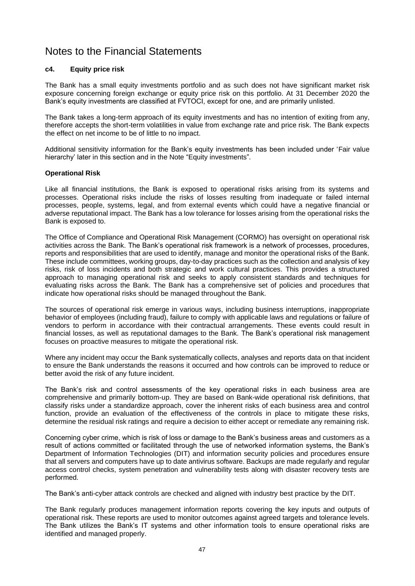#### **c4. Equity price risk**

The Bank has a small equity investments portfolio and as such does not have significant market risk exposure concerning foreign exchange or equity price risk on this portfolio. At 31 December 2020 the Bank's equity investments are classified at FVTOCI, except for one, and are primarily unlisted.

The Bank takes a long-term approach of its equity investments and has no intention of exiting from any, therefore accepts the short-term volatilities in value from exchange rate and price risk. The Bank expects the effect on net income to be of little to no impact.

Additional sensitivity information for the Bank's equity investments has been included under 'Fair value hierarchy' later in this section and in the Note "Equity investments".

#### **Operational Risk**

Like all financial institutions, the Bank is exposed to operational risks arising from its systems and processes. Operational risks include the risks of losses resulting from inadequate or failed internal processes, people, systems, legal, and from external events which could have a negative financial or adverse reputational impact. The Bank has a low tolerance for losses arising from the operational risks the Bank is exposed to.

The Office of Compliance and Operational Risk Management (CORMO) has oversight on operational risk activities across the Bank. The Bank's operational risk framework is a network of processes, procedures, reports and responsibilities that are used to identify, manage and monitor the operational risks of the Bank. These include committees, working groups, day-to-day practices such as the collection and analysis of key risks, risk of loss incidents and both strategic and work cultural practices. This provides a structured approach to managing operational risk and seeks to apply consistent standards and techniques for evaluating risks across the Bank. The Bank has a comprehensive set of policies and procedures that indicate how operational risks should be managed throughout the Bank.

The sources of operational risk emerge in various ways, including business interruptions, inappropriate behavior of employees (including fraud), failure to comply with applicable laws and regulations or failure of vendors to perform in accordance with their contractual arrangements. These events could result in financial losses, as well as reputational damages to the Bank. The Bank's operational risk management focuses on proactive measures to mitigate the operational risk.

Where any incident may occur the Bank systematically collects, analyses and reports data on that incident to ensure the Bank understands the reasons it occurred and how controls can be improved to reduce or better avoid the risk of any future incident.

The Bank's risk and control assessments of the key operational risks in each business area are comprehensive and primarily bottom-up. They are based on Bank-wide operational risk definitions, that classify risks under a standardize approach, cover the inherent risks of each business area and control function, provide an evaluation of the effectiveness of the controls in place to mitigate these risks, determine the residual risk ratings and require a decision to either accept or remediate any remaining risk.

Concerning cyber crime, which is risk of loss or damage to the Bank's business areas and customers as a result of actions committed or facilitated through the use of networked information systems, the Bank's Department of Information Technologies (DIT) and information security policies and procedures ensure that all servers and computers have up to date antivirus software. Backups are made regularly and regular access control checks, system penetration and vulnerability tests along with disaster recovery tests are performed.

The Bank's anti-cyber attack controls are checked and aligned with industry best practice by the DIT.

The Bank regularly produces management information reports covering the key inputs and outputs of operational risk. These reports are used to monitor outcomes against agreed targets and tolerance levels. The Bank utilizes the Bank's IT systems and other information tools to ensure operational risks are identified and managed properly.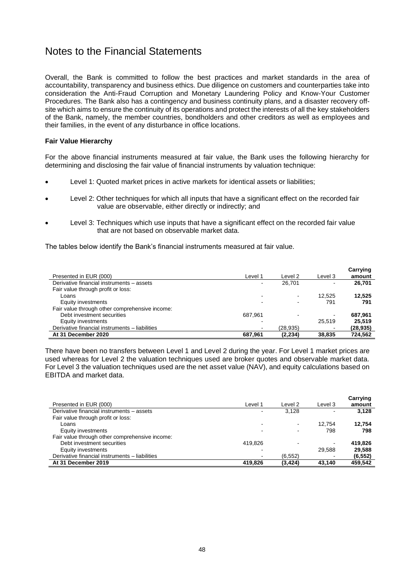Overall, the Bank is committed to follow the best practices and market standards in the area of accountability, transparency and business ethics. Due diligence on customers and counterparties take into consideration the Anti-Fraud Corruption and Monetary Laundering Policy and Know-Your Customer Procedures. The Bank also has a contingency and business continuity plans, and a disaster recovery offsite which aims to ensure the continuity of its operations and protect the interests of all the key stakeholders of the Bank, namely, the member countries, bondholders and other creditors as well as employees and their families, in the event of any disturbance in office locations.

#### **Fair Value Hierarchy**

For the above financial instruments measured at fair value, the Bank uses the following hierarchy for determining and disclosing the fair value of financial instruments by valuation technique:

- Level 1: Quoted market prices in active markets for identical assets or liabilities;
- Level 2: Other techniques for which all inputs that have a significant effect on the recorded fair value are observable, either directly or indirectly; and
- Level 3: Techniques which use inputs that have a significant effect on the recorded fair value that are not based on observable market data.

The tables below identify the Bank's financial instruments measured at fair value.

|                                                |         |           |                | Carrying  |
|------------------------------------------------|---------|-----------|----------------|-----------|
| Presented in EUR (000)                         | Level 1 | Level 2   | Level 3        | amount    |
| Derivative financial instruments - assets      |         | 26.701    |                | 26.701    |
| Fair value through profit or loss:             |         |           |                |           |
| Loans                                          |         | -         | 12.525         | 12.525    |
| Equity investments                             |         |           | 791            | 791       |
| Fair value through other comprehensive income: |         |           |                |           |
| Debt investment securities                     | 687.961 |           | $\blacksquare$ | 687.961   |
| Equity investments                             |         |           | 25.519         | 25.519    |
| Derivative financial instruments - liabilities |         | (28, 935) |                | (28, 935) |
| At 31 December 2020                            | 687.961 | (2, 234)  | 38,835         | 724.562   |

There have been no transfers between Level 1 and Level 2 during the year. For Level 1 market prices are used whereas for Level 2 the valuation techniques used are broker quotes and observable market data. For Level 3 the valuation techniques used are the net asset value (NAV), and equity calculations based on EBITDA and market data.

|                                                |         |          |         | Carrying |
|------------------------------------------------|---------|----------|---------|----------|
| Presented in EUR (000)                         | Level 1 | Level 2  | Level 3 | amount   |
| Derivative financial instruments - assets      |         | 3,128    |         | 3,128    |
| Fair value through profit or loss:             |         |          |         |          |
| Loans                                          |         |          | 12.754  | 12.754   |
| Equity investments                             |         |          | 798     | 798      |
| Fair value through other comprehensive income: |         |          |         |          |
| Debt investment securities                     | 419.826 |          | ٠       | 419.826  |
| Equity investments                             |         |          | 29,588  | 29,588   |
| Derivative financial instruments - liabilities |         | (6, 552) | -       | (6, 552) |
| At 31 December 2019                            | 419.826 | (3, 424) | 43,140  | 459,542  |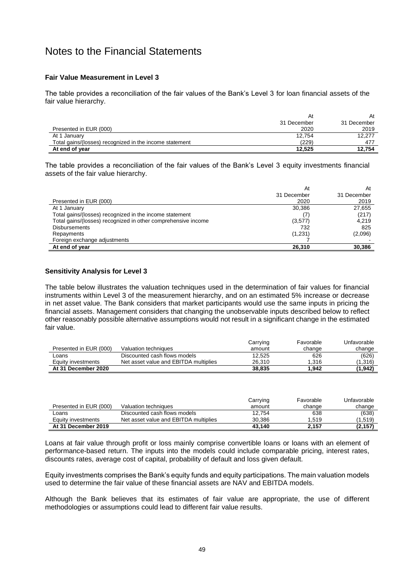#### **Fair Value Measurement in Level 3**

The table provides a reconciliation of the fair values of the Bank's Level 3 for loan financial assets of the fair value hierarchy.

|                                                         | At          | At          |
|---------------------------------------------------------|-------------|-------------|
|                                                         | 31 December | 31 December |
| Presented in EUR (000)                                  | 2020        | 2019        |
| At 1 January                                            | 12,754      | 12,277      |
| Total gains/(losses) recognized in the income statement | (229)       | 477         |
| At end of year                                          | 12.525      | 12.754      |

The table provides a reconciliation of the fair values of the Bank's Level 3 equity investments financial assets of the fair value hierarchy.

|                                                               | At          | At          |
|---------------------------------------------------------------|-------------|-------------|
|                                                               | 31 December | 31 December |
| Presented in EUR (000)                                        | 2020        | 2019        |
| At 1 January                                                  | 30.386      | 27,655      |
| Total gains/(losses) recognized in the income statement       |             | (217)       |
| Total gains/(losses) recognized in other comprehensive income | (3,577)     | 4,219       |
| <b>Disbursements</b>                                          | 732         | 825         |
| Repayments                                                    | (1,231)     | (2,096)     |
| Foreign exchange adjustments                                  |             |             |
| At end of year                                                | 26.310      | 30,386      |

#### **Sensitivity Analysis for Level 3**

The table below illustrates the valuation techniques used in the determination of fair values for financial instruments within Level 3 of the measurement hierarchy, and on an estimated 5% increase or decrease in net asset value. The Bank considers that market participants would use the same inputs in pricing the financial assets. Management considers that changing the unobservable inputs described below to reflect other reasonably possible alternative assumptions would not result in a significant change in the estimated fair value.

|                        |                                       | Carrying | Favorable | Unfavorable |
|------------------------|---------------------------------------|----------|-----------|-------------|
| Presented in EUR (000) | Valuation techniques                  | amount   | change    | change      |
| ∟oans                  | Discounted cash flows models          | 12.525   | 626       | (626)       |
| Equity investments     | Net asset value and EBITDA multiplies | 26.310   | 1.316     | (1,316)     |
| At 31 December 2020    |                                       | 38.835   | 942. ا    | (1,942)     |

|                        |                                       | Carrying | Favorable | Unfavorable |
|------------------------|---------------------------------------|----------|-----------|-------------|
| Presented in EUR (000) | Valuation techniques                  | amount   | change    | change      |
| Loans                  | Discounted cash flows models          | 12.754   | 638       | (638)       |
| Equity investments     | Net asset value and EBITDA multiplies | 30.386   | 1.519     | (1,519)     |
| At 31 December 2019    |                                       | 43.140   | 2,157     | (2,157)     |

Loans at fair value through profit or loss mainly comprise convertible loans or loans with an element of performance-based return. The inputs into the models could include comparable pricing, interest rates, discounts rates, average cost of capital, probability of default and loss given default.

Equity investments comprises the Bank's equity funds and equity participations. The main valuation models used to determine the fair value of these financial assets are NAV and EBITDA models.

Although the Bank believes that its estimates of fair value are appropriate, the use of different methodologies or assumptions could lead to different fair value results.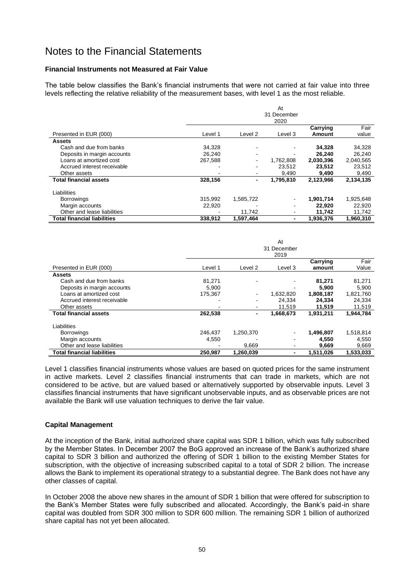#### **Financial Instruments not Measured at Fair Value**

The table below classifies the Bank's financial instruments that were not carried at fair value into three levels reflecting the relative reliability of the measurement bases, with level 1 as the most reliable.

|                                    |         |           | At                       |           |           |
|------------------------------------|---------|-----------|--------------------------|-----------|-----------|
|                                    |         |           | 31 December              |           |           |
|                                    |         |           | 2020                     |           |           |
|                                    |         |           |                          | Carrying  | Fair      |
| Presented in EUR (000)             | Level 1 | Level 2   | Level 3                  | Amount    | value     |
| <b>Assets</b>                      |         |           |                          |           |           |
| Cash and due from banks            | 34,328  |           | $\blacksquare$           | 34,328    | 34,328    |
| Deposits in margin accounts        | 26.240  |           | $\overline{\phantom{a}}$ | 26.240    | 26.240    |
| Loans at amortized cost            | 267.588 |           | 1,762,808                | 2,030,396 | 2,040,565 |
| Accrued interest receivable        |         |           | 23.512                   | 23.512    | 23,512    |
| Other assets                       |         |           | 9,490                    | 9,490     | 9,490     |
| <b>Total financial assets</b>      | 328,156 |           | 1,795,810                | 2,123,966 | 2,134,135 |
| Liabilities                        |         |           |                          |           |           |
| <b>Borrowings</b>                  | 315,992 | 1,585,722 | $\blacksquare$           | 1,901,714 | 1,925,648 |
| Margin accounts                    | 22,920  |           | $\blacksquare$           | 22,920    | 22,920    |
| Other and lease liabilities        |         | 11,742    | $\blacksquare$           | 11,742    | 11,742    |
| <b>Total financial liabilities</b> | 338.912 | 1.597.464 | -                        | 1.936.376 | 1.960.310 |

|                                    |         |           | At          |           |           |
|------------------------------------|---------|-----------|-------------|-----------|-----------|
|                                    |         |           | 31 December |           |           |
|                                    |         |           | 2019        |           |           |
|                                    |         |           |             | Carrying  | Fair      |
| Presented in EUR (000)             | Level 1 | Level 2   | Level 3     | amount    | Value     |
| Assets                             |         |           |             |           |           |
| Cash and due from banks            | 81,271  |           |             | 81,271    | 81,271    |
| Deposits in margin accounts        | 5.900   |           |             | 5.900     | 5.900     |
| Loans at amortized cost            | 175.367 |           | 1,632,820   | 1,808,187 | 1,821,760 |
| Accrued interest receivable        |         |           | 24.334      | 24,334    | 24,334    |
| Other assets                       |         |           | 11,519      | 11,519    | 11,519    |
| <b>Total financial assets</b>      | 262,538 |           | 1,668,673   | 1,931,211 | 1.944.784 |
| Liabilities                        |         |           |             |           |           |
| <b>Borrowings</b>                  | 246.437 | 1.250.370 |             | 1,496,807 | 1,518,814 |
| Margin accounts                    | 4,550   |           |             | 4,550     | 4,550     |
| Other and lease liabilities        |         | 9,669     |             | 9,669     | 9,669     |
| <b>Total financial liabilities</b> | 250,987 | 1,260,039 | -           | 1,511,026 | 1,533,033 |

Level 1 classifies financial instruments whose values are based on quoted prices for the same instrument in active markets. Level 2 classifies financial instruments that can trade in markets, which are not considered to be active, but are valued based or alternatively supported by observable inputs. Level 3 classifies financial instruments that have significant unobservable inputs, and as observable prices are not available the Bank will use valuation techniques to derive the fair value.

#### **Capital Management**

At the inception of the Bank, initial authorized share capital was SDR 1 billion, which was fully subscribed by the Member States. In December 2007 the BoG approved an increase of the Bank's authorized share capital to SDR 3 billion and authorized the offering of SDR 1 billion to the existing Member States for subscription, with the objective of increasing subscribed capital to a total of SDR 2 billion. The increase allows the Bank to implement its operational strategy to a substantial degree. The Bank does not have any other classes of capital.

In October 2008 the above new shares in the amount of SDR 1 billion that were offered for subscription to the Bank's Member States were fully subscribed and allocated. Accordingly, the Bank's paid-in share capital was doubled from SDR 300 million to SDR 600 million. The remaining SDR 1 billion of authorized share capital has not yet been allocated.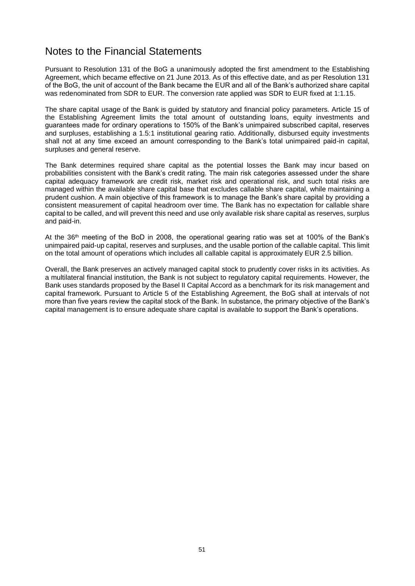Pursuant to Resolution 131 of the BoG a unanimously adopted the first amendment to the Establishing Agreement, which became effective on 21 June 2013. As of this effective date, and as per Resolution 131 of the BoG, the unit of account of the Bank became the EUR and all of the Bank's authorized share capital was redenominated from SDR to EUR. The conversion rate applied was SDR to EUR fixed at 1:1.15.

The share capital usage of the Bank is guided by statutory and financial policy parameters. Article 15 of the Establishing Agreement limits the total amount of outstanding loans, equity investments and guarantees made for ordinary operations to 150% of the Bank's unimpaired subscribed capital, reserves and surpluses, establishing a 1.5:1 institutional gearing ratio. Additionally, disbursed equity investments shall not at any time exceed an amount corresponding to the Bank's total unimpaired paid-in capital, surpluses and general reserve.

The Bank determines required share capital as the potential losses the Bank may incur based on probabilities consistent with the Bank's credit rating. The main risk categories assessed under the share capital adequacy framework are credit risk, market risk and operational risk, and such total risks are managed within the available share capital base that excludes callable share capital, while maintaining a prudent cushion. A main objective of this framework is to manage the Bank's share capital by providing a consistent measurement of capital headroom over time. The Bank has no expectation for callable share capital to be called, and will prevent this need and use only available risk share capital as reserves, surplus and paid-in.

At the 36th meeting of the BoD in 2008, the operational gearing ratio was set at 100% of the Bank's unimpaired paid-up capital, reserves and surpluses, and the usable portion of the callable capital. This limit on the total amount of operations which includes all callable capital is approximately EUR 2.5 billion.

Overall, the Bank preserves an actively managed capital stock to prudently cover risks in its activities. As a multilateral financial institution, the Bank is not subject to regulatory capital requirements. However, the Bank uses standards proposed by the Basel II Capital Accord as a benchmark for its risk management and capital framework. Pursuant to Article 5 of the Establishing Agreement, the BoG shall at intervals of not more than five years review the capital stock of the Bank. In substance, the primary objective of the Bank's capital management is to ensure adequate share capital is available to support the Bank's operations.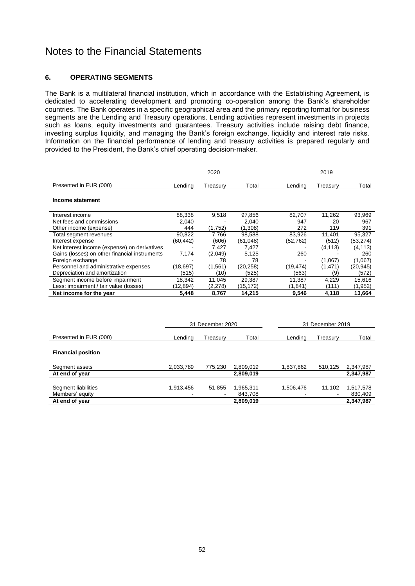#### **6. OPERATING SEGMENTS**

The Bank is a multilateral financial institution, which in accordance with the Establishing Agreement, is dedicated to accelerating development and promoting co-operation among the Bank's shareholder countries. The Bank operates in a specific geographical area and the primary reporting format for business segments are the Lending and Treasury operations. Lending activities represent investments in projects such as loans, equity investments and guarantees. Treasury activities include raising debt finance, investing surplus liquidity, and managing the Bank's foreign exchange, liquidity and interest rate risks. Information on the financial performance of lending and treasury activities is prepared regularly and provided to the President, the Bank's chief operating decision-maker.

|                                               |           | 2020             |                      |           | 2019             |                      |
|-----------------------------------------------|-----------|------------------|----------------------|-----------|------------------|----------------------|
| Presented in EUR (000)                        | Lending   | Treasury         | Total                | Lendina   | Treasury         | Total                |
| Income statement                              |           |                  |                      |           |                  |                      |
| Interest income                               | 88,338    | 9,518            | 97,856               | 82,707    | 11,262           | 93,969               |
| Net fees and commissions                      | 2,040     |                  | 2,040                | 947       | 20               | 967                  |
| Other income (expense)                        | 444       | (1,752)          | (1,308)              | 272       | 119              | 391                  |
| Total segment revenues                        | 90,822    | 7,766            | 98,588               | 83,926    | 11,401           | 95,327               |
| Interest expense                              | (60, 442) | (606)            | (61,048)             | (52, 762) | (512)            | (53, 274)            |
| Net interest income (expense) on derivatives  |           | 7,427            | 7,427                |           | (4, 113)         | (4, 113)             |
| Gains (losses) on other financial instruments | 7,174     | (2,049)          | 5,125                | 260       |                  | 260                  |
| Foreign exchange                              |           | 78               | 78                   |           | (1,067)          | (1,067)              |
| Personnel and administrative expenses         | (18, 697) | (1, 561)         | (20, 258)            | (19, 474) | (1, 471)         | (20, 945)            |
| Depreciation and amortization                 | (515)     | (10)             | (525)                | (563)     | (9)              | (572)                |
| Segment income before impairment              | 18,342    | 11,045           | 29,387               | 11,387    | 4,229            | 15,616               |
| Less: impairment / fair value (losses)        | (12,894)  | (2,278)          | (15, 172)            | (1,841)   | (111)            | (1,952)              |
| Net income for the year                       | 5,448     | 8,767            | 14,215               | 9,546     | 4,118            | 13,664               |
|                                               |           | 31 December 2020 |                      |           | 31 December 2019 |                      |
| Presented in EUR (000)                        | Lending   | Treasury         | Total                | Lending   | Treasury         | Total                |
| <b>Financial position</b>                     |           |                  |                      |           |                  |                      |
| Segment assets                                | 2,033,789 | 775,230          | 2,809,019            | 1,837,862 | 510,125          | 2,347,987            |
| At end of year                                |           |                  | 2,809,019            |           |                  | 2,347,987            |
| Segment liabilities<br>Members' equity        | 1,913,456 | 51,855           | 1,965,311<br>843,708 | 1,506,476 | 11,102           | 1,517,578<br>830,409 |
| At end of year                                |           |                  | 2,809,019            |           |                  | 2,347,987            |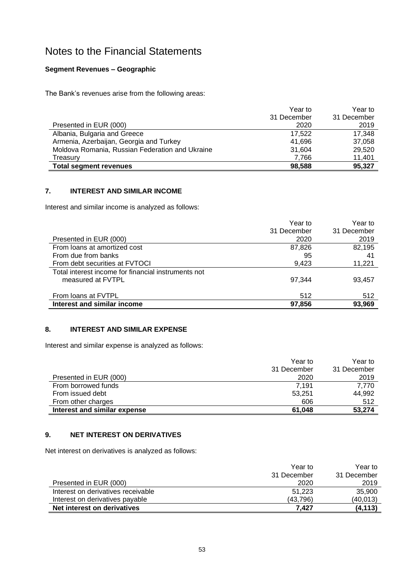### **Segment Revenues – Geographic**

The Bank's revenues arise from the following areas:

|                                                 | Year to     | Year to     |
|-------------------------------------------------|-------------|-------------|
|                                                 | 31 December | 31 December |
| Presented in EUR (000)                          | 2020        | 2019        |
| Albania, Bulgaria and Greece                    | 17.522      | 17,348      |
| Armenia, Azerbaijan, Georgia and Turkey         | 41,696      | 37,058      |
| Moldova Romania, Russian Federation and Ukraine | 31,604      | 29,520      |
| Treasurv                                        | 7.766       | 11,401      |
| <b>Total segment revenues</b>                   | 98.588      | 95,327      |

### **7. INTEREST AND SIMILAR INCOME**

Interest and similar income is analyzed as follows:

|                                                     | Year to     | Year to     |
|-----------------------------------------------------|-------------|-------------|
|                                                     | 31 December | 31 December |
| Presented in EUR (000)                              | 2020        | 2019        |
| From loans at amortized cost                        | 87,826      | 82,195      |
| From due from banks                                 | 95          | 41          |
| From debt securities at FVTOCI                      | 9,423       | 11,221      |
| Total interest income for financial instruments not |             |             |
| measured at FVTPL                                   | 97,344      | 93,457      |
|                                                     |             |             |
| From Ioans at FVTPL                                 | 512         | 512         |
| Interest and similar income                         | 97,856      | 93,969      |
|                                                     |             |             |

### **8. INTEREST AND SIMILAR EXPENSE**

Interest and similar expense is analyzed as follows:

|                              | Year to     | Year to     |
|------------------------------|-------------|-------------|
|                              | 31 December | 31 December |
| Presented in EUR (000)       | 2020        | 2019        |
| From borrowed funds          | 7.191       | 7.770       |
| From issued debt             | 53,251      | 44,992      |
| From other charges           | 606         | 512         |
| Interest and similar expense | 61.048      | 53,274      |

### **9. NET INTEREST ON DERIVATIVES**

Net interest on derivatives is analyzed as follows:

|                                    | Year to     | Year to     |
|------------------------------------|-------------|-------------|
|                                    | 31 December | 31 December |
| Presented in EUR (000)             | 2020        | 2019        |
| Interest on derivatives receivable | 51.223      | 35,900      |
| Interest on derivatives payable    | (43, 796)   | (40,013)    |
| Net interest on derivatives        | 7.427       | (4, 113)    |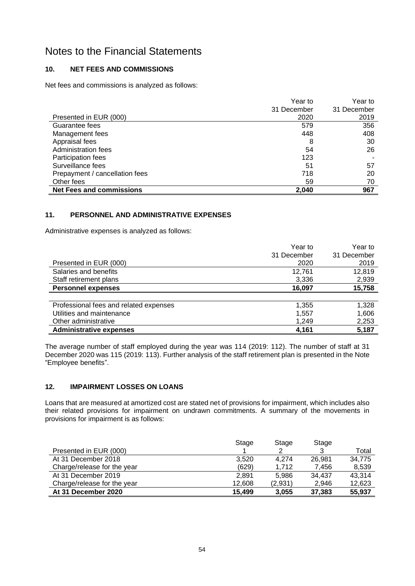### **10. NET FEES AND COMMISSIONS**

Net fees and commissions is analyzed as follows:

|                                 | Year to     | Year to     |
|---------------------------------|-------------|-------------|
|                                 | 31 December | 31 December |
| Presented in EUR (000)          | 2020        | 2019        |
| Guarantee fees                  | 579         | 356         |
| Management fees                 | 448         | 408         |
| Appraisal fees                  | 8           | 30          |
| Administration fees             | 54          | 26          |
| Participation fees              | 123         |             |
| Surveillance fees               | 51          | 57          |
| Prepayment / cancellation fees  | 718         | 20          |
| Other fees                      | 59          | 70          |
| <b>Net Fees and commissions</b> | 2,040       | 967         |

### **11. PERSONNEL AND ADMINISTRATIVE EXPENSES**

Administrative expenses is analyzed as follows:

|                                        | Year to     | Year to     |
|----------------------------------------|-------------|-------------|
|                                        | 31 December | 31 December |
| Presented in EUR (000)                 | 2020        | 2019        |
| Salaries and benefits                  | 12.761      | 12,819      |
| Staff retirement plans                 | 3,336       | 2,939       |
| <b>Personnel expenses</b>              | 16,097      | 15,758      |
|                                        |             |             |
| Professional fees and related expenses | 1,355       | 1,328       |
| Utilities and maintenance              | 1,557       | 1,606       |
| Other administrative                   | 1,249       | 2,253       |
| <b>Administrative expenses</b>         | 4,161       | 5,187       |

The average number of staff employed during the year was 114 (2019: 112). The number of staff at 31 December 2020 was 115 (2019: 113). Further analysis of the staff retirement plan is presented in the Note "Employee benefits".

### **12. IMPAIRMENT LOSSES ON LOANS**

Loans that are measured at amortized cost are stated net of provisions for impairment, which includes also their related provisions for impairment on undrawn commitments. A summary of the movements in provisions for impairment is as follows:

|                             | Stage  | Stage   | Stage  |        |
|-----------------------------|--------|---------|--------|--------|
| Presented in EUR (000)      |        |         |        | Total  |
| At 31 December 2018         | 3.520  | 4.274   | 26.981 | 34.775 |
| Charge/release for the year | (629)  | 1.712   | 7.456  | 8,539  |
| At 31 December 2019         | 2.891  | 5.986   | 34.437 | 43.314 |
| Charge/release for the year | 12.608 | (2,931) | 2.946  | 12,623 |
| At 31 December 2020         | 15.499 | 3,055   | 37,383 | 55,937 |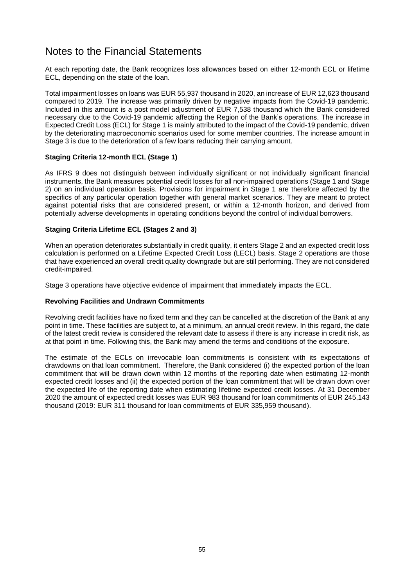At each reporting date, the Bank recognizes loss allowances based on either 12-month ECL or lifetime ECL, depending on the state of the loan.

Total impairment losses on loans was EUR 55,937 thousand in 2020, an increase of EUR 12,623 thousand compared to 2019. The increase was primarily driven by negative impacts from the Covid-19 pandemic. Included in this amount is a post model adjustment of EUR 7,538 thousand which the Bank considered necessary due to the Covid-19 pandemic affecting the Region of the Bank's operations. The increase in Expected Credit Loss (ECL) for Stage 1 is mainly attributed to the impact of the Covid-19 pandemic, driven by the deteriorating macroeconomic scenarios used for some member countries. The increase amount in Stage 3 is due to the deterioration of a few loans reducing their carrying amount.

### **Staging Criteria 12-month ECL (Stage 1)**

As IFRS 9 does not distinguish between individually significant or not individually significant financial instruments, the Bank measures potential credit losses for all non-impaired operations (Stage 1 and Stage 2) on an individual operation basis. Provisions for impairment in Stage 1 are therefore affected by the specifics of any particular operation together with general market scenarios. They are meant to protect against potential risks that are considered present, or within a 12-month horizon, and derived from potentially adverse developments in operating conditions beyond the control of individual borrowers.

### **Staging Criteria Lifetime ECL (Stages 2 and 3)**

When an operation deteriorates substantially in credit quality, it enters Stage 2 and an expected credit loss calculation is performed on a Lifetime Expected Credit Loss (LECL) basis. Stage 2 operations are those that have experienced an overall credit quality downgrade but are still performing. They are not considered credit-impaired.

Stage 3 operations have objective evidence of impairment that immediately impacts the ECL.

#### **Revolving Facilities and Undrawn Commitments**

Revolving credit facilities have no fixed term and they can be cancelled at the discretion of the Bank at any point in time. These facilities are subject to, at a minimum, an annual credit review. In this regard, the date of the latest credit review is considered the relevant date to assess if there is any increase in credit risk, as at that point in time. Following this, the Bank may amend the terms and conditions of the exposure.

The estimate of the ECLs on irrevocable loan commitments is consistent with its expectations of drawdowns on that loan commitment. Therefore, the Bank considered (i) the expected portion of the loan commitment that will be drawn down within 12 months of the reporting date when estimating 12-month expected credit losses and (ii) the expected portion of the loan commitment that will be drawn down over the expected life of the reporting date when estimating lifetime expected credit losses. At 31 December 2020 the amount of expected credit losses was EUR 983 thousand for loan commitments of EUR 245,143 thousand (2019: EUR 311 thousand for loan commitments of EUR 335,959 thousand).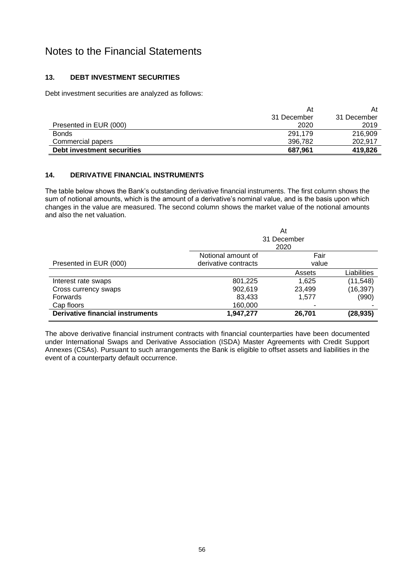### **13. DEBT INVESTMENT SECURITIES**

Debt investment securities are analyzed as follows:

|                            | Αt          | At          |
|----------------------------|-------------|-------------|
|                            | 31 December | 31 December |
| Presented in EUR (000)     | 2020        | 2019        |
| <b>Bonds</b>               | 291,179     | 216,909     |
| Commercial papers          | 396,782     | 202,917     |
| Debt investment securities | 687,961     | 419,826     |

#### **14. DERIVATIVE FINANCIAL INSTRUMENTS**

The table below shows the Bank's outstanding derivative financial instruments. The first column shows the sum of notional amounts, which is the amount of a derivative's nominal value, and is the basis upon which changes in the value are measured. The second column shows the market value of the notional amounts and also the net valuation.

|                                  | At                   |        |             |
|----------------------------------|----------------------|--------|-------------|
|                                  | 31 December          |        |             |
|                                  |                      | 2020   |             |
|                                  | Notional amount of   | Fair   |             |
| Presented in EUR (000)           | derivative contracts | value  |             |
|                                  |                      | Assets | Liabilities |
| Interest rate swaps              | 801,225              | 1,625  | (11, 548)   |
| Cross currency swaps             | 902,619              | 23.499 | (16, 397)   |
| Forwards                         | 83,433               | 1.577  | (990)       |
| Cap floors                       | 160,000              | ۰      |             |
| Derivative financial instruments | 1,947,277            | 26,701 | (28, 935)   |

The above derivative financial instrument contracts with financial counterparties have been documented under International Swaps and Derivative Association (ISDA) Master Agreements with Credit Support Annexes (CSAs). Pursuant to such arrangements the Bank is eligible to offset assets and liabilities in the event of a counterparty default occurrence.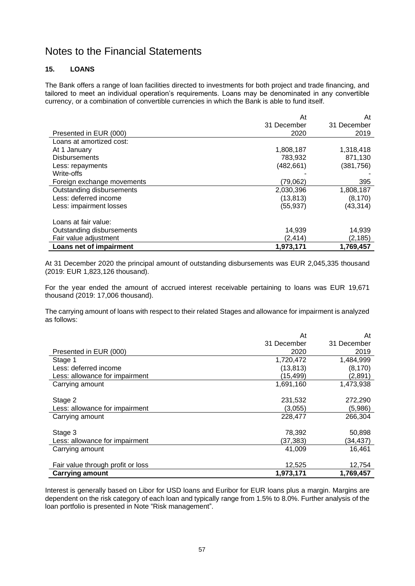### **15. LOANS**

The Bank offers a range of loan facilities directed to investments for both project and trade financing, and tailored to meet an individual operation's requirements. Loans may be denominated in any convertible currency, or a combination of convertible currencies in which the Bank is able to fund itself.

 $\ddot{\phantom{a}}$ 

 $\overline{a}$ 

|                            | Αt          | Αt          |
|----------------------------|-------------|-------------|
|                            | 31 December | 31 December |
| Presented in EUR (000)     | 2020        | 2019        |
| Loans at amortized cost:   |             |             |
| At 1 January               | 1,808,187   | 1,318,418   |
| <b>Disbursements</b>       | 783,932     | 871,130     |
| Less: repayments           | (482, 661)  | (381, 756)  |
| Write-offs                 |             |             |
| Foreign exchange movements | (79,062)    | 395         |
| Outstanding disbursements  | 2,030,396   | 1,808,187   |
| Less: deferred income      | (13, 813)   | (8, 170)    |
| Less: impairment losses    | (55, 937)   | (43, 314)   |
| Loans at fair value:       |             |             |
| Outstanding disbursements  | 14,939      | 14,939      |
| Fair value adjustment      | (2, 414)    | (2, 185)    |
| Loans net of impairment    | 1,973,171   | 1,769,457   |

At 31 December 2020 the principal amount of outstanding disbursements was EUR 2,045,335 thousand (2019: EUR 1,823,126 thousand).

For the year ended the amount of accrued interest receivable pertaining to loans was EUR 19,671 thousand (2019: 17,006 thousand).

The carrying amount of loans with respect to their related Stages and allowance for impairment is analyzed as follows:

| <b>Carrying amount</b>            | 1,973,171   | 1,769,457   |
|-----------------------------------|-------------|-------------|
| Fair value through profit or loss | 12,525      | 12,754      |
|                                   |             |             |
| Carrying amount                   | 41,009      | 16,461      |
| Less: allowance for impairment    | (37, 383)   | (34,437)    |
| Stage 3                           | 78,392      | 50,898      |
| Carrying amount                   | 228,477     | 266,304     |
| Less: allowance for impairment    | (3,055)     | (5,986)     |
| Stage 2                           | 231,532     | 272,290     |
| Carrying amount                   | 1,691,160   | 1,473,938   |
| Less: allowance for impairment    | (15,499)    | (2,891)     |
| Less: deferred income             | (13, 813)   | (8, 170)    |
| Stage 1                           | 1,720,472   | 1,484,999   |
| Presented in EUR (000)            | 2020        | 2019        |
|                                   | 31 December | 31 December |
|                                   | At          | At          |

Interest is generally based on Libor for USD loans and Euribor for EUR loans plus a margin. Margins are dependent on the risk category of each loan and typically range from 1.5% to 8.0%. Further analysis of the loan portfolio is presented in Note "Risk management".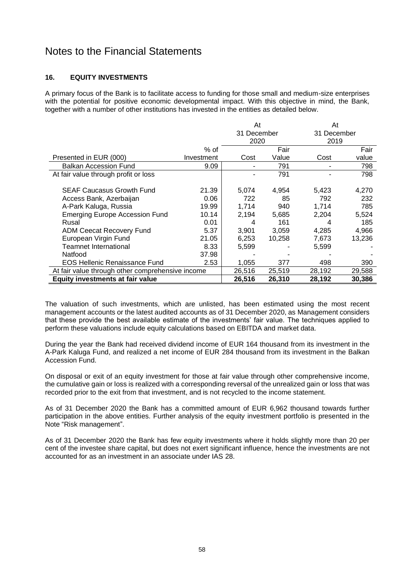#### **16. EQUITY INVESTMENTS**

A primary focus of the Bank is to facilitate access to funding for those small and medium-size enterprises with the potential for positive economic developmental impact. With this objective in mind, the Bank, together with a number of other institutions has invested in the entities as detailed below.

|                                                  |            | At          |        | At          |        |
|--------------------------------------------------|------------|-------------|--------|-------------|--------|
|                                                  |            | 31 December |        | 31 December |        |
|                                                  |            | 2020        |        | 2019        |        |
|                                                  | % of       |             | Fair   |             | Fair   |
| Presented in EUR (000)                           | Investment | Cost        | Value  | Cost        | value  |
| <b>Balkan Accession Fund</b>                     | 9.09       |             | 791    |             | 798    |
| At fair value through profit or loss             |            |             | 791    |             | 798    |
|                                                  |            |             |        |             |        |
| <b>SEAF Caucasus Growth Fund</b>                 | 21.39      | 5,074       | 4,954  | 5,423       | 4,270  |
| Access Bank, Azerbaijan                          | 0.06       | 722         | 85     | 792         | 232    |
| A-Park Kaluga, Russia                            | 19.99      | 1.714       | 940    | 1,714       | 785    |
| <b>Emerging Europe Accession Fund</b>            | 10.14      | 2,194       | 5,685  | 2,204       | 5,524  |
| Rusal                                            | 0.01       | 4           | 161    | 4           | 185    |
| <b>ADM Ceecat Recovery Fund</b>                  | 5.37       | 3,901       | 3.059  | 4.285       | 4,966  |
| European Virgin Fund                             | 21.05      | 6,253       | 10.258 | 7,673       | 13,236 |
| Teamnet International                            | 8.33       | 5,599       |        | 5,599       |        |
| Natfood                                          | 37.98      |             |        |             |        |
| <b>EOS Hellenic Renaissance Fund</b>             | 2.53       | 1,055       | 377    | 498         | 390    |
| At fair value through other comprehensive income |            | 26,516      | 25,519 | 28,192      | 29,588 |
| <b>Equity investments at fair value</b>          |            | 26,516      | 26,310 | 28,192      | 30,386 |

The valuation of such investments, which are unlisted, has been estimated using the most recent management accounts or the latest audited accounts as of 31 December 2020, as Management considers that these provide the best available estimate of the investments' fair value. The techniques applied to perform these valuations include equity calculations based on EBITDA and market data.

During the year the Bank had received dividend income of EUR 164 thousand from its investment in the A-Park Kaluga Fund, and realized a net income of EUR 284 thousand from its investment in the Balkan Accession Fund.

On disposal or exit of an equity investment for those at fair value through other comprehensive income, the cumulative gain or loss is realized with a corresponding reversal of the unrealized gain or loss that was recorded prior to the exit from that investment, and is not recycled to the income statement.

As of 31 December 2020 the Bank has a committed amount of EUR 6,962 thousand towards further participation in the above entities. Further analysis of the equity investment portfolio is presented in the Note "Risk management".

As of 31 December 2020 the Bank has few equity investments where it holds slightly more than 20 per cent of the investee share capital, but does not exert significant influence, hence the investments are not accounted for as an investment in an associate under IAS 28.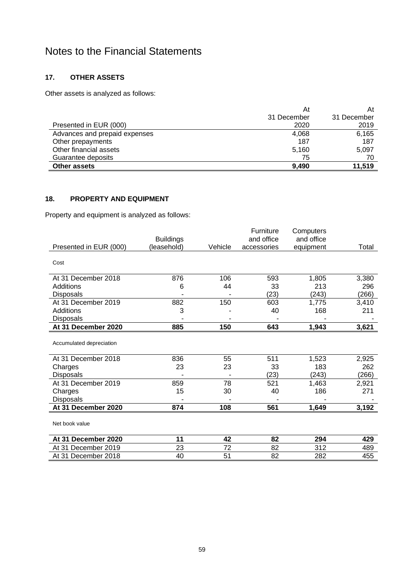### **17. OTHER ASSETS**

Other assets is analyzed as follows:

|                               | At          | At          |
|-------------------------------|-------------|-------------|
|                               | 31 December | 31 December |
| Presented in EUR (000)        | 2020        | 2019        |
| Advances and prepaid expenses | 4,068       | 6,165       |
| Other prepayments             | 187         | 187         |
| Other financial assets        | 5,160       | 5,097       |
| Guarantee deposits            | 75          | 70          |
| Other assets                  | 9.490       | 11,519      |

### **18. PROPERTY AND EQUIPMENT**

Property and equipment is analyzed as follows:

|                          |                  |         | Furniture   | Computers  |       |
|--------------------------|------------------|---------|-------------|------------|-------|
|                          | <b>Buildings</b> |         | and office  | and office |       |
| Presented in EUR (000)   | (leasehold)      | Vehicle | accessories | equipment  | Total |
|                          |                  |         |             |            |       |
| Cost                     |                  |         |             |            |       |
| At 31 December 2018      | 876              | 106     | 593         | 1,805      | 3,380 |
| Additions                | 6                | 44      | 33          | 213        | 296   |
| <b>Disposals</b>         |                  |         | (23)        | (243)      | (266) |
| At 31 December 2019      | 882              | 150     | 603         | 1,775      | 3,410 |
| <b>Additions</b>         | 3                |         | 40          | 168        | 211   |
| <b>Disposals</b>         |                  |         |             |            |       |
| At 31 December 2020      | 885              | 150     | 643         | 1,943      | 3,621 |
| Accumulated depreciation |                  |         |             |            |       |
| At 31 December 2018      | 836              | 55      | 511         | 1,523      | 2,925 |
| Charges                  | 23               | 23      | 33          | 183        | 262   |
| <b>Disposals</b>         |                  |         | (23)        | (243)      | (266) |
| At 31 December 2019      | 859              | 78      | 521         | 1,463      | 2,921 |
| Charges                  | 15               | 30      | 40          | 186        | 271   |
| Disposals                |                  |         |             |            |       |
| At 31 December 2020      | 874              | 108     | 561         | 1,649      | 3,192 |
| Net book value           |                  |         |             |            |       |
| At 31 December 2020      | 11               | 42      | 82          | 294        | 429   |
| At 31 December 2019      | 23               | 72      | 82          | 312        | 489   |
| At 31 December 2018      | 40               | 51      | 82          | 282        | 455   |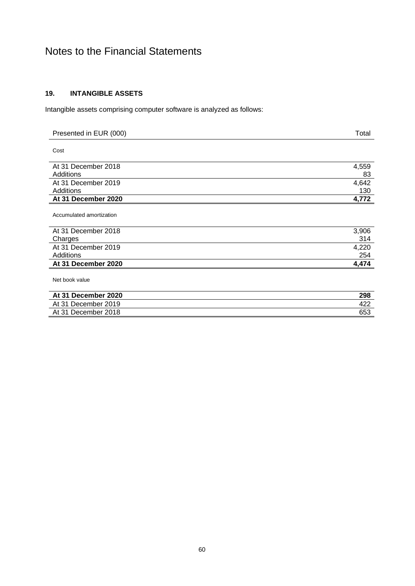### **19. INTANGIBLE ASSETS**

Intangible assets comprising computer software is analyzed as follows:

| Presented in EUR (000)           | Total        |
|----------------------------------|--------------|
| Cost                             |              |
| At 31 December 2018<br>Additions | 4,559<br>83  |
| At 31 December 2019<br>Additions | 4,642<br>130 |
| At 31 December 2020              | 4,772        |
| Accumulated amortization         |              |
| At 31 December 2018<br>Charges   | 3,906<br>314 |
| At 31 December 2019<br>Additions | 4,220<br>254 |
| At 31 December 2020              | 4,474        |
| Net book value                   |              |
| At 31 December 2020              | 298          |
| At 31 December 2019              | 422          |
| At 31 December 2018              | 653          |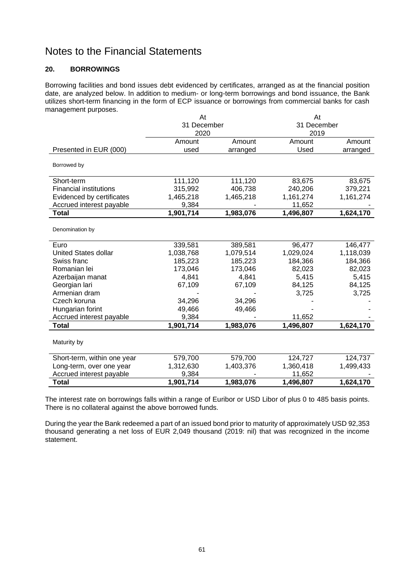### **20. BORROWINGS**

Borrowing facilities and bond issues debt evidenced by certificates, arranged as at the financial position date, are analyzed below. In addition to medium- or long-term borrowings and bond issuance, the Bank utilizes short-term financing in the form of ECP issuance or borrowings from commercial banks for cash management purposes.  $\ddot{\phantom{a}}$  $\overline{A}$ 

| 31 December<br>31 December<br>2020<br>2019<br>Amount<br>Amount<br>Amount<br>Amount<br>Used<br>Presented in EUR (000)<br>used<br>arranged<br>arranged<br>Borrowed by<br>111,120<br>111,120<br>83,675<br>83,675<br>Short-term<br><b>Financial institutions</b><br>406,738<br>379,221<br>315,992<br>240,206<br>Evidenced by certificates<br>1,465,218<br>1,465,218<br>1,161,274<br>1,161,274<br>Accrued interest payable<br>9,384<br>11,652<br>$1,901,7\overline{14}$<br>1,496,807<br>1,983,076<br>1,624,170<br><b>Total</b><br>Denomination by<br>339,581<br>389,581<br>146,477<br>96,477<br>Euro<br><b>United States dollar</b><br>1,118,039<br>1,038,768<br>1,079,514<br>1,029,024<br>185,223<br>185,223<br>184,366<br>184,366<br>Swiss franc<br>Romanian lei<br>173,046<br>173,046<br>82,023<br>82,023<br>4,841<br>5,415<br>Azerbaijan manat<br>4,841<br>5,415<br>Georgian lari<br>67,109<br>67,109<br>84,125<br>84,125<br>Armenian dram<br>3,725<br>3,725<br>Czech koruna<br>34,296<br>34,296<br>Hungarian forint<br>49,466<br>49,466<br>Accrued interest payable<br>9,384<br>11,652<br>1,901,714<br>1,983,076<br>1,496,807<br>1,624,170<br><b>Total</b><br>Maturity by<br>579,700<br>579,700<br>Short-term, within one year<br>124,727<br>124,737<br>1,312,630<br>1,403,376<br>1,360,418<br>Long-term, over one year<br>1,499,433<br>9,384<br>Accrued interest payable<br>11,652<br>1,901,714<br>1,496,807<br>1,624,170<br>Total<br>1,983,076 | At |  | At |  |
|--------------------------------------------------------------------------------------------------------------------------------------------------------------------------------------------------------------------------------------------------------------------------------------------------------------------------------------------------------------------------------------------------------------------------------------------------------------------------------------------------------------------------------------------------------------------------------------------------------------------------------------------------------------------------------------------------------------------------------------------------------------------------------------------------------------------------------------------------------------------------------------------------------------------------------------------------------------------------------------------------------------------------------------------------------------------------------------------------------------------------------------------------------------------------------------------------------------------------------------------------------------------------------------------------------------------------------------------------------------------------------------------------------------------------------------------------|----|--|----|--|
|                                                                                                                                                                                                                                                                                                                                                                                                                                                                                                                                                                                                                                                                                                                                                                                                                                                                                                                                                                                                                                                                                                                                                                                                                                                                                                                                                                                                                                                  |    |  |    |  |
|                                                                                                                                                                                                                                                                                                                                                                                                                                                                                                                                                                                                                                                                                                                                                                                                                                                                                                                                                                                                                                                                                                                                                                                                                                                                                                                                                                                                                                                  |    |  |    |  |
|                                                                                                                                                                                                                                                                                                                                                                                                                                                                                                                                                                                                                                                                                                                                                                                                                                                                                                                                                                                                                                                                                                                                                                                                                                                                                                                                                                                                                                                  |    |  |    |  |
|                                                                                                                                                                                                                                                                                                                                                                                                                                                                                                                                                                                                                                                                                                                                                                                                                                                                                                                                                                                                                                                                                                                                                                                                                                                                                                                                                                                                                                                  |    |  |    |  |
|                                                                                                                                                                                                                                                                                                                                                                                                                                                                                                                                                                                                                                                                                                                                                                                                                                                                                                                                                                                                                                                                                                                                                                                                                                                                                                                                                                                                                                                  |    |  |    |  |
|                                                                                                                                                                                                                                                                                                                                                                                                                                                                                                                                                                                                                                                                                                                                                                                                                                                                                                                                                                                                                                                                                                                                                                                                                                                                                                                                                                                                                                                  |    |  |    |  |
|                                                                                                                                                                                                                                                                                                                                                                                                                                                                                                                                                                                                                                                                                                                                                                                                                                                                                                                                                                                                                                                                                                                                                                                                                                                                                                                                                                                                                                                  |    |  |    |  |
|                                                                                                                                                                                                                                                                                                                                                                                                                                                                                                                                                                                                                                                                                                                                                                                                                                                                                                                                                                                                                                                                                                                                                                                                                                                                                                                                                                                                                                                  |    |  |    |  |
|                                                                                                                                                                                                                                                                                                                                                                                                                                                                                                                                                                                                                                                                                                                                                                                                                                                                                                                                                                                                                                                                                                                                                                                                                                                                                                                                                                                                                                                  |    |  |    |  |
|                                                                                                                                                                                                                                                                                                                                                                                                                                                                                                                                                                                                                                                                                                                                                                                                                                                                                                                                                                                                                                                                                                                                                                                                                                                                                                                                                                                                                                                  |    |  |    |  |
|                                                                                                                                                                                                                                                                                                                                                                                                                                                                                                                                                                                                                                                                                                                                                                                                                                                                                                                                                                                                                                                                                                                                                                                                                                                                                                                                                                                                                                                  |    |  |    |  |
|                                                                                                                                                                                                                                                                                                                                                                                                                                                                                                                                                                                                                                                                                                                                                                                                                                                                                                                                                                                                                                                                                                                                                                                                                                                                                                                                                                                                                                                  |    |  |    |  |
|                                                                                                                                                                                                                                                                                                                                                                                                                                                                                                                                                                                                                                                                                                                                                                                                                                                                                                                                                                                                                                                                                                                                                                                                                                                                                                                                                                                                                                                  |    |  |    |  |
|                                                                                                                                                                                                                                                                                                                                                                                                                                                                                                                                                                                                                                                                                                                                                                                                                                                                                                                                                                                                                                                                                                                                                                                                                                                                                                                                                                                                                                                  |    |  |    |  |
|                                                                                                                                                                                                                                                                                                                                                                                                                                                                                                                                                                                                                                                                                                                                                                                                                                                                                                                                                                                                                                                                                                                                                                                                                                                                                                                                                                                                                                                  |    |  |    |  |
|                                                                                                                                                                                                                                                                                                                                                                                                                                                                                                                                                                                                                                                                                                                                                                                                                                                                                                                                                                                                                                                                                                                                                                                                                                                                                                                                                                                                                                                  |    |  |    |  |
|                                                                                                                                                                                                                                                                                                                                                                                                                                                                                                                                                                                                                                                                                                                                                                                                                                                                                                                                                                                                                                                                                                                                                                                                                                                                                                                                                                                                                                                  |    |  |    |  |
|                                                                                                                                                                                                                                                                                                                                                                                                                                                                                                                                                                                                                                                                                                                                                                                                                                                                                                                                                                                                                                                                                                                                                                                                                                                                                                                                                                                                                                                  |    |  |    |  |
|                                                                                                                                                                                                                                                                                                                                                                                                                                                                                                                                                                                                                                                                                                                                                                                                                                                                                                                                                                                                                                                                                                                                                                                                                                                                                                                                                                                                                                                  |    |  |    |  |
|                                                                                                                                                                                                                                                                                                                                                                                                                                                                                                                                                                                                                                                                                                                                                                                                                                                                                                                                                                                                                                                                                                                                                                                                                                                                                                                                                                                                                                                  |    |  |    |  |
|                                                                                                                                                                                                                                                                                                                                                                                                                                                                                                                                                                                                                                                                                                                                                                                                                                                                                                                                                                                                                                                                                                                                                                                                                                                                                                                                                                                                                                                  |    |  |    |  |
|                                                                                                                                                                                                                                                                                                                                                                                                                                                                                                                                                                                                                                                                                                                                                                                                                                                                                                                                                                                                                                                                                                                                                                                                                                                                                                                                                                                                                                                  |    |  |    |  |
|                                                                                                                                                                                                                                                                                                                                                                                                                                                                                                                                                                                                                                                                                                                                                                                                                                                                                                                                                                                                                                                                                                                                                                                                                                                                                                                                                                                                                                                  |    |  |    |  |
|                                                                                                                                                                                                                                                                                                                                                                                                                                                                                                                                                                                                                                                                                                                                                                                                                                                                                                                                                                                                                                                                                                                                                                                                                                                                                                                                                                                                                                                  |    |  |    |  |
|                                                                                                                                                                                                                                                                                                                                                                                                                                                                                                                                                                                                                                                                                                                                                                                                                                                                                                                                                                                                                                                                                                                                                                                                                                                                                                                                                                                                                                                  |    |  |    |  |
|                                                                                                                                                                                                                                                                                                                                                                                                                                                                                                                                                                                                                                                                                                                                                                                                                                                                                                                                                                                                                                                                                                                                                                                                                                                                                                                                                                                                                                                  |    |  |    |  |
|                                                                                                                                                                                                                                                                                                                                                                                                                                                                                                                                                                                                                                                                                                                                                                                                                                                                                                                                                                                                                                                                                                                                                                                                                                                                                                                                                                                                                                                  |    |  |    |  |

The interest rate on borrowings falls within a range of Euribor or USD Libor of plus 0 to 485 basis points. There is no collateral against the above borrowed funds.

During the year the Bank redeemed a part of an issued bond prior to maturity of approximately USD 92,353 thousand generating a net loss of EUR 2,049 thousand (2019: nil) that was recognized in the income statement.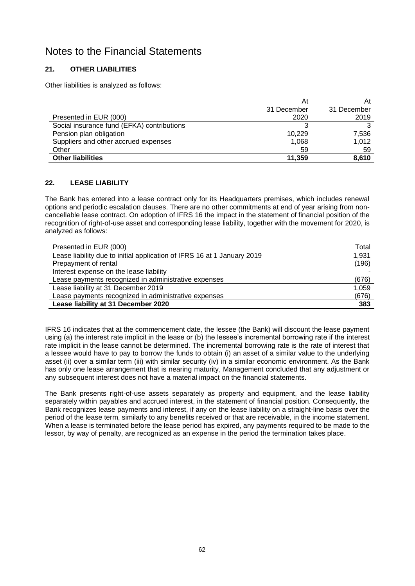### **21. OTHER LIABILITIES**

Other liabilities is analyzed as follows:

|                                            | At          | At          |
|--------------------------------------------|-------------|-------------|
|                                            | 31 December | 31 December |
| Presented in EUR (000)                     | 2020        | 2019        |
| Social insurance fund (EFKA) contributions |             | 3           |
| Pension plan obligation                    | 10.229      | 7,536       |
| Suppliers and other accrued expenses       | 1,068       | 1,012       |
| Other                                      | 59          | 59          |
| <b>Other liabilities</b>                   | 11,359      | 8,610       |

### **22. LEASE LIABILITY**

The Bank has entered into a lease contract only for its Headquarters premises, which includes renewal options and periodic escalation clauses. There are no other commitments at end of year arising from noncancellable lease contract. On adoption of IFRS 16 the impact in the statement of financial position of the recognition of right-of-use asset and corresponding lease liability, together with the movement for 2020, is analyzed as follows:

| Presented in EUR (000)                                                  | Total |
|-------------------------------------------------------------------------|-------|
| Lease liability due to initial application of IFRS 16 at 1 January 2019 | 1,931 |
| Prepayment of rental                                                    | (196) |
| Interest expense on the lease liability                                 |       |
| Lease payments recognized in administrative expenses                    | (676) |
| Lease liability at 31 December 2019                                     | 1,059 |
| Lease payments recognized in administrative expenses                    | (676) |
| Lease liability at 31 December 2020                                     | 383   |

IFRS 16 indicates that at the commencement date, the lessee (the Bank) will discount the lease payment using (a) the interest rate implicit in the lease or (b) the lessee's incremental borrowing rate if the interest rate implicit in the lease cannot be determined. The incremental borrowing rate is the rate of interest that a lessee would have to pay to borrow the funds to obtain (i) an asset of a similar value to the underlying asset (ii) over a similar term (iii) with similar security (iv) in a similar economic environment. As the Bank has only one lease arrangement that is nearing maturity, Management concluded that any adjustment or any subsequent interest does not have a material impact on the financial statements.

The Bank presents right-of-use assets separately as property and equipment, and the lease liability separately within payables and accrued interest, in the statement of financial position. Consequently, the Bank recognizes lease payments and interest, if any on the lease liability on a straight-line basis over the period of the lease term, similarly to any benefits received or that are receivable, in the income statement. When a lease is terminated before the lease period has expired, any payments required to be made to the lessor, by way of penalty, are recognized as an expense in the period the termination takes place.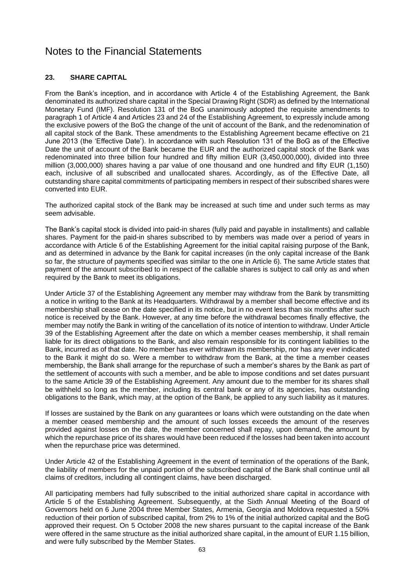### **23. SHARE CAPITAL**

From the Bank's inception, and in accordance with Article 4 of the Establishing Agreement, the Bank denominated its authorized share capital in the Special Drawing Right (SDR) as defined by the International Monetary Fund (IMF). Resolution 131 of the BoG unanimously adopted the requisite amendments to paragraph 1 of Article 4 and Articles 23 and 24 of the Establishing Agreement, to expressly include among the exclusive powers of the BoG the change of the unit of account of the Bank, and the redenomination of all capital stock of the Bank. These amendments to the Establishing Agreement became effective on 21 June 2013 (the 'Effective Date'). In accordance with such Resolution 131 of the BoG as of the Effective Date the unit of account of the Bank became the EUR and the authorized capital stock of the Bank was redenominated into three billion four hundred and fifty million EUR (3,450,000,000), divided into three million (3,000,000) shares having a par value of one thousand and one hundred and fifty EUR (1,150) each, inclusive of all subscribed and unallocated shares. Accordingly, as of the Effective Date, all outstanding share capital commitments of participating members in respect of their subscribed shares were converted into EUR.

The authorized capital stock of the Bank may be increased at such time and under such terms as may seem advisable.

The Bank's capital stock is divided into paid-in shares (fully paid and payable in installments) and callable shares. Payment for the paid-in shares subscribed to by members was made over a period of years in accordance with Article 6 of the Establishing Agreement for the initial capital raising purpose of the Bank, and as determined in advance by the Bank for capital increases (in the only capital increase of the Bank so far, the structure of payments specified was similar to the one in Article 6). The same Article states that payment of the amount subscribed to in respect of the callable shares is subject to call only as and when required by the Bank to meet its obligations.

Under Article 37 of the Establishing Agreement any member may withdraw from the Bank by transmitting a notice in writing to the Bank at its Headquarters. Withdrawal by a member shall become effective and its membership shall cease on the date specified in its notice, but in no event less than six months after such notice is received by the Bank. However, at any time before the withdrawal becomes finally effective, the member may notify the Bank in writing of the cancellation of its notice of intention to withdraw. Under Article 39 of the Establishing Agreement after the date on which a member ceases membership, it shall remain liable for its direct obligations to the Bank, and also remain responsible for its contingent liabilities to the Bank, incurred as of that date. No member has ever withdrawn its membership, nor has any ever indicated to the Bank it might do so. Were a member to withdraw from the Bank, at the time a member ceases membership, the Bank shall arrange for the repurchase of such a member's shares by the Bank as part of the settlement of accounts with such a member, and be able to impose conditions and set dates pursuant to the same Article 39 of the Establishing Agreement. Any amount due to the member for its shares shall be withheld so long as the member, including its central bank or any of its agencies, has outstanding obligations to the Bank, which may, at the option of the Bank, be applied to any such liability as it matures.

If losses are sustained by the Bank on any guarantees or loans which were outstanding on the date when a member ceased membership and the amount of such losses exceeds the amount of the reserves provided against losses on the date, the member concerned shall repay, upon demand, the amount by which the repurchase price of its shares would have been reduced if the losses had been taken into account when the repurchase price was determined.

Under Article 42 of the Establishing Agreement in the event of termination of the operations of the Bank, the liability of members for the unpaid portion of the subscribed capital of the Bank shall continue until all claims of creditors, including all contingent claims, have been discharged.

All participating members had fully subscribed to the initial authorized share capital in accordance with Article 5 of the Establishing Agreement. Subsequently, at the Sixth Annual Meeting of the Board of Governors held on 6 June 2004 three Member States, Armenia, Georgia and Moldova requested a 50% reduction of their portion of subscribed capital, from 2% to 1% of the initial authorized capital and the BoG approved their request. On 5 October 2008 the new shares pursuant to the capital increase of the Bank were offered in the same structure as the initial authorized share capital, in the amount of EUR 1.15 billion, and were fully subscribed by the Member States.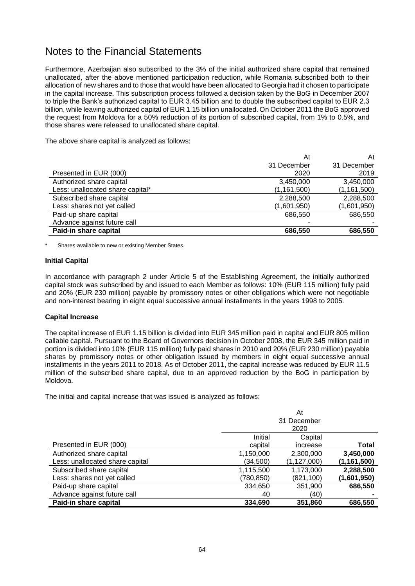Furthermore, Azerbaijan also subscribed to the 3% of the initial authorized share capital that remained unallocated, after the above mentioned participation reduction, while Romania subscribed both to their allocation of new shares and to those that would have been allocated to Georgia had it chosen to participate in the capital increase. This subscription process followed a decision taken by the BoG in December 2007 to triple the Bank's authorized capital to EUR 3.45 billion and to double the subscribed capital to EUR 2.3 billion, while leaving authorized capital of EUR 1.15 billion unallocated. On October 2011 the BoG approved the request from Moldova for a 50% reduction of its portion of subscribed capital, from 1% to 0.5%, and those shares were released to unallocated share capital.

The above share capital is analyzed as follows:

|                                  | At            | At            |
|----------------------------------|---------------|---------------|
|                                  | 31 December   | 31 December   |
| Presented in EUR (000)           | 2020          | 2019          |
| Authorized share capital         | 3,450,000     | 3,450,000     |
| Less: unallocated share capital* | (1, 161, 500) | (1, 161, 500) |
| Subscribed share capital         | 2,288,500     | 2,288,500     |
| Less: shares not yet called      | (1,601,950)   | (1,601,950)   |
| Paid-up share capital            | 686,550       | 686,550       |
| Advance against future call      |               |               |
| Paid-in share capital            | 686,550       | 686,550       |

Shares available to new or existing Member States.

#### **Initial Capital**

In accordance with paragraph 2 under Article 5 of the Establishing Agreement, the initially authorized capital stock was subscribed by and issued to each Member as follows: 10% (EUR 115 million) fully paid and 20% (EUR 230 million) payable by promissory notes or other obligations which were not negotiable and non-interest bearing in eight equal successive annual installments in the years 1998 to 2005.

#### **Capital Increase**

The capital increase of EUR 1.15 billion is divided into EUR 345 million paid in capital and EUR 805 million callable capital. Pursuant to the Board of Governors decision in October 2008, the EUR 345 million paid in portion is divided into 10% (EUR 115 million) fully paid shares in 2010 and 20% (EUR 230 million) payable shares by promissory notes or other obligation issued by members in eight equal successive annual installments in the years 2011 to 2018. As of October 2011, the capital increase was reduced by EUR 11.5 million of the subscribed share capital, due to an approved reduction by the BoG in participation by Moldova.

The initial and capital increase that was issued is analyzed as follows:

|                                 | At          |               |               |  |  |
|---------------------------------|-------------|---------------|---------------|--|--|
|                                 | 31 December |               |               |  |  |
|                                 |             | 2020          |               |  |  |
|                                 | Initial     | Capital       |               |  |  |
| Presented in EUR (000)          | capital     | increase      | Total         |  |  |
| Authorized share capital        | 1,150,000   | 2,300,000     | 3,450,000     |  |  |
| Less: unallocated share capital | (34,500)    | (1, 127, 000) | (1, 161, 500) |  |  |
| Subscribed share capital        | 1,115,500   | 1,173,000     | 2,288,500     |  |  |
| Less: shares not yet called     | (780,850)   | (821,100)     | (1,601,950)   |  |  |
| Paid-up share capital           | 334,650     | 351,900       | 686,550       |  |  |
| Advance against future call     | 40          | (40)          |               |  |  |
| Paid-in share capital           | 334,690     | 351,860       | 686,550       |  |  |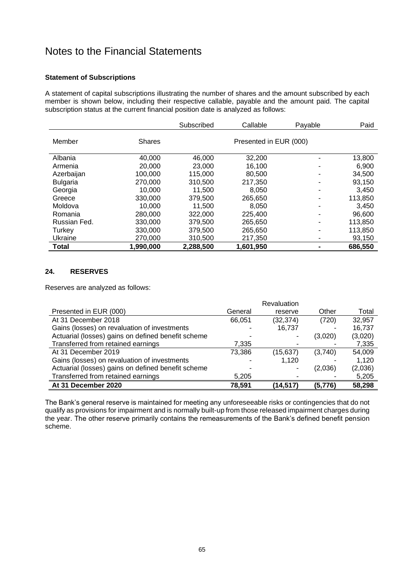#### **Statement of Subscriptions**

A statement of capital subscriptions illustrating the number of shares and the amount subscribed by each member is shown below, including their respective callable, payable and the amount paid. The capital subscription status at the current financial position date is analyzed as follows:

|                 |               | Subscribed | Callable               | Payable | Paid    |
|-----------------|---------------|------------|------------------------|---------|---------|
| Member          | <b>Shares</b> |            | Presented in EUR (000) |         |         |
| Albania         | 40,000        | 46,000     | 32,200                 |         | 13,800  |
| Armenia         | 20,000        | 23,000     | 16.100                 |         | 6,900   |
| Azerbaijan      | 100,000       | 115,000    | 80,500                 |         | 34,500  |
| <b>Bulgaria</b> | 270,000       | 310,500    | 217.350                |         | 93.150  |
| Georgia         | 10.000        | 11.500     | 8.050                  |         | 3,450   |
| Greece          | 330,000       | 379,500    | 265,650                |         | 113,850 |
| Moldova         | 10.000        | 11.500     | 8,050                  |         | 3,450   |
| Romania         | 280,000       | 322,000    | 225.400                |         | 96,600  |
| Russian Fed.    | 330,000       | 379,500    | 265,650                |         | 113,850 |
| Turkey          | 330,000       | 379,500    | 265,650                |         | 113,850 |
| Ukraine         | 270,000       | 310,500    | 217,350                |         | 93,150  |
| Total           | 1,990,000     | 2,288,500  | 1,601,950              |         | 686,550 |

#### **24. RESERVES**

Reserves are analyzed as follows:

|                                                    |         | <b>Revaluation</b> |         |         |
|----------------------------------------------------|---------|--------------------|---------|---------|
| Presented in EUR (000)                             | General | reserve            | Other   | Total   |
| At 31 December 2018                                | 66,051  | (32, 374)          | (720)   | 32,957  |
| Gains (losses) on revaluation of investments       |         | 16,737             |         | 16.737  |
| Actuarial (losses) gains on defined benefit scheme |         |                    | (3,020) | (3,020) |
| Transferred from retained earnings                 | 7,335   |                    |         | 7,335   |
| At 31 December 2019                                | 73.386  | (15,637)           | (3,740) | 54,009  |
| Gains (losses) on revaluation of investments       |         | 1.120              |         | 1,120   |
| Actuarial (losses) gains on defined benefit scheme |         |                    | (2,036) | (2,036) |
| Transferred from retained earnings                 | 5,205   |                    |         | 5,205   |
| At 31 December 2020                                | 78,591  | (14.517)           | (5,776) | 58,298  |

The Bank's general reserve is maintained for meeting any unforeseeable risks or contingencies that do not qualify as provisions for impairment and is normally built-up from those released impairment charges during the year. The other reserve primarily contains the remeasurements of the Bank's defined benefit pension scheme.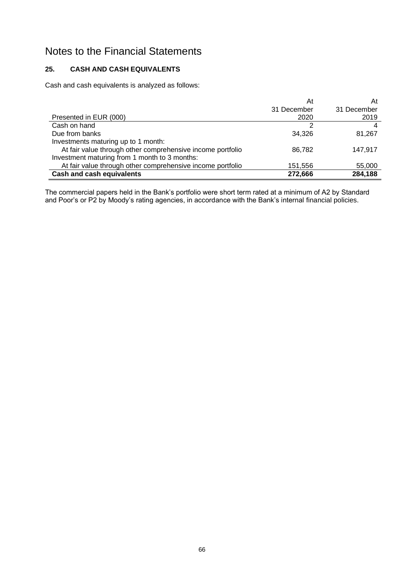### **25. CASH AND CASH EQUIVALENTS**

Cash and cash equivalents is analyzed as follows:

|                                                            | At          | At          |
|------------------------------------------------------------|-------------|-------------|
|                                                            | 31 December | 31 December |
| Presented in EUR (000)                                     | 2020        | 2019        |
| Cash on hand                                               |             |             |
| Due from banks                                             | 34.326      | 81.267      |
| Investments maturing up to 1 month:                        |             |             |
| At fair value through other comprehensive income portfolio | 86,782      | 147.917     |
| Investment maturing from 1 month to 3 months:              |             |             |
| At fair value through other comprehensive income portfolio | 151,556     | 55,000      |
| <b>Cash and cash equivalents</b>                           | 272,666     | 284,188     |

The commercial papers held in the Bank's portfolio were short term rated at a minimum of A2 by Standard and Poor's or P2 by Moody's rating agencies, in accordance with the Bank's internal financial policies.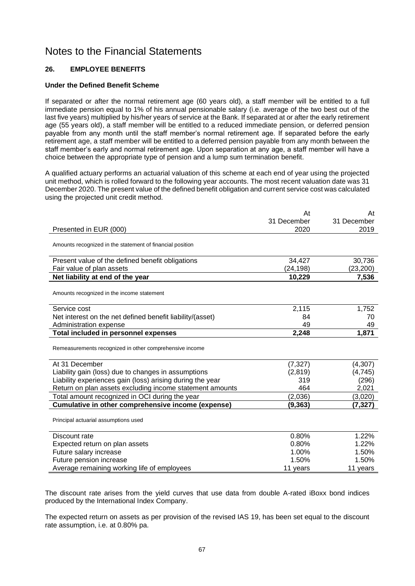### **26. EMPLOYEE BENEFITS**

#### **Under the Defined Benefit Scheme**

If separated or after the normal retirement age (60 years old), a staff member will be entitled to a full immediate pension equal to 1% of his annual pensionable salary (i.e. average of the two best out of the last five years) multiplied by his/her years of service at the Bank. If separated at or after the early retirement age (55 years old), a staff member will be entitled to a reduced immediate pension, or deferred pension payable from any month until the staff member's normal retirement age. If separated before the early retirement age, a staff member will be entitled to a deferred pension payable from any month between the staff member's early and normal retirement age. Upon separation at any age, a staff member will have a choice between the appropriate type of pension and a lump sum termination benefit.

A qualified actuary performs an actuarial valuation of this scheme at each end of year using the projected unit method, which is rolled forward to the following year accounts. The most recent valuation date was 31 December 2020. The present value of the defined benefit obligation and current service cost was calculated using the projected unit credit method.

|                                                           | At          | At          |
|-----------------------------------------------------------|-------------|-------------|
|                                                           | 31 December | 31 December |
| Presented in EUR (000)                                    | 2020        | 2019        |
| Amounts recognized in the statement of financial position |             |             |
| Present value of the defined benefit obligations          | 34,427      | 30,736      |
| Fair value of plan assets                                 | (24, 198)   | (23, 200)   |
| Net liability at end of the year                          | 10,229      | 7,536       |
| Amounts recognized in the income statement                |             |             |
| Service cost                                              | 2,115       | 1,752       |
| Net interest on the net defined benefit liability/(asset) | 84          | 70          |
| Administration expense                                    | 49          | 49          |
| Total included in personnel expenses                      | 2,248       | 1,871       |
| Remeasurements recognized in other comprehensive income   |             |             |
| At 31 December                                            | (7, 327)    | (4,307)     |
| Liability gain (loss) due to changes in assumptions       | (2,819)     | (4, 745)    |
| Liability experiences gain (loss) arising during the year | 319         | (296)       |
| Return on plan assets excluding income statement amounts  | 464         | 2,021       |
| Total amount recognized in OCI during the year            | (2,036)     | (3,020)     |
| Cumulative in other comprehensive income (expense)        | (9, 363)    | (7, 327)    |
| Principal actuarial assumptions used                      |             |             |
| Discount rate                                             | 0.80%       | 1.22%       |
| Expected return on plan assets                            | 0.80%       | 1.22%       |
| Future salary increase                                    | 1.00%       | 1.50%       |
| Future pension increase                                   | 1.50%       | 1.50%       |
| Average remaining working life of employees               | 11 years    | 11 years    |

The discount rate arises from the yield curves that use data from double A-rated iBoxx bond indices produced by the International Index Company.

The expected return on assets as per provision of the revised IAS 19, has been set equal to the discount rate assumption, i.e. at 0.80% pa.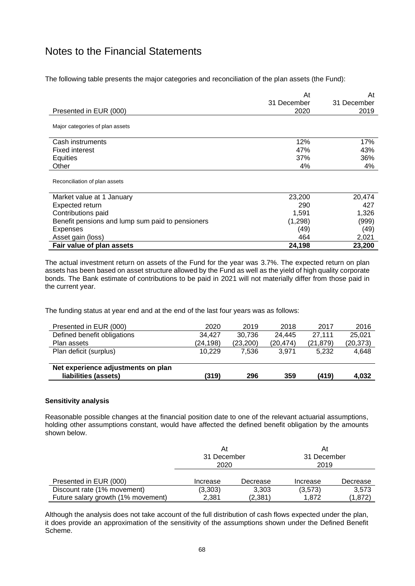The following table presents the major categories and reconciliation of the plan assets (the Fund):

|                                                  | At          | At          |
|--------------------------------------------------|-------------|-------------|
|                                                  | 31 December | 31 December |
| Presented in EUR (000)                           | 2020        | 2019        |
|                                                  |             |             |
| Major categories of plan assets                  |             |             |
|                                                  |             |             |
| Cash instruments                                 | 12%         | 17%         |
| <b>Fixed interest</b>                            | 47%         | 43%         |
| Equities                                         | 37%         | 36%         |
| Other                                            | 4%          | 4%          |
| Reconciliation of plan assets                    |             |             |
|                                                  |             |             |
| Market value at 1 January                        | 23,200      | 20,474      |
| Expected return                                  | 290         | 427         |
| Contributions paid                               | 1,591       | 1,326       |
| Benefit pensions and lump sum paid to pensioners | (1,298)     | (999)       |
| <b>Expenses</b>                                  | (49)        | (49)        |
| Asset gain (loss)                                | 464         | 2,021       |
| Fair value of plan assets                        | 24,198      | 23,200      |

The actual investment return on assets of the Fund for the year was 3.7%. The expected return on plan assets has been based on asset structure allowed by the Fund as well as the yield of high quality corporate bonds. The Bank estimate of contributions to be paid in 2021 will not materially differ from those paid in the current year.

The funding status at year end and at the end of the last four years was as follows:

| Presented in EUR (000)             | 2020      | 2019      | 2018      | 2017     | 2016      |
|------------------------------------|-----------|-----------|-----------|----------|-----------|
| Defined benefit obligations        | 34.427    | 30.736    | 24.445    | 27.111   | 25,021    |
| Plan assets                        | (24, 198) | (23, 200) | (20, 474) | (21,879) | (20, 373) |
| Plan deficit (surplus)             | 10.229    | 7.536     | 3.971     | 5.232    | 4.648     |
|                                    |           |           |           |          |           |
| Net experience adjustments on plan |           |           |           |          |           |
| liabilities (assets)               | (319)     | 296       | 359       | (419)    | 4,032     |

#### **Sensitivity analysis**

Reasonable possible changes at the financial position date to one of the relevant actuarial assumptions, holding other assumptions constant, would have affected the defined benefit obligation by the amounts shown below.

|                                    | At          |          | At          |          |
|------------------------------------|-------------|----------|-------------|----------|
|                                    | 31 December |          | 31 December |          |
|                                    | 2020        |          | 2019        |          |
|                                    |             |          |             |          |
| Presented in EUR (000)             | Increase    | Decrease | Increase    | Decrease |
| Discount rate (1% movement)        | (3,303)     | 3,303    | (3,573)     | 3,573    |
| Future salary growth (1% movement) | 2,381       | (2,381   | 1,872       | (1,872)  |

Although the analysis does not take account of the full distribution of cash flows expected under the plan, it does provide an approximation of the sensitivity of the assumptions shown under the Defined Benefit Scheme.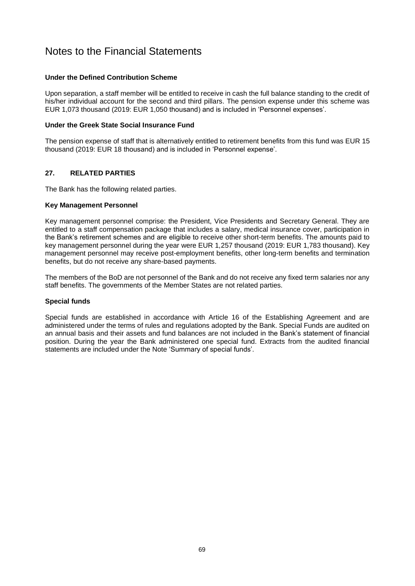#### **Under the Defined Contribution Scheme**

Upon separation, a staff member will be entitled to receive in cash the full balance standing to the credit of his/her individual account for the second and third pillars. The pension expense under this scheme was EUR 1,073 thousand (2019: EUR 1,050 thousand) and is included in 'Personnel expenses'.

#### **Under the Greek State Social Insurance Fund**

The pension expense of staff that is alternatively entitled to retirement benefits from this fund was EUR 15 thousand (2019: EUR 18 thousand) and is included in 'Personnel expense'.

#### **27. RELATED PARTIES**

The Bank has the following related parties.

#### **Key Management Personnel**

Key management personnel comprise: the President, Vice Presidents and Secretary General. They are entitled to a staff compensation package that includes a salary, medical insurance cover, participation in the Bank's retirement schemes and are eligible to receive other short-term benefits. The amounts paid to key management personnel during the year were EUR 1,257 thousand (2019: EUR 1,783 thousand). Key management personnel may receive post-employment benefits, other long-term benefits and termination benefits, but do not receive any share-based payments.

The members of the BoD are not personnel of the Bank and do not receive any fixed term salaries nor any staff benefits. The governments of the Member States are not related parties.

#### **Special funds**

Special funds are established in accordance with Article 16 of the Establishing Agreement and are administered under the terms of rules and regulations adopted by the Bank. Special Funds are audited on an annual basis and their assets and fund balances are not included in the Bank's statement of financial position. During the year the Bank administered one special fund. Extracts from the audited financial statements are included under the Note 'Summary of special funds'.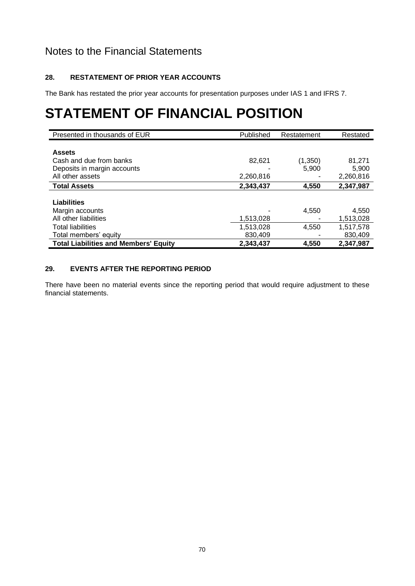### **28. RESTATEMENT OF PRIOR YEAR ACCOUNTS**

The Bank has restated the prior year accounts for presentation purposes under IAS 1 and IFRS 7.

# **STATEMENT OF FINANCIAL POSITION**

| Presented in thousands of EUR                | Published | Restatement | Restated  |
|----------------------------------------------|-----------|-------------|-----------|
|                                              |           |             |           |
| <b>Assets</b>                                |           |             |           |
| Cash and due from banks                      | 82,621    | (1,350)     | 81,271    |
| Deposits in margin accounts                  |           | 5,900       | 5,900     |
| All other assets                             | 2,260,816 | ۰           | 2,260,816 |
| <b>Total Assets</b>                          | 2,343,437 | 4,550       | 2,347,987 |
|                                              |           |             |           |
| <b>Liabilities</b>                           |           |             |           |
| Margin accounts                              |           | 4,550       | 4,550     |
| All other liabilities                        | 1,513,028 |             | 1,513,028 |
| <b>Total liabilities</b>                     | 1,513,028 | 4,550       | 1,517,578 |
| Total members' equity                        | 830,409   |             | 830,409   |
| <b>Total Liabilities and Members' Equity</b> | 2,343,437 | 4,550       | 2,347,987 |

### **29. EVENTS AFTER THE REPORTING PERIOD**

There have been no material events since the reporting period that would require adjustment to these financial statements.